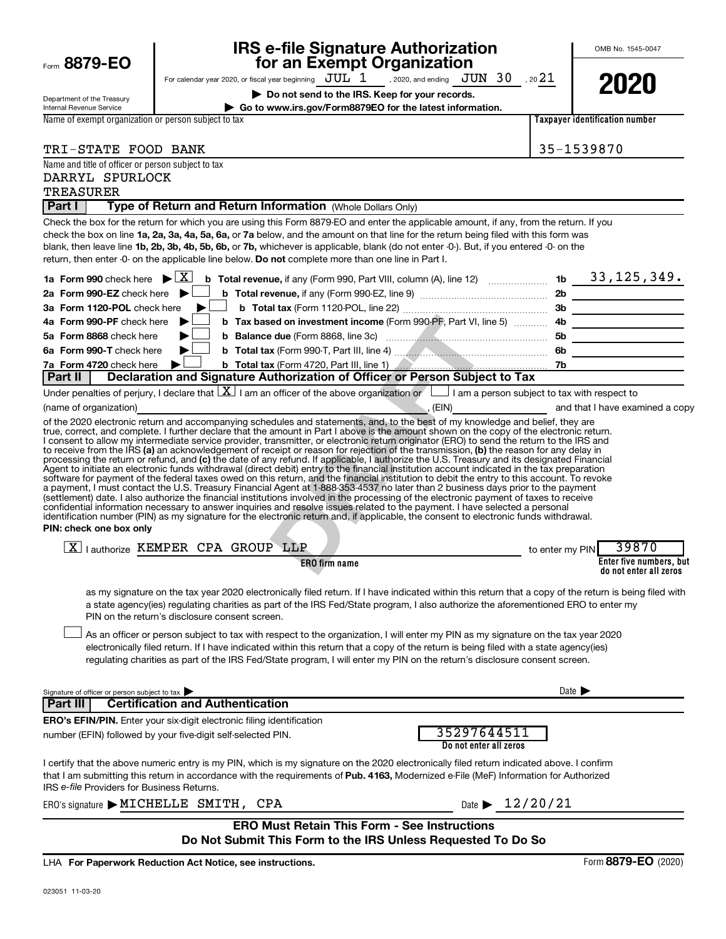| Form 8879-EO                                                     |                                                                                                                                                                                                                                                                                                                                                                                                                                                                                                                                                                                                                                                                                                                                                                                                                                                                                                                                                                                                                                                                                                                                                                                                                                                                                                                                                                                                                                    | <b>IRS e-file Signature Authorization</b><br>for an Exempt Organization                                    |                                       | OMB No. 1545-0047                                                            |
|------------------------------------------------------------------|------------------------------------------------------------------------------------------------------------------------------------------------------------------------------------------------------------------------------------------------------------------------------------------------------------------------------------------------------------------------------------------------------------------------------------------------------------------------------------------------------------------------------------------------------------------------------------------------------------------------------------------------------------------------------------------------------------------------------------------------------------------------------------------------------------------------------------------------------------------------------------------------------------------------------------------------------------------------------------------------------------------------------------------------------------------------------------------------------------------------------------------------------------------------------------------------------------------------------------------------------------------------------------------------------------------------------------------------------------------------------------------------------------------------------------|------------------------------------------------------------------------------------------------------------|---------------------------------------|------------------------------------------------------------------------------|
|                                                                  | For calendar year 2020, or fiscal year beginning $JUL$ $1$ , 2020, and ending $JUN$ $30$ , 2021                                                                                                                                                                                                                                                                                                                                                                                                                                                                                                                                                                                                                                                                                                                                                                                                                                                                                                                                                                                                                                                                                                                                                                                                                                                                                                                                    |                                                                                                            |                                       |                                                                              |
| Department of the Treasury<br><b>Internal Revenue Service</b>    |                                                                                                                                                                                                                                                                                                                                                                                                                                                                                                                                                                                                                                                                                                                                                                                                                                                                                                                                                                                                                                                                                                                                                                                                                                                                                                                                                                                                                                    | Do not send to the IRS. Keep for your records.<br>Go to www.irs.gov/Form8879EO for the latest information. |                                       | 2020                                                                         |
| Name of exempt organization or person subject to tax             |                                                                                                                                                                                                                                                                                                                                                                                                                                                                                                                                                                                                                                                                                                                                                                                                                                                                                                                                                                                                                                                                                                                                                                                                                                                                                                                                                                                                                                    |                                                                                                            |                                       | Taxpaver identification number                                               |
|                                                                  |                                                                                                                                                                                                                                                                                                                                                                                                                                                                                                                                                                                                                                                                                                                                                                                                                                                                                                                                                                                                                                                                                                                                                                                                                                                                                                                                                                                                                                    |                                                                                                            |                                       |                                                                              |
| TRI-STATE FOOD BANK                                              |                                                                                                                                                                                                                                                                                                                                                                                                                                                                                                                                                                                                                                                                                                                                                                                                                                                                                                                                                                                                                                                                                                                                                                                                                                                                                                                                                                                                                                    |                                                                                                            |                                       | 35-1539870                                                                   |
| Name and title of officer or person subject to tax               |                                                                                                                                                                                                                                                                                                                                                                                                                                                                                                                                                                                                                                                                                                                                                                                                                                                                                                                                                                                                                                                                                                                                                                                                                                                                                                                                                                                                                                    |                                                                                                            |                                       |                                                                              |
| DARRYL SPURLOCK                                                  |                                                                                                                                                                                                                                                                                                                                                                                                                                                                                                                                                                                                                                                                                                                                                                                                                                                                                                                                                                                                                                                                                                                                                                                                                                                                                                                                                                                                                                    |                                                                                                            |                                       |                                                                              |
| <b>TREASURER</b>                                                 |                                                                                                                                                                                                                                                                                                                                                                                                                                                                                                                                                                                                                                                                                                                                                                                                                                                                                                                                                                                                                                                                                                                                                                                                                                                                                                                                                                                                                                    |                                                                                                            |                                       |                                                                              |
| Part I                                                           | Type of Return and Return Information (Whole Dollars Only)                                                                                                                                                                                                                                                                                                                                                                                                                                                                                                                                                                                                                                                                                                                                                                                                                                                                                                                                                                                                                                                                                                                                                                                                                                                                                                                                                                         |                                                                                                            |                                       |                                                                              |
|                                                                  | Check the box for the return for which you are using this Form 8879-EO and enter the applicable amount, if any, from the return. If you<br>check the box on line 1a, 2a, 3a, 4a, 5a, 6a, or 7a below, and the amount on that line for the return being filed with this form was<br>blank, then leave line 1b, 2b, 3b, 4b, 5b, 6b, or 7b, whichever is applicable, blank (do not enter -0-). But, if you entered -0- on the<br>return, then enter -0- on the applicable line below. Do not complete more than one line in Part I.                                                                                                                                                                                                                                                                                                                                                                                                                                                                                                                                                                                                                                                                                                                                                                                                                                                                                                   |                                                                                                            |                                       |                                                                              |
| 1a Form 990 check here $\blacktriangleright \boxed{\text{X}}$    |                                                                                                                                                                                                                                                                                                                                                                                                                                                                                                                                                                                                                                                                                                                                                                                                                                                                                                                                                                                                                                                                                                                                                                                                                                                                                                                                                                                                                                    |                                                                                                            |                                       |                                                                              |
| 2a Form 990-EZ check here $\blacktriangleright$                  |                                                                                                                                                                                                                                                                                                                                                                                                                                                                                                                                                                                                                                                                                                                                                                                                                                                                                                                                                                                                                                                                                                                                                                                                                                                                                                                                                                                                                                    |                                                                                                            |                                       |                                                                              |
| 3a Form 1120-POL check here                                      |                                                                                                                                                                                                                                                                                                                                                                                                                                                                                                                                                                                                                                                                                                                                                                                                                                                                                                                                                                                                                                                                                                                                                                                                                                                                                                                                                                                                                                    |                                                                                                            |                                       | 3b                                                                           |
| 4a Form 990-PF check here                                        |                                                                                                                                                                                                                                                                                                                                                                                                                                                                                                                                                                                                                                                                                                                                                                                                                                                                                                                                                                                                                                                                                                                                                                                                                                                                                                                                                                                                                                    |                                                                                                            |                                       |                                                                              |
| 5a Form 8868 check here                                          |                                                                                                                                                                                                                                                                                                                                                                                                                                                                                                                                                                                                                                                                                                                                                                                                                                                                                                                                                                                                                                                                                                                                                                                                                                                                                                                                                                                                                                    |                                                                                                            |                                       |                                                                              |
| 6a Form 990-T check here                                         |                                                                                                                                                                                                                                                                                                                                                                                                                                                                                                                                                                                                                                                                                                                                                                                                                                                                                                                                                                                                                                                                                                                                                                                                                                                                                                                                                                                                                                    |                                                                                                            |                                       |                                                                              |
| 7a Form 4720 check here<br>Part II                               | Declaration and Signature Authorization of Officer or Person Subject to Tax                                                                                                                                                                                                                                                                                                                                                                                                                                                                                                                                                                                                                                                                                                                                                                                                                                                                                                                                                                                                                                                                                                                                                                                                                                                                                                                                                        |                                                                                                            |                                       |                                                                              |
|                                                                  | Under penalties of perjury, I declare that $\lfloor x \rfloor$ am an officer of the above organization or $\lfloor$ am a person subject to tax with respect to                                                                                                                                                                                                                                                                                                                                                                                                                                                                                                                                                                                                                                                                                                                                                                                                                                                                                                                                                                                                                                                                                                                                                                                                                                                                     |                                                                                                            |                                       |                                                                              |
| (name of organization)                                           | <u> 1989 - Johann Stoff, deutscher Stoffen und der Stoffen und der Stoffen und der Stoffen und der Stoffen und der</u>                                                                                                                                                                                                                                                                                                                                                                                                                                                                                                                                                                                                                                                                                                                                                                                                                                                                                                                                                                                                                                                                                                                                                                                                                                                                                                             |                                                                                                            |                                       | $\mathcal{L}$ , (EIN) $\qquad \qquad \qquad$ and that I have examined a copy |
| PIN: check one box only                                          | true, correct, and complete. I further declare that the amount in Part I above is the amount shown on the copy of the electronic return.<br>I consent to allow my intermediate service provider, transmitter, or electronic return originator (ERO) to send the return to the IRS and<br>to receive from the IRS (a) an acknowledgement of receipt or reason for rejection of the transmission, (b) the reason for any delay in<br>processing the return or refund, and (c) the date of any refund. If applicable, I authorize the U.S. Treasury and its designated Financial<br>Agent to initiate an electronic funds withdrawal (direct debit) entry to the financial institution account indicated in the tax preparation<br>software for payment of the federal taxes owed on this return, and the financial institution to debit the entry to this account. To revoke<br>a payment, I must contact the U.S. Treasury Financial Agent at 1-888-353-4537 no later than 2 business days prior to the payment<br>(settlement) date. I also authorize the financial institutions involved in the processing of the electronic payment of taxes to receive<br>confidential information necessary to answer inquiries and resolve issues related to the payment. I have selected a personal<br>identification number (PIN) as my signature for the electronic return and, if applicable, the consent to electronic funds withdrawal. |                                                                                                            |                                       |                                                                              |
|                                                                  | $\boxed{\text{X}}$   authorize KEMPER CPA GROUP LLP                                                                                                                                                                                                                                                                                                                                                                                                                                                                                                                                                                                                                                                                                                                                                                                                                                                                                                                                                                                                                                                                                                                                                                                                                                                                                                                                                                                | <b>ERO firm name</b>                                                                                       |                                       | 39870<br>to enter my PIN<br>Enter five numbers, but                          |
|                                                                  | as my signature on the tax year 2020 electronically filed return. If I have indicated within this return that a copy of the return is being filed with<br>a state agency(ies) regulating charities as part of the IRS Fed/State program, I also authorize the aforementioned ERO to enter my<br>PIN on the return's disclosure consent screen.<br>As an officer or person subject to tax with respect to the organization, I will enter my PIN as my signature on the tax year 2020<br>electronically filed return. If I have indicated within this return that a copy of the return is being filed with a state agency(ies)<br>regulating charities as part of the IRS Fed/State program, I will enter my PIN on the return's disclosure consent screen.                                                                                                                                                                                                                                                                                                                                                                                                                                                                                                                                                                                                                                                                          |                                                                                                            |                                       | do not enter all zeros                                                       |
| Signature of officer or person subject to tax<br><b>Part III</b> | <b>Certification and Authentication</b>                                                                                                                                                                                                                                                                                                                                                                                                                                                                                                                                                                                                                                                                                                                                                                                                                                                                                                                                                                                                                                                                                                                                                                                                                                                                                                                                                                                            |                                                                                                            |                                       | Date $\triangleright$                                                        |
|                                                                  | <b>ERO's EFIN/PIN.</b> Enter your six-digit electronic filing identification                                                                                                                                                                                                                                                                                                                                                                                                                                                                                                                                                                                                                                                                                                                                                                                                                                                                                                                                                                                                                                                                                                                                                                                                                                                                                                                                                       |                                                                                                            |                                       |                                                                              |
|                                                                  | number (EFIN) followed by your five-digit self-selected PIN.                                                                                                                                                                                                                                                                                                                                                                                                                                                                                                                                                                                                                                                                                                                                                                                                                                                                                                                                                                                                                                                                                                                                                                                                                                                                                                                                                                       |                                                                                                            | 35297644511<br>Do not enter all zeros |                                                                              |
| IRS e-file Providers for Business Returns.                       | I certify that the above numeric entry is my PIN, which is my signature on the 2020 electronically filed return indicated above. I confirm<br>that I am submitting this return in accordance with the requirements of Pub. 4163, Modernized e-File (MeF) Information for Authorized                                                                                                                                                                                                                                                                                                                                                                                                                                                                                                                                                                                                                                                                                                                                                                                                                                                                                                                                                                                                                                                                                                                                                |                                                                                                            |                                       |                                                                              |
|                                                                  | ERO's signature MICHELLE SMITH, CPA                                                                                                                                                                                                                                                                                                                                                                                                                                                                                                                                                                                                                                                                                                                                                                                                                                                                                                                                                                                                                                                                                                                                                                                                                                                                                                                                                                                                |                                                                                                            | Date $\blacktriangleright$ 12/20/21   |                                                                              |
|                                                                  | Do Not Submit This Form to the IRS Unless Requested To Do So                                                                                                                                                                                                                                                                                                                                                                                                                                                                                                                                                                                                                                                                                                                                                                                                                                                                                                                                                                                                                                                                                                                                                                                                                                                                                                                                                                       | <b>ERO Must Retain This Form - See Instructions</b>                                                        |                                       |                                                                              |

**For Paperwork Reduction Act Notice, see instructions.** LHA

Form (2020) **8879-EO**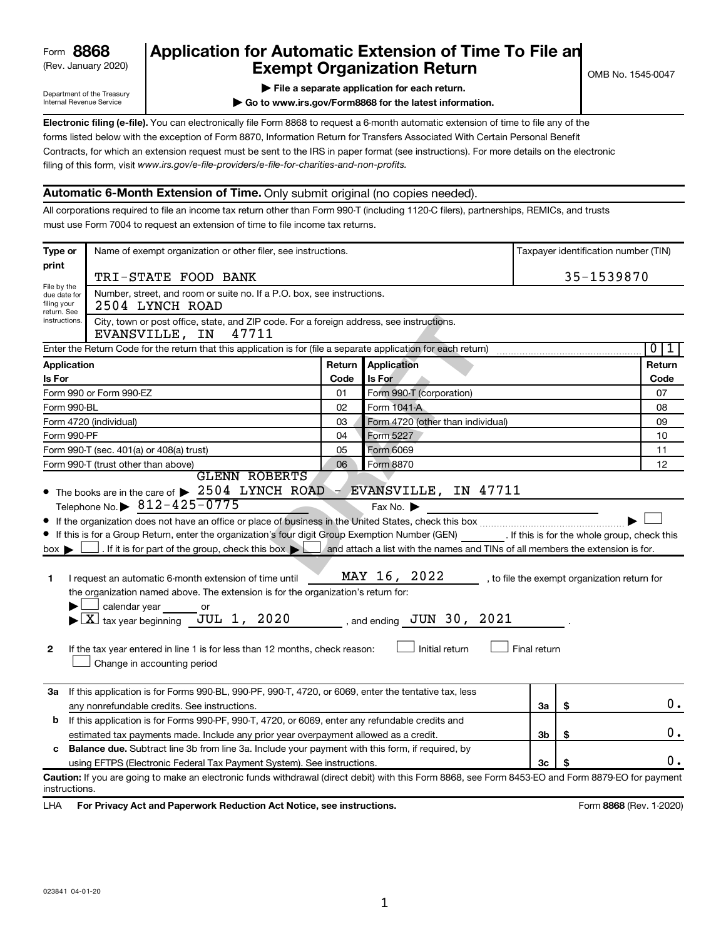| 8868<br>Form |  |
|--------------|--|
|--------------|--|

# (Rev. January 2020) **Cxempt Organization Return** Manuary 2020) and the settern **Canadian Exempt Organization Return** Form **8868 Application for Automatic Extension of Time To File an**<br>**Exempt Organization Beturn**

Department of the Treasury Internal Revenue Service

|  |  | File a separate application for each return. |
|--|--|----------------------------------------------|

**| Go to www.irs.gov/Form8868 for the latest information.**

**Electronic filing (e-file).** You can electronically file Form 8868 to request a 6-month automatic extension of time to file any of the filing of this form, visit www.irs.gov/e-file-providers/e-file-for-charities-and-non-profits. forms listed below with the exception of Form 8870, Information Return for Transfers Associated With Certain Personal Benefit Contracts, for which an extension request must be sent to the IRS in paper format (see instructions). For more details on the electronic

## **Automatic 6-Month Extension of Time.** Only submit original (no copies needed).

All corporations required to file an income tax return other than Form 990-T (including 1120-C filers), partnerships, REMICs, and trusts must use Form 7004 to request an extension of time to file income tax returns.

| Type or                        | Name of exempt organization or other filer, see instructions.<br>Taxpayer identification number (TIN)                                                                                                                                                                                                                                                                                                                                                                                                                                                                                                                                                      |        |                                                                 |              |            |                                              |  |
|--------------------------------|------------------------------------------------------------------------------------------------------------------------------------------------------------------------------------------------------------------------------------------------------------------------------------------------------------------------------------------------------------------------------------------------------------------------------------------------------------------------------------------------------------------------------------------------------------------------------------------------------------------------------------------------------------|--------|-----------------------------------------------------------------|--------------|------------|----------------------------------------------|--|
| print                          | TRI-STATE FOOD BANK                                                                                                                                                                                                                                                                                                                                                                                                                                                                                                                                                                                                                                        |        |                                                                 |              | 35-1539870 |                                              |  |
| File by the<br>due date for    | Number, street, and room or suite no. If a P.O. box, see instructions.                                                                                                                                                                                                                                                                                                                                                                                                                                                                                                                                                                                     |        |                                                                 |              |            |                                              |  |
| filing your<br>return. See     | 2504 LYNCH ROAD                                                                                                                                                                                                                                                                                                                                                                                                                                                                                                                                                                                                                                            |        |                                                                 |              |            |                                              |  |
| instructions.                  | City, town or post office, state, and ZIP code. For a foreign address, see instructions.<br>47711<br>EVANSVILLE, IN                                                                                                                                                                                                                                                                                                                                                                                                                                                                                                                                        |        |                                                                 |              |            |                                              |  |
|                                | Enter the Return Code for the return that this application is for (file a separate application for each return)                                                                                                                                                                                                                                                                                                                                                                                                                                                                                                                                            |        |                                                                 |              |            | 0 <br>1                                      |  |
| <b>Application</b>             |                                                                                                                                                                                                                                                                                                                                                                                                                                                                                                                                                                                                                                                            | Return | Application                                                     |              |            | Return                                       |  |
| <b>Is For</b>                  |                                                                                                                                                                                                                                                                                                                                                                                                                                                                                                                                                                                                                                                            | Code   | Is For                                                          |              |            | Code                                         |  |
|                                | Form 990 or Form 990-EZ                                                                                                                                                                                                                                                                                                                                                                                                                                                                                                                                                                                                                                    | 01     | Form 990-T (corporation)                                        |              |            | 07                                           |  |
| Form 990-BL                    |                                                                                                                                                                                                                                                                                                                                                                                                                                                                                                                                                                                                                                                            | 02     | Form 1041-A                                                     |              |            | 08                                           |  |
|                                | Form 4720 (other than individual)<br>Form 4720 (individual)<br>03                                                                                                                                                                                                                                                                                                                                                                                                                                                                                                                                                                                          |        |                                                                 |              | 09         |                                              |  |
| Form 990-PF                    |                                                                                                                                                                                                                                                                                                                                                                                                                                                                                                                                                                                                                                                            | 04     | Form 5227                                                       |              |            | 10                                           |  |
|                                | Form 990-T (sec. 401(a) or 408(a) trust)<br>05<br>Form 6069                                                                                                                                                                                                                                                                                                                                                                                                                                                                                                                                                                                                |        |                                                                 |              |            | 11                                           |  |
|                                | Form 990-T (trust other than above)<br>06<br>Form 8870<br><b>GLENN ROBERTS</b>                                                                                                                                                                                                                                                                                                                                                                                                                                                                                                                                                                             |        |                                                                 |              |            | 12                                           |  |
| $box \triangleright$<br>1<br>2 | If this is for a Group Return, enter the organization's four digit Group Exemption Number (GEN) [If this is for the whole group, check this<br>. If it is for part of the group, check this box $\Box$ and attach a list with the names and TINs of all members the extension is for.<br>I request an automatic 6-month extension of time until<br>the organization named above. The extension is for the organization's return for:<br>calendar year<br>or<br>JUL 1, 2020<br>$\blacktriangleright$ $\lfloor$ X $\rfloor$ tax year beginning<br>If the tax year entered in line 1 is for less than 12 months, check reason:<br>Change in accounting period |        | MAY 16, 2022<br>, and ending $JUN$ 30, $2021$<br>Initial return | Final return |            | , to file the exempt organization return for |  |
|                                | 3a If this application is for Forms 990-BL, 990-PF, 990-T, 4720, or 6069, enter the tentative tax, less<br>any nonrefundable credits. See instructions.                                                                                                                                                                                                                                                                                                                                                                                                                                                                                                    |        |                                                                 | За           | \$         | 0.                                           |  |
| b                              | If this application is for Forms 990-PF, 990-T, 4720, or 6069, enter any refundable credits and                                                                                                                                                                                                                                                                                                                                                                                                                                                                                                                                                            |        |                                                                 |              |            |                                              |  |
|                                | estimated tax payments made. Include any prior year overpayment allowed as a credit.                                                                                                                                                                                                                                                                                                                                                                                                                                                                                                                                                                       |        |                                                                 | Зb           | \$         | 0.                                           |  |
| c                              | <b>Balance due.</b> Subtract line 3b from line 3a. Include your payment with this form, if required, by                                                                                                                                                                                                                                                                                                                                                                                                                                                                                                                                                    |        |                                                                 |              |            |                                              |  |
|                                | using EFTPS (Electronic Federal Tax Payment System). See instructions.                                                                                                                                                                                                                                                                                                                                                                                                                                                                                                                                                                                     |        |                                                                 | 3c           |            | 0.                                           |  |
| instructions.                  | Caution: If you are going to make an electronic funds withdrawal (direct debit) with this Form 8868, see Form 8453-EO and Form 8879-EO for payment                                                                                                                                                                                                                                                                                                                                                                                                                                                                                                         |        |                                                                 |              |            |                                              |  |

LHA For Privacy Act and Paperwork Reduction Act Notice, see instructions. **8868** CREV. 1-2020)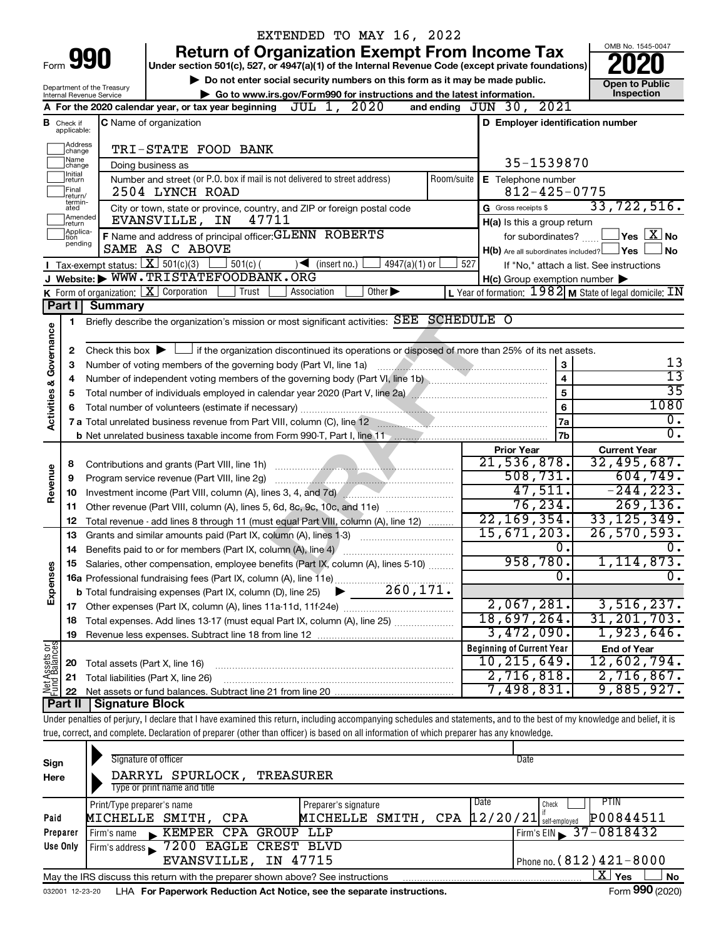|                         |                               |                                                        | EXTENDED TO MAY 16, 2022                                                                                                                                                   |                                                                               |                                                                    |
|-------------------------|-------------------------------|--------------------------------------------------------|----------------------------------------------------------------------------------------------------------------------------------------------------------------------------|-------------------------------------------------------------------------------|--------------------------------------------------------------------|
|                         |                               |                                                        | <b>Return of Organization Exempt From Income Tax</b>                                                                                                                       |                                                                               | OMB No. 1545-0047                                                  |
|                         |                               | Form 990                                               | Under section 501(c), 527, or 4947(a)(1) of the Internal Revenue Code (except private foundations)                                                                         |                                                                               |                                                                    |
|                         |                               |                                                        | Do not enter social security numbers on this form as it may be made public.                                                                                                |                                                                               | <b>Open to Public</b>                                              |
|                         |                               | Department of the Treasury<br>Internal Revenue Service | Go to www.irs.gov/Form990 for instructions and the latest information.                                                                                                     |                                                                               | Inspection                                                         |
|                         |                               |                                                        | JUL 1, 2020<br>A For the 2020 calendar year, or tax year beginning                                                                                                         | and ending JUN 30, 2021                                                       |                                                                    |
|                         | <b>B</b> Check if applicable: |                                                        | <b>C</b> Name of organization                                                                                                                                              | D Employer identification number                                              |                                                                    |
|                         | Address<br> change<br> Name   |                                                        | TRI-STATE FOOD BANK                                                                                                                                                        |                                                                               |                                                                    |
|                         | change<br>Ilnitial            |                                                        | Doing business as                                                                                                                                                          | 35-1539870                                                                    |                                                                    |
|                         | return<br> Final              |                                                        | Number and street (or P.O. box if mail is not delivered to street address)<br>Room/suite<br>2504 LYNCH ROAD                                                                | E Telephone number<br>$812 - 425 - 0775$                                      |                                                                    |
|                         | lreturn/<br>termin-<br>ated   |                                                        | City or town, state or province, country, and ZIP or foreign postal code                                                                                                   | G Gross receipts \$                                                           | 33,722,516.                                                        |
|                         | Amended<br>Ireturn            |                                                        | 47711<br>EVANSVILLE, IN                                                                                                                                                    | H(a) Is this a group return                                                   |                                                                    |
|                         | Applica-<br>ltion             |                                                        | F Name and address of principal officer: GLENN ROBERTS                                                                                                                     | for subordinates?                                                             | $\mathsf{\perp}$ Yes $\mathsf{\perp} \mathbf{X} \mathsf{\perp}$ No |
|                         | pending                       |                                                        | SAME AS C ABOVE                                                                                                                                                            | $H(b)$ Are all subordinates included? $\Box$ Yes                              | ⊥No                                                                |
|                         |                               |                                                        | Tax-exempt status: $X \over 301(c)(3)$<br>$501(c)$ (<br>$\sqrt{\bullet}$ (insert no.)<br>$4947(a)(1)$ or                                                                   | 527                                                                           | If "No," attach a list. See instructions                           |
|                         |                               |                                                        | J Website: WWW.TRISTATEFOODBANK.ORG                                                                                                                                        | $H(c)$ Group exemption number $\blacktriangleright$                           |                                                                    |
|                         |                               |                                                        | K Form of organization: $X$ Corporation<br>Other $\blacktriangleright$<br>Trust<br>Association                                                                             | L Year of formation: $1982$ M State of legal domicile: $\overline{\text{IN}}$ |                                                                    |
|                         | Part I                        | <b>Summary</b>                                         |                                                                                                                                                                            |                                                                               |                                                                    |
|                         | 1                             |                                                        | Briefly describe the organization's mission or most significant activities: SEE SCHEDULE O                                                                                 |                                                                               |                                                                    |
| Governance              |                               |                                                        |                                                                                                                                                                            |                                                                               |                                                                    |
|                         | 2                             |                                                        | Check this box $\blacktriangleright$ $\Box$ if the organization discontinued its operations or disposed of more than 25% of its net assets.                                |                                                                               |                                                                    |
|                         | 3                             |                                                        | Number of voting members of the governing body (Part VI, line 1a)                                                                                                          | 3                                                                             | 13<br>$\overline{13}$                                              |
|                         | 4                             |                                                        |                                                                                                                                                                            | $\overline{\mathbf{4}}$                                                       | $\overline{35}$                                                    |
|                         | 5                             |                                                        |                                                                                                                                                                            | 5                                                                             | 1080                                                               |
| <b>Activities &amp;</b> | 6                             |                                                        |                                                                                                                                                                            | 6                                                                             | $\overline{0}$ .                                                   |
|                         |                               |                                                        | 7 a Total unrelated business revenue from Part VIII, column (C), line 12 <b>Column 2016</b>                                                                                | 7a<br>7b                                                                      | $\overline{0}$ .                                                   |
|                         |                               |                                                        | b Net unrelated business taxable income from Form 990-T, Part I, line 11 [2011] [2012] [2012] [2012] [30] [30]                                                             |                                                                               |                                                                    |
|                         |                               |                                                        |                                                                                                                                                                            | <b>Prior Year</b><br>21,536,878.                                              | <b>Current Year</b><br>32,495,687.                                 |
|                         | 8                             |                                                        | Program service revenue (Part VIII, line 2g)                                                                                                                               | 508, 731.                                                                     | 604, 749.                                                          |
| Revenue                 | 9                             |                                                        | Investment income (Part VIII, column (A), lines 3, 4, and 7d)                                                                                                              | 47,511.                                                                       | $-244, 223.$                                                       |
|                         | 10<br>11                      |                                                        | Other revenue (Part VIII, column (A), lines 5, 6d, 8c, 9c, 10c, and 11e)                                                                                                   | 76, 234.                                                                      | 269, 136.                                                          |
|                         | 12                            |                                                        | Total revenue - add lines 8 through 11 (must equal Part VIII, column (A), line 12)                                                                                         | 22, 169, 354.                                                                 | 33, 125, 349.                                                      |
|                         | 13                            |                                                        | Grants and similar amounts paid (Part IX, column (A), lines 1-3)                                                                                                           | 15,671,203.                                                                   | 26, 570, 593.                                                      |
|                         | 14                            |                                                        | Benefits paid to or for members (Part IX, column (A), line 4)                                                                                                              | $\overline{0}$ .                                                              | 0.                                                                 |
|                         |                               |                                                        | Salaries, other compensation, employee benefits (Part IX, column (A), lines 5-10)                                                                                          | 958,780.                                                                      | 1, 114, 873.                                                       |
|                         |                               |                                                        |                                                                                                                                                                            | Ο.                                                                            | $\overline{0}$ .                                                   |
| Expenses                |                               |                                                        | 260, 171.<br><b>b</b> Total fundraising expenses (Part IX, column (D), line 25)                                                                                            |                                                                               |                                                                    |
|                         |                               |                                                        |                                                                                                                                                                            | 2,067,281.                                                                    | 3,516,237.                                                         |
|                         | 18                            |                                                        | Total expenses. Add lines 13-17 (must equal Part IX, column (A), line 25)                                                                                                  | 18,697,264.                                                                   | 31, 201, 703.                                                      |
|                         | 19                            |                                                        |                                                                                                                                                                            | 3,472,090.                                                                    | 1,923,646.                                                         |
| Net Assets or           |                               |                                                        |                                                                                                                                                                            | <b>Beginning of Current Year</b>                                              | <b>End of Year</b>                                                 |
|                         | 20                            | Total assets (Part X, line 16)                         |                                                                                                                                                                            | 10, 215, 649.                                                                 | 12,602,794.                                                        |
|                         | 21                            |                                                        | Total liabilities (Part X, line 26)                                                                                                                                        | 2,716,818.                                                                    | 2,716,867.                                                         |
|                         | 22                            |                                                        |                                                                                                                                                                            | 7,498,831.                                                                    | 9,885,927.                                                         |
|                         | Part II                       | Signature Block                                        |                                                                                                                                                                            |                                                                               |                                                                    |
|                         |                               |                                                        | Under penalties of perjury, I declare that I have examined this return, including accompanying schedules and statements, and to the best of my knowledge and belief, it is |                                                                               |                                                                    |
|                         |                               |                                                        | true, correct, and complete. Declaration of preparer (other than officer) is based on all information of which preparer has any knowledge.                                 |                                                                               |                                                                    |
|                         |                               |                                                        |                                                                                                                                                                            |                                                                               |                                                                    |
| Sign                    |                               |                                                        | Signature of officer                                                                                                                                                       | Date                                                                          |                                                                    |
| Here                    |                               |                                                        | DARRYL SPURLOCK, TREASURER                                                                                                                                                 |                                                                               |                                                                    |

| Here     | DARRYL SPURLOCK,                                                                | TREASURER                                      |                                |
|----------|---------------------------------------------------------------------------------|------------------------------------------------|--------------------------------|
|          | Type or print name and title                                                    |                                                |                                |
|          | Print/Type preparer's name                                                      | Preparer's signature                           | Date<br>PTIN<br>Check          |
| Paid     | MICHELLE SMITH, CPA                                                             | MICHELLE SMITH, CPA $ 12/20/21 $ self-employed | P00844511                      |
| Preparer | KEMPER CPA GROUP LLP<br>: Firm's name                                           |                                                | $Firm's EIN = 37 - 0818432$    |
| Use Only | Firm's address 3200 EAGLE CREST BLVD                                            |                                                |                                |
|          | EVANSVILLE, IN 47715                                                            |                                                | Phone no. $(812)$ $421 - 8000$ |
|          | May the IRS discuss this return with the preparer shown above? See instructions |                                                | x.<br><b>No</b><br>Yes         |
|          |                                                                                 |                                                | $- - -$                        |

032001 12-23-20 LHA **For Paperwork Reduction Act Notice, see the separate instructions.** Form 990 (2020)

Form 990 (2020)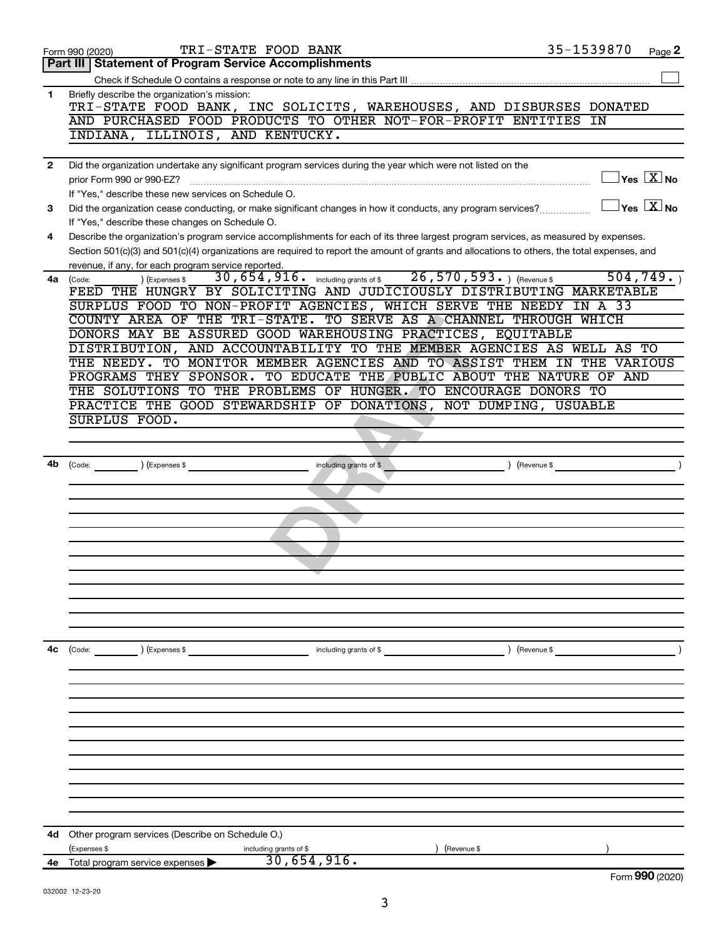|              | TRI-STATE FOOD BANK<br>Form 990 (2020)                                                                                                       | 35-1539870    | Page 2                                           |
|--------------|----------------------------------------------------------------------------------------------------------------------------------------------|---------------|--------------------------------------------------|
|              | Part III   Statement of Program Service Accomplishments                                                                                      |               |                                                  |
|              |                                                                                                                                              |               |                                                  |
| 1            | Briefly describe the organization's mission:                                                                                                 |               |                                                  |
|              | TRI-STATE FOOD BANK, INC SOLICITS, WAREHOUSES, AND DISBURSES DONATED                                                                         |               |                                                  |
|              | AND PURCHASED FOOD PRODUCTS TO OTHER NOT-FOR-PROFIT ENTITIES                                                                                 | ΙN            |                                                  |
|              | INDIANA, ILLINOIS, AND KENTUCKY.                                                                                                             |               |                                                  |
|              |                                                                                                                                              |               |                                                  |
| $\mathbf{2}$ | Did the organization undertake any significant program services during the year which were not listed on the                                 |               | $\mathsf{Yes}\ \overline{\mathbf{X}}\mathsf{No}$ |
|              | prior Form 990 or 990-EZ?<br>If "Yes," describe these new services on Schedule O.                                                            |               |                                                  |
| 3            | Did the organization cease conducting, or make significant changes in how it conducts, any program services?                                 |               | $\sqrt{}$ Yes $\sqrt{X}$ No                      |
|              | If "Yes," describe these changes on Schedule O.                                                                                              |               |                                                  |
| 4            | Describe the organization's program service accomplishments for each of its three largest program services, as measured by expenses.         |               |                                                  |
|              | Section 501(c)(3) and 501(c)(4) organizations are required to report the amount of grants and allocations to others, the total expenses, and |               |                                                  |
|              | revenue, if any, for each program service reported.                                                                                          |               |                                                  |
| 4a           | 30, 654, 916. including grants of \$26, 570, 593. ) (Revenue \$<br>(Expenses \$<br>(Code:                                                    | 504, 749.     |                                                  |
|              | FEED THE HUNGRY BY SOLICITING AND JUDICIOUSLY DISTRIBUTING MARKETABLE                                                                        |               |                                                  |
|              | SURPLUS FOOD TO NON-PROFIT AGENCIES, WHICH SERVE THE NEEDY IN A 33                                                                           |               |                                                  |
|              | COUNTY AREA OF THE TRI-STATE. TO SERVE AS A CHANNEL THROUGH WHICH                                                                            |               |                                                  |
|              | DONORS MAY BE ASSURED GOOD WAREHOUSING PRACTICES, EQUITABLE                                                                                  |               |                                                  |
|              | DISTRIBUTION, AND ACCOUNTABILITY TO THE MEMBER AGENCIES AS WELL AS TO                                                                        |               |                                                  |
|              | THE NEEDY. TO MONITOR MEMBER AGENCIES AND TO ASSIST THEM IN THE VARIOUS                                                                      |               |                                                  |
|              | PROGRAMS THEY SPONSOR. TO EDUCATE THE PUBLIC ABOUT THE NATURE OF AND<br>THE SOLUTIONS TO THE PROBLEMS OF HUNGER. TO ENCOURAGE DONORS TO      |               |                                                  |
|              | PRACTICE THE GOOD STEWARDSHIP OF DONATIONS, NOT DUMPING, USUABLE                                                                             |               |                                                  |
|              | SURPLUS FOOD.                                                                                                                                |               |                                                  |
|              |                                                                                                                                              |               |                                                  |
|              |                                                                                                                                              |               |                                                  |
| 4b           | (Expenses \$<br>including grants of \$<br>(Code:                                                                                             | ) (Revenue \$ |                                                  |
|              |                                                                                                                                              |               |                                                  |
|              |                                                                                                                                              |               |                                                  |
|              |                                                                                                                                              |               |                                                  |
|              |                                                                                                                                              |               |                                                  |
|              |                                                                                                                                              |               |                                                  |
|              |                                                                                                                                              |               |                                                  |
|              |                                                                                                                                              |               |                                                  |
|              |                                                                                                                                              |               |                                                  |
|              |                                                                                                                                              |               |                                                  |
|              |                                                                                                                                              |               |                                                  |
|              |                                                                                                                                              |               |                                                  |
| 4с           | ) (Expenses \$<br>including grants of \$<br>$\left(\text{Code:}\right)$                                                                      | ) (Revenue \$ |                                                  |
|              |                                                                                                                                              |               |                                                  |
|              |                                                                                                                                              |               |                                                  |
|              |                                                                                                                                              |               |                                                  |
|              |                                                                                                                                              |               |                                                  |
|              |                                                                                                                                              |               |                                                  |
|              |                                                                                                                                              |               |                                                  |
|              |                                                                                                                                              |               |                                                  |
|              |                                                                                                                                              |               |                                                  |
|              |                                                                                                                                              |               |                                                  |
|              |                                                                                                                                              |               |                                                  |
|              |                                                                                                                                              |               |                                                  |
| 4d           | Other program services (Describe on Schedule O.)                                                                                             |               |                                                  |
|              | (Expenses \$                                                                                                                                 | (Revenue \$   |                                                  |
| 4e           | including grants of \$ $30,654,916$ .<br>Total program service expenses                                                                      |               |                                                  |
|              |                                                                                                                                              |               | Form 990 (2020)                                  |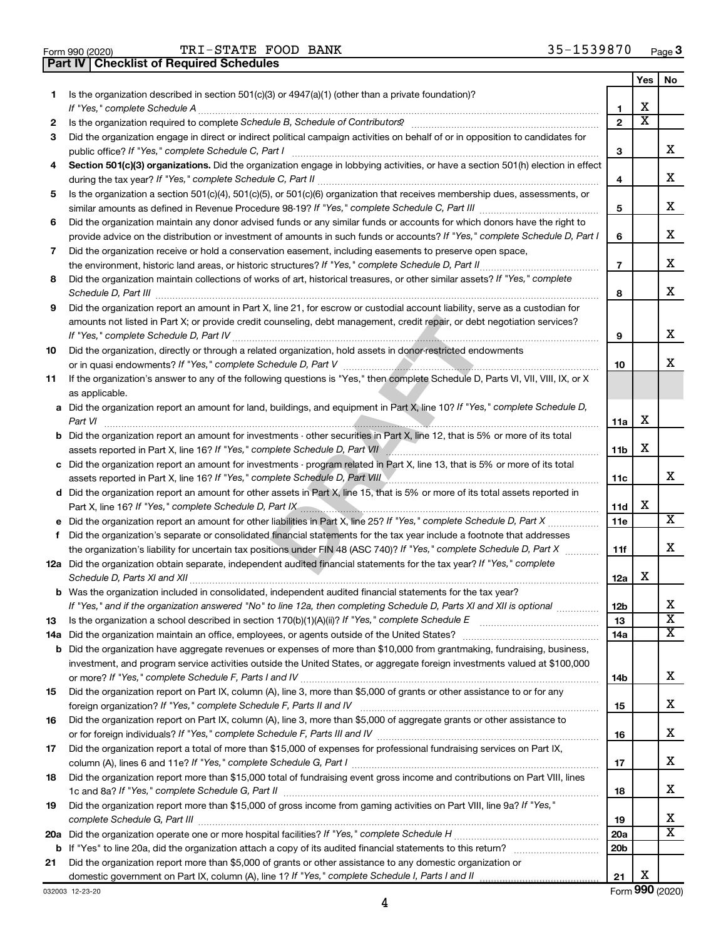|  | Form 990 (2020) |
|--|-----------------|

**Part IV Checklist of Required Schedules**

TRI-STATE FOOD BANK 35-1539870

|     |                                                                                                                                                                                                                                                     |                 | Yes                     | No                      |
|-----|-----------------------------------------------------------------------------------------------------------------------------------------------------------------------------------------------------------------------------------------------------|-----------------|-------------------------|-------------------------|
| 1.  | Is the organization described in section 501(c)(3) or 4947(a)(1) (other than a private foundation)?                                                                                                                                                 |                 | х                       |                         |
|     | If "Yes." complete Schedule A                                                                                                                                                                                                                       | 1               | $\overline{\textbf{X}}$ |                         |
| 2   |                                                                                                                                                                                                                                                     | $\mathbf{2}$    |                         |                         |
| 3   | Did the organization engage in direct or indirect political campaign activities on behalf of or in opposition to candidates for                                                                                                                     |                 |                         |                         |
|     | public office? If "Yes," complete Schedule C, Part I                                                                                                                                                                                                | 3               |                         | x.                      |
| 4   | Section 501(c)(3) organizations. Did the organization engage in lobbying activities, or have a section 501(h) election in effect                                                                                                                    |                 |                         |                         |
|     |                                                                                                                                                                                                                                                     | 4               |                         | x                       |
| 5   | Is the organization a section 501(c)(4), 501(c)(5), or 501(c)(6) organization that receives membership dues, assessments, or                                                                                                                        |                 |                         |                         |
|     |                                                                                                                                                                                                                                                     | 5               |                         | x                       |
| 6   | Did the organization maintain any donor advised funds or any similar funds or accounts for which donors have the right to                                                                                                                           |                 |                         |                         |
|     | provide advice on the distribution or investment of amounts in such funds or accounts? If "Yes," complete Schedule D, Part I                                                                                                                        | 6               |                         | x.                      |
| 7   | Did the organization receive or hold a conservation easement, including easements to preserve open space,                                                                                                                                           |                 |                         |                         |
|     |                                                                                                                                                                                                                                                     | $\overline{7}$  |                         | x                       |
| 8   | Did the organization maintain collections of works of art, historical treasures, or other similar assets? If "Yes," complete                                                                                                                        |                 |                         |                         |
|     | Schedule D, Part III                                                                                                                                                                                                                                | 8               |                         | x.                      |
| 9   | Did the organization report an amount in Part X, line 21, for escrow or custodial account liability, serve as a custodian for                                                                                                                       |                 |                         |                         |
|     | amounts not listed in Part X; or provide credit counseling, debt management, credit repair, or debt negotiation services?                                                                                                                           |                 |                         |                         |
|     |                                                                                                                                                                                                                                                     | 9               |                         | x                       |
| 10  | Did the organization, directly or through a related organization, hold assets in donor-restricted endowments                                                                                                                                        |                 |                         |                         |
|     |                                                                                                                                                                                                                                                     | 10              |                         | x.                      |
| 11  | If the organization's answer to any of the following questions is "Yes," then complete Schedule D, Parts VI, VII, VIII, IX, or X                                                                                                                    |                 |                         |                         |
|     | as applicable.                                                                                                                                                                                                                                      |                 |                         |                         |
|     | a Did the organization report an amount for land, buildings, and equipment in Part X, line 10? If "Yes," complete Schedule D,                                                                                                                       |                 |                         |                         |
|     | Part VI                                                                                                                                                                                                                                             | 11a             | х                       |                         |
|     | b Did the organization report an amount for investments - other securities in Part X, line 12, that is 5% or more of its total                                                                                                                      |                 |                         |                         |
|     |                                                                                                                                                                                                                                                     | 11 <sub>b</sub> | x                       |                         |
|     | c Did the organization report an amount for investments - program related in Part X, line 13, that is 5% or more of its total                                                                                                                       |                 |                         |                         |
|     | assets reported in Part X, line 16? If "Yes," complete Schedule D, Part VIII                                                                                                                                                                        | 11c             |                         | x                       |
|     | d Did the organization report an amount for other assets in Part X, line 15, that is 5% or more of its total assets reported in                                                                                                                     |                 |                         |                         |
|     | Part X, line 16? If "Yes," complete Schedule D, Part IX [19] D. The Committee of the Schedule D, Part IX [19] D                                                                                                                                     | 11d             | x                       |                         |
|     |                                                                                                                                                                                                                                                     | 11e             |                         | $\overline{\text{X}}$   |
|     |                                                                                                                                                                                                                                                     |                 |                         |                         |
|     | f Did the organization's separate or consolidated financial statements for the tax year include a footnote that addresses<br>the organization's liability for uncertain tax positions under FIN 48 (ASC 740)? If "Yes," complete Schedule D, Part X |                 |                         | x                       |
|     |                                                                                                                                                                                                                                                     | 11f             |                         |                         |
|     | 12a Did the organization obtain separate, independent audited financial statements for the tax year? If "Yes," complete                                                                                                                             |                 | x                       |                         |
|     |                                                                                                                                                                                                                                                     | 12a             |                         |                         |
|     | <b>b</b> Was the organization included in consolidated, independent audited financial statements for the tax year?                                                                                                                                  |                 |                         | х                       |
|     | If "Yes," and if the organization answered "No" to line 12a, then completing Schedule D, Parts XI and XII is optional                                                                                                                               | 12b             |                         | $\overline{\textbf{x}}$ |
| 13  | Is the organization a school described in section 170(b)(1)(A)(ii)? If "Yes," complete Schedule E                                                                                                                                                   | 13              |                         | $\overline{\text{X}}$   |
| 14a |                                                                                                                                                                                                                                                     | 14a             |                         |                         |
|     | <b>b</b> Did the organization have aggregate revenues or expenses of more than \$10,000 from grantmaking, fundraising, business,                                                                                                                    |                 |                         |                         |
|     | investment, and program service activities outside the United States, or aggregate foreign investments valued at \$100,000                                                                                                                          |                 |                         |                         |
|     |                                                                                                                                                                                                                                                     | 14b             |                         | x                       |
| 15  | Did the organization report on Part IX, column (A), line 3, more than \$5,000 of grants or other assistance to or for any                                                                                                                           |                 |                         |                         |
|     | foreign organization? If "Yes," complete Schedule F, Parts II and IV                                                                                                                                                                                | 15              |                         | x                       |
| 16  | Did the organization report on Part IX, column (A), line 3, more than \$5,000 of aggregate grants or other assistance to                                                                                                                            |                 |                         |                         |
|     |                                                                                                                                                                                                                                                     | 16              |                         | x                       |
| 17  | Did the organization report a total of more than \$15,000 of expenses for professional fundraising services on Part IX,                                                                                                                             |                 |                         |                         |
|     |                                                                                                                                                                                                                                                     | 17              |                         | x                       |
| 18  | Did the organization report more than \$15,000 total of fundraising event gross income and contributions on Part VIII, lines                                                                                                                        |                 |                         |                         |
|     |                                                                                                                                                                                                                                                     | 18              |                         | x                       |
| 19  | Did the organization report more than \$15,000 of gross income from gaming activities on Part VIII, line 9a? If "Yes,"                                                                                                                              |                 |                         |                         |
|     |                                                                                                                                                                                                                                                     | 19              |                         | x                       |
|     |                                                                                                                                                                                                                                                     | <b>20a</b>      |                         | X                       |
|     |                                                                                                                                                                                                                                                     | 20 <sub>b</sub> |                         |                         |
| 21  | Did the organization report more than \$5,000 of grants or other assistance to any domestic organization or                                                                                                                                         |                 |                         |                         |
|     | domestic government on Part IX, column (A), line 1? If "Yes," complete Schedule I, Parts I and II                                                                                                                                                   | 21              | х                       |                         |

4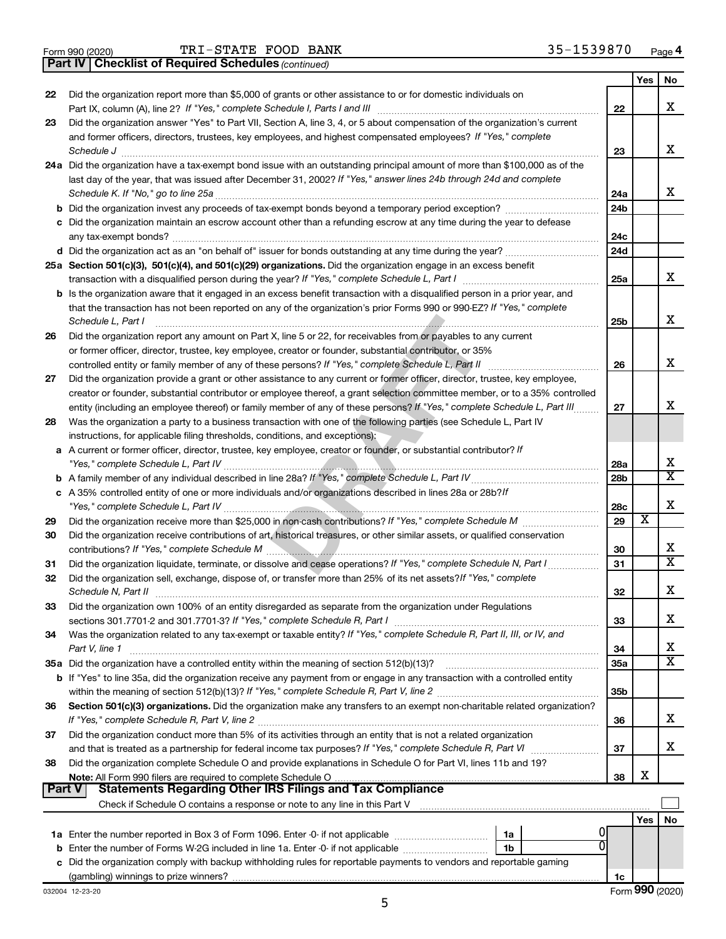|  | Form 990 (2020) |
|--|-----------------|
|  |                 |

Form 990 (2020)  $\text{TRI}-\text{STATE}$  FOOD BANK  $35-1539870$  Page

*(continued)* **Part IV Checklist of Required Schedules**

|        |                                                                                                                                                                                                                                               |                 | Yes | No                      |
|--------|-----------------------------------------------------------------------------------------------------------------------------------------------------------------------------------------------------------------------------------------------|-----------------|-----|-------------------------|
| 22     | Did the organization report more than \$5,000 of grants or other assistance to or for domestic individuals on                                                                                                                                 |                 |     |                         |
|        | Part IX, column (A), line 2? If "Yes," complete Schedule I, Parts I and III [11] [12] [12] Part IX, column (A), line 2? If "Yes," complete Schedule I, Parts I and III                                                                        | 22              |     | x                       |
| 23     | Did the organization answer "Yes" to Part VII, Section A, line 3, 4, or 5 about compensation of the organization's current                                                                                                                    |                 |     |                         |
|        | and former officers, directors, trustees, key employees, and highest compensated employees? If "Yes," complete                                                                                                                                |                 |     |                         |
|        | Schedule J                                                                                                                                                                                                                                    | 23              |     | x                       |
|        | 24a Did the organization have a tax-exempt bond issue with an outstanding principal amount of more than \$100,000 as of the                                                                                                                   |                 |     |                         |
|        | last day of the year, that was issued after December 31, 2002? If "Yes," answer lines 24b through 24d and complete                                                                                                                            |                 |     |                         |
|        | Schedule K. If "No," go to line 25a                                                                                                                                                                                                           | 24a             |     | x                       |
|        | <b>b</b> Did the organization invest any proceeds of tax-exempt bonds beyond a temporary period exception?                                                                                                                                    | 24 <sub>b</sub> |     |                         |
|        | c Did the organization maintain an escrow account other than a refunding escrow at any time during the year to defease                                                                                                                        |                 |     |                         |
|        | any tax-exempt bonds?                                                                                                                                                                                                                         | 24c             |     |                         |
|        |                                                                                                                                                                                                                                               | 24 <sub>d</sub> |     |                         |
|        | 25a Section 501(c)(3), 501(c)(4), and 501(c)(29) organizations. Did the organization engage in an excess benefit                                                                                                                              |                 |     | x                       |
|        | transaction with a disqualified person during the year? If "Yes," complete Schedule L, Part I                                                                                                                                                 | 25a             |     |                         |
|        | b Is the organization aware that it engaged in an excess benefit transaction with a disqualified person in a prior year, and                                                                                                                  |                 |     |                         |
|        | that the transaction has not been reported on any of the organization's prior Forms 990 or 990-EZ? If "Yes," complete                                                                                                                         |                 |     | x                       |
|        | Schedule L, Part I                                                                                                                                                                                                                            | 25b             |     |                         |
| 26     | Did the organization report any amount on Part X, line 5 or 22, for receivables from or payables to any current                                                                                                                               |                 |     |                         |
|        | or former officer, director, trustee, key employee, creator or founder, substantial contributor, or 35%                                                                                                                                       |                 |     | x                       |
|        | controlled entity or family member of any of these persons? If "Yes," complete Schedule L, Part II                                                                                                                                            | 26              |     |                         |
| 27     | Did the organization provide a grant or other assistance to any current or former officer, director, trustee, key employee,                                                                                                                   |                 |     |                         |
|        | creator or founder, substantial contributor or employee thereof, a grant selection committee member, or to a 35% controlled                                                                                                                   | 27              |     | x                       |
| 28     | entity (including an employee thereof) or family member of any of these persons? If "Yes," complete Schedule L, Part III<br>Was the organization a party to a business transaction with one of the following parties (see Schedule L, Part IV |                 |     |                         |
|        | instructions, for applicable filing thresholds, conditions, and exceptions):                                                                                                                                                                  |                 |     |                         |
|        | a A current or former officer, director, trustee, key employee, creator or founder, or substantial contributor? If                                                                                                                            |                 |     |                         |
|        | "Yes," complete Schedule L, Part IV                                                                                                                                                                                                           | 28a             |     | х                       |
|        |                                                                                                                                                                                                                                               | 28b             |     | $\overline{\mathtt{x}}$ |
|        | c A 35% controlled entity of one or more individuals and/or organizations described in lines 28a or 28b?/f                                                                                                                                    |                 |     |                         |
|        |                                                                                                                                                                                                                                               | 28c             |     | х                       |
| 29     |                                                                                                                                                                                                                                               | 29              | х   |                         |
| 30     | Did the organization receive contributions of art, historical treasures, or other similar assets, or qualified conservation                                                                                                                   |                 |     |                         |
|        | contributions? If "Yes," complete Schedule M                                                                                                                                                                                                  | 30              |     | x                       |
| 31     | Did the organization liquidate, terminate, or dissolve and cease operations? If "Yes," complete Schedule N, Part I                                                                                                                            | 31              |     | $\overline{\mathtt{x}}$ |
| 32     | Did the organization sell, exchange, dispose of, or transfer more than 25% of its net assets? If "Yes," complete                                                                                                                              |                 |     |                         |
|        | Schedule N, Part II                                                                                                                                                                                                                           | 32              |     | X                       |
| 33     | Did the organization own 100% of an entity disregarded as separate from the organization under Regulations                                                                                                                                    |                 |     |                         |
|        |                                                                                                                                                                                                                                               | 33              |     | х                       |
| 34     | Was the organization related to any tax-exempt or taxable entity? If "Yes," complete Schedule R, Part II, III, or IV, and                                                                                                                     |                 |     |                         |
|        | Part V, line 1                                                                                                                                                                                                                                | 34              |     | x                       |
|        |                                                                                                                                                                                                                                               | 35a             |     | $\overline{\mathtt{x}}$ |
|        | <b>b</b> If "Yes" to line 35a, did the organization receive any payment from or engage in any transaction with a controlled entity                                                                                                            |                 |     |                         |
|        |                                                                                                                                                                                                                                               | 35b             |     |                         |
| 36     | Section 501(c)(3) organizations. Did the organization make any transfers to an exempt non-charitable related organization?                                                                                                                    |                 |     |                         |
|        |                                                                                                                                                                                                                                               | 36              |     | x                       |
| 37     | Did the organization conduct more than 5% of its activities through an entity that is not a related organization                                                                                                                              |                 |     |                         |
|        | and that is treated as a partnership for federal income tax purposes? If "Yes," complete Schedule R, Part VI                                                                                                                                  | 37              |     | x                       |
| 38     | Did the organization complete Schedule O and provide explanations in Schedule O for Part VI, lines 11b and 19?                                                                                                                                |                 |     |                         |
|        |                                                                                                                                                                                                                                               | 38              | х   |                         |
| Part V | <b>Statements Regarding Other IRS Filings and Tax Compliance</b>                                                                                                                                                                              |                 |     |                         |
|        |                                                                                                                                                                                                                                               |                 |     |                         |
|        |                                                                                                                                                                                                                                               |                 | Yes | No                      |
|        | 1a<br>$\Omega$                                                                                                                                                                                                                                |                 |     |                         |
|        | <b>b</b> Enter the number of Forms W-2G included in line 1a. Enter -0- if not applicable <i>manumerances</i><br>1 <sub>b</sub>                                                                                                                |                 |     |                         |
|        | c Did the organization comply with backup withholding rules for reportable payments to vendors and reportable gaming                                                                                                                          |                 |     |                         |
|        |                                                                                                                                                                                                                                               | 1c              |     |                         |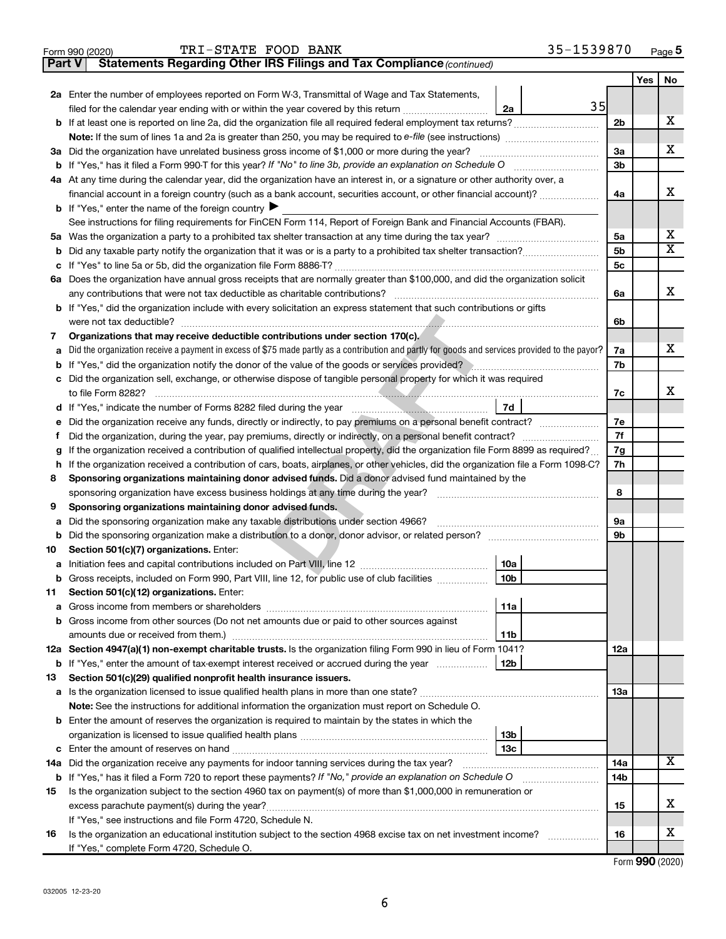|    |                                                                                                                                                 |     | Yes | No.                     |
|----|-------------------------------------------------------------------------------------------------------------------------------------------------|-----|-----|-------------------------|
|    | 2a Enter the number of employees reported on Form W-3, Transmittal of Wage and Tax Statements,                                                  |     |     |                         |
|    | 35<br>filed for the calendar year ending with or within the year covered by this return<br>2a                                                   |     |     |                         |
|    |                                                                                                                                                 | 2b  |     | x                       |
|    |                                                                                                                                                 |     |     |                         |
|    |                                                                                                                                                 |     |     | x                       |
|    | 3a Did the organization have unrelated business gross income of \$1,000 or more during the year?                                                | За  |     |                         |
|    |                                                                                                                                                 | 3b  |     |                         |
|    | 4a At any time during the calendar year, did the organization have an interest in, or a signature or other authority over, a                    |     |     |                         |
|    | financial account in a foreign country (such as a bank account, securities account, or other financial account)?                                | 4a  |     | х                       |
|    | <b>b</b> If "Yes," enter the name of the foreign country $\blacktriangleright$                                                                  |     |     |                         |
|    | See instructions for filing requirements for FinCEN Form 114, Report of Foreign Bank and Financial Accounts (FBAR).                             |     |     |                         |
| 5a |                                                                                                                                                 | 5a  |     | х                       |
| b  |                                                                                                                                                 | 5b  |     | $\overline{\texttt{X}}$ |
|    |                                                                                                                                                 | 5с  |     |                         |
|    | 6a Does the organization have annual gross receipts that are normally greater than \$100,000, and did the organization solicit                  |     |     |                         |
|    |                                                                                                                                                 | 6a  |     | х                       |
|    | <b>b</b> If "Yes," did the organization include with every solicitation an express statement that such contributions or gifts                   |     |     |                         |
|    |                                                                                                                                                 | 6b  |     |                         |
| 7  | Organizations that may receive deductible contributions under section 170(c).                                                                   |     |     |                         |
| а  | Did the organization receive a payment in excess of \$75 made partly as a contribution and partly for goods and services provided to the payor? | 7a  |     | х                       |
| b  | If "Yes," did the organization notify the donor of the value of the goods or services provided?                                                 | 7b  |     |                         |
|    | c Did the organization sell, exchange, or otherwise dispose of tangible personal property for which it was required                             |     |     |                         |
|    | to file Form 8282?                                                                                                                              | 7c  |     | x.                      |
|    | 7d<br>d If                                                                                                                                      |     |     |                         |
| е  |                                                                                                                                                 | 7e  |     |                         |
| f  |                                                                                                                                                 | 7f  |     |                         |
| g  | If the organization received a contribution of qualified intellectual property, did the organization file Form 8899 as required?                | 7g  |     |                         |
| h  | If the organization received a contribution of cars, boats, airplanes, or other vehicles, did the organization file a Form 1098-C?              | 7h  |     |                         |
| 8  | Sponsoring organizations maintaining donor advised funds. Did a donor advised fund maintained by the                                            |     |     |                         |
|    |                                                                                                                                                 | 8   |     |                         |
| 9  | Sponsoring organizations maintaining donor advised funds.                                                                                       |     |     |                         |
|    | Did the sponsoring organization make any taxable distributions under section 4966?                                                              | 9а  |     |                         |
| а  |                                                                                                                                                 | 9b  |     |                         |
| b  |                                                                                                                                                 |     |     |                         |
| 10 | Section 501(c)(7) organizations. Enter:                                                                                                         |     |     |                         |
| а  | 10a                                                                                                                                             |     |     |                         |
|    | 10 <sub>b</sub><br>b Gross receipts, included on Form 990, Part VIII, line 12, for public use of club facilities                                |     |     |                         |
| 11 | Section 501(c)(12) organizations. Enter:                                                                                                        |     |     |                         |
| а  | 11a<br>Gross income from members or shareholders                                                                                                |     |     |                         |
|    | b Gross income from other sources (Do not net amounts due or paid to other sources against                                                      |     |     |                         |
|    | amounts due or received from them.)<br>11b                                                                                                      |     |     |                         |
|    | 12a Section 4947(a)(1) non-exempt charitable trusts. Is the organization filing Form 990 in lieu of Form 1041?                                  | 12a |     |                         |
|    | 12b<br><b>b</b> If "Yes," enter the amount of tax-exempt interest received or accrued during the year                                           |     |     |                         |
| 13 | Section 501(c)(29) qualified nonprofit health insurance issuers.                                                                                |     |     |                         |
|    | <b>a</b> Is the organization licensed to issue qualified health plans in more than one state?                                                   | 13a |     |                         |
|    | Note: See the instructions for additional information the organization must report on Schedule O.                                               |     |     |                         |
|    | <b>b</b> Enter the amount of reserves the organization is required to maintain by the states in which the                                       |     |     |                         |
|    | 13b                                                                                                                                             |     |     |                         |
|    | 13c                                                                                                                                             |     |     |                         |
|    | 14a Did the organization receive any payments for indoor tanning services during the tax year?                                                  | 14a |     | х                       |
|    | <b>b</b> If "Yes," has it filed a Form 720 to report these payments? If "No," provide an explanation on Schedule O                              | 14b |     |                         |
| 15 | Is the organization subject to the section 4960 tax on payment(s) of more than \$1,000,000 in remuneration or                                   |     |     |                         |
|    |                                                                                                                                                 | 15  |     | x                       |
|    | If "Yes," see instructions and file Form 4720, Schedule N.                                                                                      |     |     |                         |
| 16 | Is the organization an educational institution subject to the section 4968 excise tax on net investment income?                                 | 16  |     | x                       |
|    |                                                                                                                                                 |     |     |                         |

Form (2020) **990**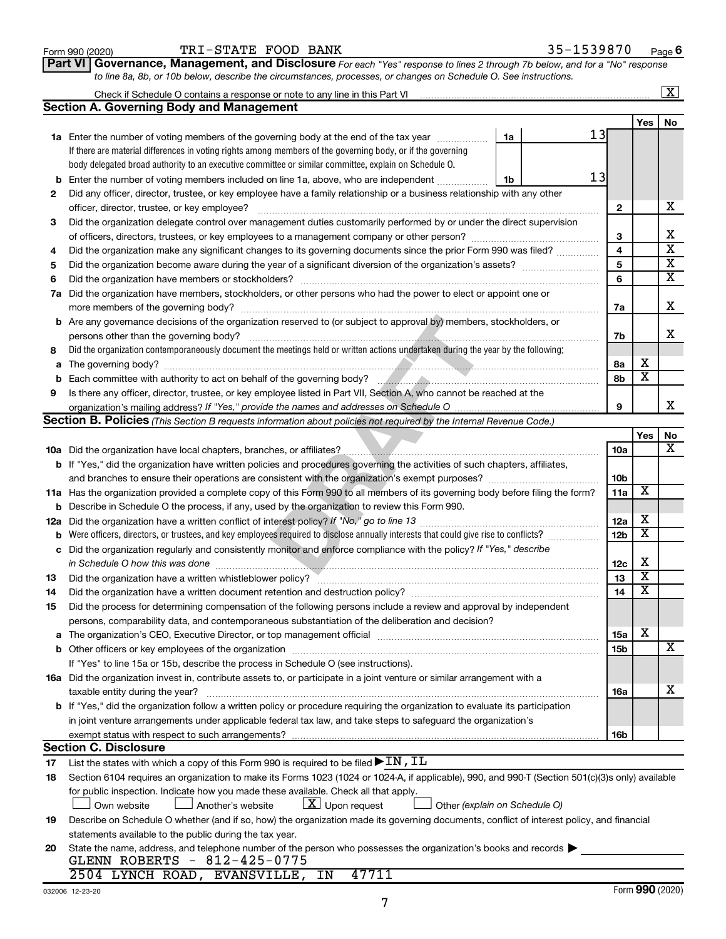| Form 990 (2020) |  |
|-----------------|--|
|-----------------|--|

#### Form 990 (2020)  $\text{TRI}-\text{STATE}$  FOOD BANK  $35-1539870$  Page

**Part VI** Governance, Management, and Disclosure For each "Yes" response to lines 2 through 7b below, and for a "No" response *to line 8a, 8b, or 10b below, describe the circumstances, processes, or changes on Schedule O. See instructions.*

|    |                                                                                                                                                  |                 |                         | $\overline{\mathbf{X}}$                            |  |  |  |  |  |
|----|--------------------------------------------------------------------------------------------------------------------------------------------------|-----------------|-------------------------|----------------------------------------------------|--|--|--|--|--|
|    | <b>Section A. Governing Body and Management</b>                                                                                                  |                 |                         |                                                    |  |  |  |  |  |
|    |                                                                                                                                                  |                 | Yes                     | No                                                 |  |  |  |  |  |
|    | 13<br><b>1a</b> Enter the number of voting members of the governing body at the end of the tax year<br>1a                                        |                 |                         |                                                    |  |  |  |  |  |
|    | If there are material differences in voting rights among members of the governing body, or if the governing                                      |                 |                         |                                                    |  |  |  |  |  |
|    | body delegated broad authority to an executive committee or similar committee, explain on Schedule O.                                            |                 |                         |                                                    |  |  |  |  |  |
| b  | 13<br>Enter the number of voting members included on line 1a, above, who are independent<br>1b                                                   |                 |                         |                                                    |  |  |  |  |  |
| 2  | Did any officer, director, trustee, or key employee have a family relationship or a business relationship with any other                         |                 |                         |                                                    |  |  |  |  |  |
|    | officer, director, trustee, or key employee?                                                                                                     | $\mathbf{2}$    |                         | х                                                  |  |  |  |  |  |
| 3  | Did the organization delegate control over management duties customarily performed by or under the direct supervision                            |                 |                         |                                                    |  |  |  |  |  |
|    |                                                                                                                                                  | 3               |                         | х                                                  |  |  |  |  |  |
| 4  | Did the organization make any significant changes to its governing documents since the prior Form 990 was filed?                                 | 4               |                         | $\overline{\mathbf{x}}$                            |  |  |  |  |  |
| 5  |                                                                                                                                                  |                 |                         |                                                    |  |  |  |  |  |
| 6  |                                                                                                                                                  | 5<br>6          |                         | $\overline{\mathbf{x}}$<br>$\overline{\mathbf{x}}$ |  |  |  |  |  |
| 7a | Did the organization have members, stockholders, or other persons who had the power to elect or appoint one or                                   |                 |                         |                                                    |  |  |  |  |  |
|    |                                                                                                                                                  | 7a              |                         | х                                                  |  |  |  |  |  |
|    | <b>b</b> Are any governance decisions of the organization reserved to (or subject to approval by) members, stockholders, or                      |                 |                         |                                                    |  |  |  |  |  |
|    | persons other than the governing body?                                                                                                           | 7b              |                         | x                                                  |  |  |  |  |  |
| 8  | Did the organization contemporaneously document the meetings held or written actions undertaken during the year by the following:                |                 |                         |                                                    |  |  |  |  |  |
|    |                                                                                                                                                  |                 | х                       |                                                    |  |  |  |  |  |
| а  |                                                                                                                                                  | 8а<br>8b        | $\overline{\textbf{x}}$ |                                                    |  |  |  |  |  |
| b  |                                                                                                                                                  |                 |                         |                                                    |  |  |  |  |  |
| 9  | Is there any officer, director, trustee, or key employee listed in Part VII, Section A, who cannot be reached at the                             | 9               |                         | x                                                  |  |  |  |  |  |
|    |                                                                                                                                                  |                 |                         |                                                    |  |  |  |  |  |
|    | <b>Section B. Policies</b> (This Section B requests information about policies not required by the Internal Revenue Code.)                       |                 |                         |                                                    |  |  |  |  |  |
|    |                                                                                                                                                  |                 | Yes                     | No<br>x                                            |  |  |  |  |  |
|    | <b>10a</b> Did the organization have local chapters, branches, or affiliates?                                                                    | 10a             |                         |                                                    |  |  |  |  |  |
|    | b If "Yes," did the organization have written policies and procedures governing the activities of such chapters, affiliates,                     |                 |                         |                                                    |  |  |  |  |  |
|    |                                                                                                                                                  | 10 <sub>b</sub> | $\overline{\mathbf{X}}$ |                                                    |  |  |  |  |  |
|    | 11a Has the organization provided a complete copy of this Form 990 to all members of its governing body before filing the form?                  | 11a             |                         |                                                    |  |  |  |  |  |
|    | <b>b</b> Describe in Schedule O the process, if any, used by the organization to review this Form 990.                                           |                 | х                       |                                                    |  |  |  |  |  |
|    | 12a Did the organization have a written conflict of interest policy? If "No," go to line 13                                                      | 12a             | $\overline{\textbf{x}}$ |                                                    |  |  |  |  |  |
| b  | Were officers, directors, or trustees, and key employees required to disclose annually interests that could give rise to conflicts?              | 12 <sub>b</sub> |                         |                                                    |  |  |  |  |  |
| с  | Did the organization regularly and consistently monitor and enforce compliance with the policy? If "Yes," describe                               |                 | X                       |                                                    |  |  |  |  |  |
|    |                                                                                                                                                  | 12c             | $\overline{\mathbf{X}}$ |                                                    |  |  |  |  |  |
| 13 |                                                                                                                                                  | 13              | $\overline{\mathbf{X}}$ |                                                    |  |  |  |  |  |
| 14 |                                                                                                                                                  | 14              |                         |                                                    |  |  |  |  |  |
| 15 | Did the process for determining compensation of the following persons include a review and approval by independent                               |                 |                         |                                                    |  |  |  |  |  |
|    | persons, comparability data, and contemporaneous substantiation of the deliberation and decision?                                                |                 |                         |                                                    |  |  |  |  |  |
|    | a The organization's CEO, Executive Director, or top management official manufactured content content of the o                                   | 15a             | х                       |                                                    |  |  |  |  |  |
|    |                                                                                                                                                  | 15b             |                         | х                                                  |  |  |  |  |  |
|    | If "Yes" to line 15a or 15b, describe the process in Schedule O (see instructions).                                                              |                 |                         |                                                    |  |  |  |  |  |
|    | 16a Did the organization invest in, contribute assets to, or participate in a joint venture or similar arrangement with a                        |                 |                         |                                                    |  |  |  |  |  |
|    | taxable entity during the year?                                                                                                                  | 16a             |                         | х                                                  |  |  |  |  |  |
|    | <b>b</b> If "Yes," did the organization follow a written policy or procedure requiring the organization to evaluate its participation            |                 |                         |                                                    |  |  |  |  |  |
|    | in joint venture arrangements under applicable federal tax law, and take steps to safequard the organization's                                   |                 |                         |                                                    |  |  |  |  |  |
|    | exempt status with respect to such arrangements?                                                                                                 | 16b             |                         |                                                    |  |  |  |  |  |
|    | <b>Section C. Disclosure</b>                                                                                                                     |                 |                         |                                                    |  |  |  |  |  |
| 17 | List the states with which a copy of this Form 990 is required to be filed $\blacktriangleright$ IN, IL                                          |                 |                         |                                                    |  |  |  |  |  |
| 18 | Section 6104 requires an organization to make its Forms 1023 (1024 or 1024-A, if applicable), 990, and 990-T (Section 501(c)(3)s only) available |                 |                         |                                                    |  |  |  |  |  |
|    | for public inspection. Indicate how you made these available. Check all that apply.                                                              |                 |                         |                                                    |  |  |  |  |  |
|    | $\lfloor x \rfloor$ Upon request<br>Another's website<br>Other (explain on Schedule O)<br>Own website                                            |                 |                         |                                                    |  |  |  |  |  |
| 19 | Describe on Schedule O whether (and if so, how) the organization made its governing documents, conflict of interest policy, and financial        |                 |                         |                                                    |  |  |  |  |  |
|    | statements available to the public during the tax year.                                                                                          |                 |                         |                                                    |  |  |  |  |  |
| 20 | State the name, address, and telephone number of the person who possesses the organization's books and records                                   |                 |                         |                                                    |  |  |  |  |  |
|    | GLENN ROBERTS - 812-425-0775                                                                                                                     |                 |                         |                                                    |  |  |  |  |  |
|    | 47711<br>2504 LYNCH ROAD, EVANSVILLE, IN                                                                                                         |                 |                         |                                                    |  |  |  |  |  |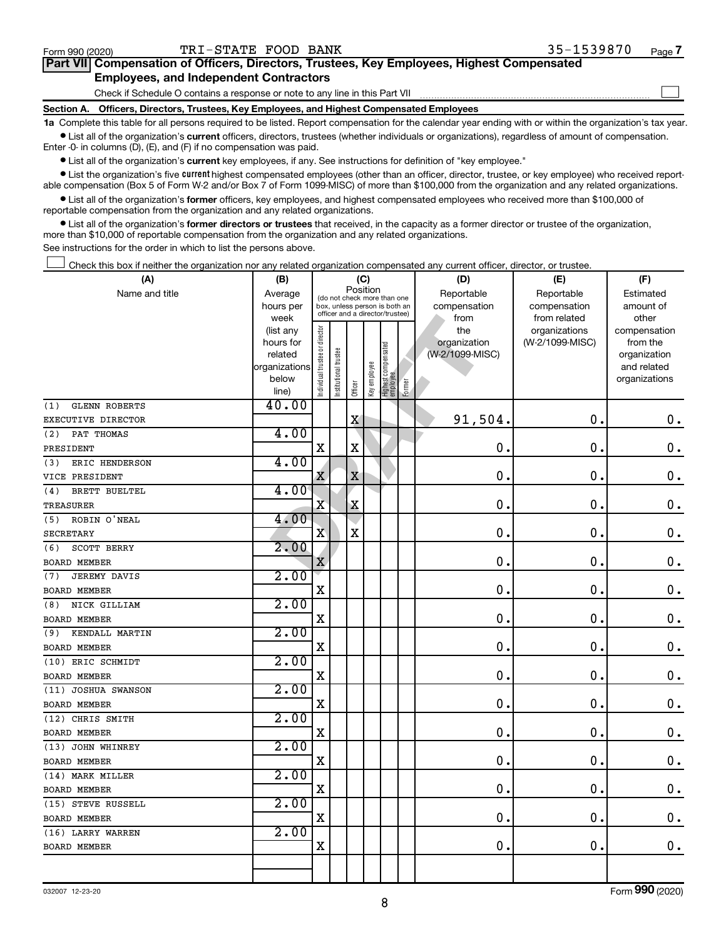Form (2020) **990**

| Check this box if neither the organization nor any related organization compensated any current officer, director, or trustee. |                        |                                |                                         |             |              |                                                                  |        |                     |                                  |                          |
|--------------------------------------------------------------------------------------------------------------------------------|------------------------|--------------------------------|-----------------------------------------|-------------|--------------|------------------------------------------------------------------|--------|---------------------|----------------------------------|--------------------------|
| (A)                                                                                                                            | (B)                    |                                |                                         | (C)         |              |                                                                  |        | (D)                 | (E)                              | (F)                      |
| Name and title                                                                                                                 | Average                |                                | Position<br>(do not check more than one |             |              |                                                                  |        | Reportable          | Reportable                       | Estimated                |
|                                                                                                                                | hours per              |                                |                                         |             |              | box, unless person is both an<br>officer and a director/trustee) |        | compensation        | compensation                     | amount of                |
|                                                                                                                                | week                   |                                |                                         |             |              |                                                                  |        | from                | from related                     | other                    |
|                                                                                                                                | (list any<br>hours for |                                |                                         |             |              |                                                                  |        | the<br>organization | organizations<br>(W-2/1099-MISC) | compensation<br>from the |
|                                                                                                                                | related                |                                |                                         |             |              |                                                                  |        | (W-2/1099-MISC)     |                                  | organization             |
|                                                                                                                                | organizations          |                                |                                         |             |              |                                                                  |        |                     |                                  | and related              |
|                                                                                                                                | below                  | Individual trustee or director | Institutional trustee                   |             | Key employee | Highest compensated<br>  employee                                |        |                     |                                  | organizations            |
|                                                                                                                                | line)                  |                                |                                         | Officer     |              |                                                                  | Former |                     |                                  |                          |
| <b>GLENN ROBERTS</b><br>(1)                                                                                                    | 40.00                  |                                |                                         |             |              |                                                                  |        |                     |                                  |                          |
| EXECUTIVE DIRECTOR                                                                                                             |                        |                                |                                         | X           |              |                                                                  |        | 91,504.             | $\mathbf 0$ .                    | $\mathbf 0$ .            |
| PAT THOMAS<br>(2)                                                                                                              | 4.00                   |                                |                                         |             |              |                                                                  |        |                     |                                  |                          |
| PRESIDENT                                                                                                                      |                        | X                              |                                         | X           |              |                                                                  |        | $\mathbf 0$ .       | 0.                               | 0.                       |
| ERIC HENDERSON<br>(3)                                                                                                          | 4.00                   |                                |                                         |             |              |                                                                  |        |                     |                                  |                          |
| VICE PRESIDENT                                                                                                                 |                        | X                              |                                         | $\mathbf X$ |              |                                                                  |        | $\mathbf 0$ .       | 0.                               | 0.                       |
| BRETT BUELTEL<br>(4)                                                                                                           | 4.00                   |                                |                                         |             |              |                                                                  |        |                     |                                  |                          |
| TREASURER                                                                                                                      |                        | X                              |                                         | Χ           |              |                                                                  |        | 0.                  | 0.                               | 0.                       |
| ROBIN O'NEAL<br>(5)                                                                                                            | 4.00                   |                                |                                         |             |              |                                                                  |        |                     |                                  |                          |
| <b>SECRETARY</b>                                                                                                               |                        | $\overline{\mathbf{X}}$        |                                         | X           |              |                                                                  |        | $\mathbf 0$ .       | 0.                               | 0.                       |
| SCOTT BERRY<br>(6)                                                                                                             | 2.00                   |                                |                                         |             |              |                                                                  |        |                     |                                  |                          |
| <b>BOARD MEMBER</b>                                                                                                            |                        | $\mathbf X$                    |                                         |             |              |                                                                  |        | $\mathbf 0$ .       | 0.                               | 0.                       |
| JEREMY DAVIS<br>(7)                                                                                                            | 2.00                   |                                |                                         |             |              |                                                                  |        |                     |                                  |                          |
| <b>BOARD MEMBER</b>                                                                                                            |                        | X                              |                                         |             |              |                                                                  |        | 0.                  | 0.                               | 0.                       |
| NICK GILLIAM<br>(8)                                                                                                            | 2.00                   |                                |                                         |             |              |                                                                  |        |                     |                                  |                          |
| <b>BOARD MEMBER</b>                                                                                                            |                        | X                              |                                         |             |              |                                                                  |        | $\mathbf 0$ .       | 0.                               | 0.                       |
| KENDALL MARTIN<br>(9)                                                                                                          | 2.00                   |                                |                                         |             |              |                                                                  |        |                     |                                  |                          |
| <b>BOARD MEMBER</b>                                                                                                            |                        | X                              |                                         |             |              |                                                                  |        | $\mathbf 0$ .       | 0.                               | 0.                       |
| (10) ERIC SCHMIDT                                                                                                              | 2.00                   |                                |                                         |             |              |                                                                  |        |                     |                                  |                          |
| <b>BOARD MEMBER</b>                                                                                                            |                        | X                              |                                         |             |              |                                                                  |        | $\mathbf 0$ .       | 0.                               | 0.                       |
| (11) JOSHUA SWANSON                                                                                                            | 2.00                   |                                |                                         |             |              |                                                                  |        |                     |                                  |                          |
| <b>BOARD MEMBER</b>                                                                                                            |                        | X                              |                                         |             |              |                                                                  |        | $\mathbf 0$ .       | 0.                               | 0.                       |
| (12) CHRIS SMITH                                                                                                               | 2.00                   |                                |                                         |             |              |                                                                  |        |                     |                                  |                          |
| <b>BOARD MEMBER</b>                                                                                                            |                        | X                              |                                         |             |              |                                                                  |        | $\mathbf 0$ .       | 0.                               | 0.                       |
| (13) JOHN WHINREY                                                                                                              | 2.00                   |                                |                                         |             |              |                                                                  |        |                     |                                  |                          |
| <b>BOARD MEMBER</b>                                                                                                            |                        | X                              |                                         |             |              |                                                                  |        | О.                  | 0                                | 0.                       |
| (14) MARK MILLER                                                                                                               | 2.00                   |                                |                                         |             |              |                                                                  |        |                     |                                  |                          |
| <b>BOARD MEMBER</b>                                                                                                            |                        | x                              |                                         |             |              |                                                                  |        | $\mathbf 0$ .       | 0.                               | 0.                       |
| (15) STEVE RUSSELL                                                                                                             | 2.00                   |                                |                                         |             |              |                                                                  |        |                     |                                  |                          |
| <b>BOARD MEMBER</b>                                                                                                            |                        | X                              |                                         |             |              |                                                                  |        | 0.                  | $\mathbf 0$ .                    | 0.                       |
| (16) LARRY WARREN                                                                                                              | 2.00                   |                                |                                         |             |              |                                                                  |        |                     |                                  |                          |
| <b>BOARD MEMBER</b>                                                                                                            |                        | X                              |                                         |             |              |                                                                  |        | 0.                  | 0.                               | $0$ .                    |
|                                                                                                                                |                        |                                |                                         |             |              |                                                                  |        |                     |                                  |                          |
|                                                                                                                                |                        |                                |                                         |             |              |                                                                  |        |                     |                                  | $\overline{\phantom{a}}$ |

**•** List all of the organization's current key employees, if any. See instructions for definition of "key employee." Enter -0- in columns (D), (E), and (F) if no compensation was paid.

**Section A. Officers, Directors, Trustees, Key Employees, and Highest Compensated Employees**

Check if Schedule O contains a response or note to any line in this Part VII

• List the organization's five *current* highest compensated employees (other than an officer, director, trustee, or key employee) who received reportable compensation (Box 5 of Form W-2 and/or Box 7 of Form 1099-MISC) of more than \$100,000 from the organization and any related organizations.

**1a**  Complete this table for all persons required to be listed. Report compensation for the calendar year ending with or within the organization's tax year.  $\bullet$  List all of the organization's current officers, directors, trustees (whether individuals or organizations), regardless of amount of compensation.

 $\bullet$  List all of the organization's former officers, key employees, and highest compensated employees who received more than \$100,000 of reportable compensation from the organization and any related organizations.

**•** List all of the organization's former directors or trustees that received, in the capacity as a former director or trustee of the organization, more than \$10,000 of reportable compensation from the organization and any related organizations.

See instructions for the order in which to list the persons above.

#### **Part VII Compensation of Officers, Directors, Trustees, Key Employees, Highest Compensated**

**Employees, and Independent Contractors**

#### Form 990 (2020)  $\text{TRI}-\text{STATE}$  FOOD BANK  $35-1539870$  Page **7**

 $\Box$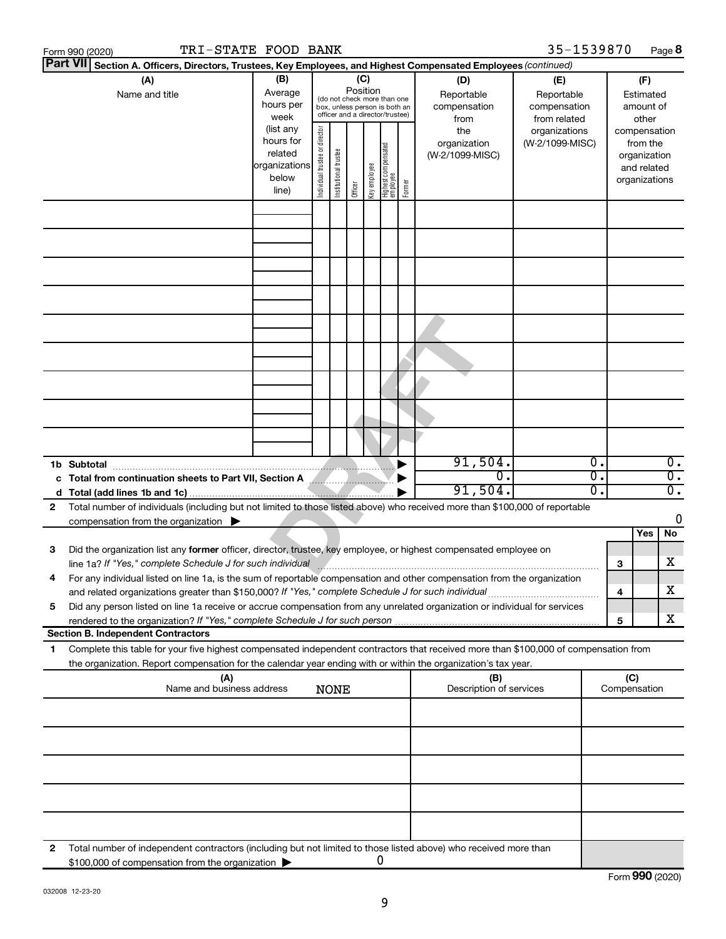|    | TRI-STATE FOOD BANK<br>Form 990 (2020)                                                                                                                                                                                                                 |                                                                      |                                |                       |                                                                                                                    |              |                                   |        |                                           | 35-1539870                                        |    |                                                                          | Page 8           |
|----|--------------------------------------------------------------------------------------------------------------------------------------------------------------------------------------------------------------------------------------------------------|----------------------------------------------------------------------|--------------------------------|-----------------------|--------------------------------------------------------------------------------------------------------------------|--------------|-----------------------------------|--------|-------------------------------------------|---------------------------------------------------|----|--------------------------------------------------------------------------|------------------|
|    | Part VII Section A. Officers, Directors, Trustees, Key Employees, and Highest Compensated Employees (continued)                                                                                                                                        |                                                                      |                                |                       |                                                                                                                    |              |                                   |        |                                           |                                                   |    |                                                                          |                  |
|    | (A)<br>Name and title                                                                                                                                                                                                                                  | (B)<br>Average<br>hours per<br>week                                  |                                |                       | (C)<br>Position<br>(do not check more than one<br>box, unless person is both an<br>officer and a director/trustee) |              |                                   |        | (D)<br>Reportable<br>compensation<br>from | (E)<br>Reportable<br>compensation<br>from related |    | (F)<br>Estimated<br>amount of<br>other                                   |                  |
|    |                                                                                                                                                                                                                                                        | (list any<br>hours for<br>related<br>organizations<br>below<br>line) | Individual trustee or director | Institutional trustee | Officer                                                                                                            | Key employee | Highest compensated<br>  employee | Former | the<br>organization<br>(W-2/1099-MISC)    | organizations<br>(W-2/1099-MISC)                  |    | compensation<br>from the<br>organization<br>and related<br>organizations |                  |
|    |                                                                                                                                                                                                                                                        |                                                                      |                                |                       |                                                                                                                    |              |                                   |        |                                           |                                                   |    |                                                                          |                  |
|    |                                                                                                                                                                                                                                                        |                                                                      |                                |                       |                                                                                                                    |              |                                   |        |                                           |                                                   |    |                                                                          |                  |
|    |                                                                                                                                                                                                                                                        |                                                                      |                                |                       |                                                                                                                    |              |                                   |        |                                           |                                                   |    |                                                                          |                  |
|    |                                                                                                                                                                                                                                                        |                                                                      |                                |                       |                                                                                                                    |              |                                   |        |                                           |                                                   |    |                                                                          |                  |
|    |                                                                                                                                                                                                                                                        |                                                                      |                                |                       |                                                                                                                    |              |                                   |        |                                           |                                                   |    |                                                                          |                  |
|    |                                                                                                                                                                                                                                                        |                                                                      |                                |                       |                                                                                                                    |              |                                   |        |                                           |                                                   |    |                                                                          |                  |
|    | 1b Subtotal                                                                                                                                                                                                                                            |                                                                      |                                |                       |                                                                                                                    |              |                                   |        | 91,504.                                   | 0.                                                |    |                                                                          | $\overline{0}$ . |
|    | c Total from continuation sheets to Part VII, Section A                                                                                                                                                                                                |                                                                      |                                |                       |                                                                                                                    |              |                                   |        | $\overline{0}$ .                          |                                                   | 0. |                                                                          | $\overline{0}$ . |
|    |                                                                                                                                                                                                                                                        |                                                                      |                                |                       |                                                                                                                    |              |                                   |        | 91,504.                                   |                                                   | 0. |                                                                          | $\overline{0}$ . |
| 2  | Total number of individuals (including but not limited to those listed above) who received more than \$100,000 of reportable<br>compensation from the organization $\blacktriangleright$                                                               |                                                                      |                                |                       |                                                                                                                    |              |                                   |        |                                           |                                                   |    |                                                                          | 0                |
|    |                                                                                                                                                                                                                                                        |                                                                      |                                |                       |                                                                                                                    |              |                                   |        |                                           |                                                   |    | Yes                                                                      | No               |
| 3  | Did the organization list any former officer, director, trustee, key employee, or highest compensated employee on<br>line 1a? If "Yes," complete Schedule J for such individual                                                                        |                                                                      |                                |                       |                                                                                                                    |              |                                   |        |                                           |                                                   | з  |                                                                          | х                |
|    | For any individual listed on line 1a, is the sum of reportable compensation and other compensation from the organization                                                                                                                               |                                                                      |                                |                       |                                                                                                                    |              |                                   |        |                                           |                                                   |    |                                                                          |                  |
| 5  | and related organizations greater than \$150,000? If "Yes," complete Schedule J for such individual<br>Did any person listed on line 1a receive or accrue compensation from any unrelated organization or individual for services                      |                                                                      |                                |                       |                                                                                                                    |              |                                   |        |                                           |                                                   | 4  |                                                                          | x                |
|    |                                                                                                                                                                                                                                                        |                                                                      |                                |                       |                                                                                                                    |              |                                   |        |                                           |                                                   | 5  |                                                                          | х                |
|    | <b>Section B. Independent Contractors</b>                                                                                                                                                                                                              |                                                                      |                                |                       |                                                                                                                    |              |                                   |        |                                           |                                                   |    |                                                                          |                  |
| 1. | Complete this table for your five highest compensated independent contractors that received more than \$100,000 of compensation from<br>the organization. Report compensation for the calendar year ending with or within the organization's tax year. |                                                                      |                                |                       |                                                                                                                    |              |                                   |        |                                           |                                                   |    |                                                                          |                  |
|    | (A)<br>Name and business address                                                                                                                                                                                                                       |                                                                      |                                | <b>NONE</b>           |                                                                                                                    |              |                                   |        | (B)<br>Description of services            |                                                   |    | (C)<br>Compensation                                                      |                  |
|    |                                                                                                                                                                                                                                                        |                                                                      |                                |                       |                                                                                                                    |              |                                   |        |                                           |                                                   |    |                                                                          |                  |
|    |                                                                                                                                                                                                                                                        |                                                                      |                                |                       |                                                                                                                    |              |                                   |        |                                           |                                                   |    |                                                                          |                  |
|    |                                                                                                                                                                                                                                                        |                                                                      |                                |                       |                                                                                                                    |              |                                   |        |                                           |                                                   |    |                                                                          |                  |
|    |                                                                                                                                                                                                                                                        |                                                                      |                                |                       |                                                                                                                    |              |                                   |        |                                           |                                                   |    |                                                                          |                  |
| 2  | Total number of independent contractors (including but not limited to those listed above) who received more than<br>\$100,000 of compensation from the organization                                                                                    |                                                                      |                                |                       |                                                                                                                    | 0            |                                   |        |                                           |                                                   |    |                                                                          |                  |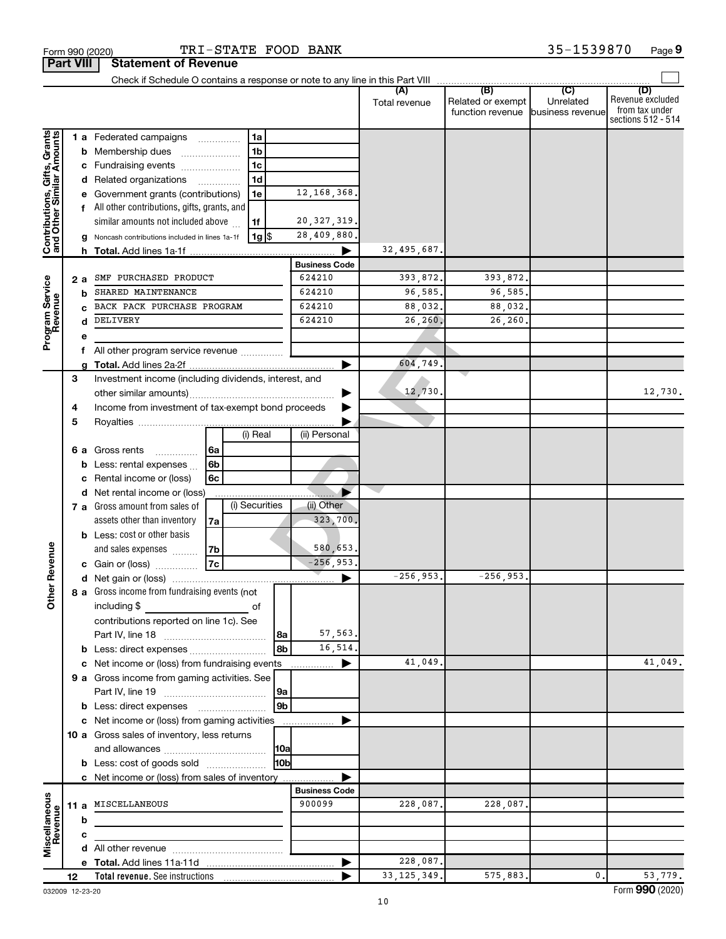|                                                           |    |    | Check if Schedule O contains a response or note to any line in this Part VIII |      |                    |                |                      |               |                                              |                                      |                                                                 |
|-----------------------------------------------------------|----|----|-------------------------------------------------------------------------------|------|--------------------|----------------|----------------------|---------------|----------------------------------------------|--------------------------------------|-----------------------------------------------------------------|
|                                                           |    |    |                                                                               |      |                    |                |                      | Total revenue | (B)<br>Related or exempt<br>function revenue | (C)<br>Unrelated<br>business revenue | (D)<br>Revenue excluded<br>from tax under<br>sections 512 - 514 |
|                                                           |    |    | 1 a Federated campaigns                                                       | .    | 1a                 |                |                      |               |                                              |                                      |                                                                 |
| Contributions, Gifts, Grants<br>and Other Similar Amounts |    |    | <b>b</b> Membership dues                                                      |      | 1 <sub>b</sub>     |                |                      |               |                                              |                                      |                                                                 |
|                                                           |    |    | c Fundraising events                                                          |      | 1 <sub>c</sub>     |                |                      |               |                                              |                                      |                                                                 |
|                                                           |    |    | d Related organizations                                                       | .    | 1 <sub>d</sub>     |                |                      |               |                                              |                                      |                                                                 |
|                                                           |    |    | e Government grants (contributions)                                           |      | 1e                 |                | 12, 168, 368.        |               |                                              |                                      |                                                                 |
|                                                           |    |    | All other contributions, gifts, grants, and                                   |      |                    |                |                      |               |                                              |                                      |                                                                 |
|                                                           |    |    | similar amounts not included above                                            |      | 1f                 |                | 20, 327, 319.        |               |                                              |                                      |                                                                 |
|                                                           |    |    | Noncash contributions included in lines 1a-1f                                 |      | $1g$ $\frac{1}{3}$ |                | 28,409,880.          |               |                                              |                                      |                                                                 |
|                                                           |    |    | h Total. Add lines 1a-1f                                                      |      |                    |                |                      | 32,495,687.   |                                              |                                      |                                                                 |
|                                                           |    |    |                                                                               |      |                    |                | <b>Business Code</b> |               |                                              |                                      |                                                                 |
|                                                           |    | 2a | SMF PURCHASED PRODUCT                                                         |      |                    |                | 624210               | 393,872.      | 393,872.                                     |                                      |                                                                 |
| Program Service<br>Revenue                                |    | b  | SHARED MAINTENANCE                                                            |      |                    |                | 624210               | 96,585.       | 96,585.                                      |                                      |                                                                 |
|                                                           |    |    | BACK PACK PURCHASE PROGRAM                                                    |      |                    |                | 624210               | 88,032.       | 88,032.                                      |                                      |                                                                 |
|                                                           |    | d  | DELIVERY                                                                      |      |                    |                | 624210               | 26,260.       | 26,260.                                      |                                      |                                                                 |
|                                                           |    |    |                                                                               |      |                    |                |                      |               |                                              |                                      |                                                                 |
|                                                           |    | f  | All other program service revenue                                             |      |                    |                |                      |               |                                              |                                      |                                                                 |
|                                                           |    |    |                                                                               |      |                    |                |                      | 604,749       |                                              |                                      |                                                                 |
|                                                           | 3  |    | Investment income (including dividends, interest, and                         |      |                    |                |                      |               |                                              |                                      |                                                                 |
|                                                           |    |    |                                                                               |      |                    |                |                      | 12,730.       |                                              |                                      | 12,730.                                                         |
|                                                           | 4  |    | Income from investment of tax-exempt bond proceeds                            |      |                    |                |                      |               |                                              |                                      |                                                                 |
|                                                           | 5  |    |                                                                               |      |                    |                |                      |               |                                              |                                      |                                                                 |
|                                                           |    |    |                                                                               |      | (i) Real           |                | (ii) Personal        |               |                                              |                                      |                                                                 |
|                                                           |    |    | 6 a Gross rents<br>.                                                          | l 6a |                    |                |                      |               |                                              |                                      |                                                                 |
|                                                           |    | b  | Less: rental expenses                                                         | 6b   |                    |                |                      |               |                                              |                                      |                                                                 |
|                                                           |    |    | Rental income or (loss)                                                       | 6с   |                    |                |                      |               |                                              |                                      |                                                                 |
|                                                           |    |    | d Net rental income or (loss)                                                 |      |                    |                |                      |               |                                              |                                      |                                                                 |
|                                                           |    |    | 7 a Gross amount from sales of                                                |      | (i) Securities     |                | (ii) Other           |               |                                              |                                      |                                                                 |
|                                                           |    |    | assets other than inventory                                                   | 7a   |                    |                | 323,700.             |               |                                              |                                      |                                                                 |
|                                                           |    |    | <b>b</b> Less: cost or other basis                                            |      |                    |                |                      |               |                                              |                                      |                                                                 |
|                                                           |    |    | and sales expenses                                                            | 7b   |                    |                | 580,653.             |               |                                              |                                      |                                                                 |
| <b>Char Revenue</b>                                       |    |    | c Gain or (loss)                                                              | 7c   |                    |                | $-256, 953.$         |               |                                              |                                      |                                                                 |
|                                                           |    |    |                                                                               |      |                    |                |                      | $-256.953.$   | $-256, 953.$                                 |                                      |                                                                 |
|                                                           |    |    | 8 a Gross income from fundraising events (not                                 |      |                    |                |                      |               |                                              |                                      |                                                                 |
|                                                           |    |    | including \$                                                                  |      | of                 |                |                      |               |                                              |                                      |                                                                 |
|                                                           |    |    | contributions reported on line 1c). See                                       |      |                    |                |                      |               |                                              |                                      |                                                                 |
|                                                           |    |    |                                                                               |      |                    | 8a             | 57,563.              |               |                                              |                                      |                                                                 |
|                                                           |    |    | b Less: direct expenses                                                       |      |                    | 8b             | 16,514.              |               |                                              |                                      |                                                                 |
|                                                           |    |    | c Net income or (loss) from fundraising events                                |      |                    |                | ▶<br>.               | 41,049.       |                                              |                                      | 41,049.                                                         |
|                                                           |    |    | 9 a Gross income from gaming activities. See                                  |      |                    |                |                      |               |                                              |                                      |                                                                 |
|                                                           |    |    |                                                                               |      |                    | 9a             |                      |               |                                              |                                      |                                                                 |
|                                                           |    |    | <b>b</b> Less: direct expenses <b>manually</b>                                |      |                    | 9 <sub>b</sub> |                      |               |                                              |                                      |                                                                 |
|                                                           |    |    | c Net income or (loss) from gaming activities                                 |      |                    |                |                      |               |                                              |                                      |                                                                 |
|                                                           |    |    | 10 a Gross sales of inventory, less returns                                   |      |                    |                |                      |               |                                              |                                      |                                                                 |
|                                                           |    |    |                                                                               |      |                    | 10a            |                      |               |                                              |                                      |                                                                 |
|                                                           |    |    | <b>b</b> Less: cost of goods sold                                             |      |                    | l10bl          |                      |               |                                              |                                      |                                                                 |
|                                                           |    |    | c Net income or (loss) from sales of inventory                                |      |                    |                |                      |               |                                              |                                      |                                                                 |
|                                                           |    |    |                                                                               |      |                    |                | <b>Business Code</b> |               |                                              |                                      |                                                                 |
|                                                           |    |    | 11 a MISCELLANEOUS                                                            |      |                    |                | 900099               | 228,087.      | 228,087.                                     |                                      |                                                                 |
|                                                           |    | b  |                                                                               |      |                    |                |                      |               |                                              |                                      |                                                                 |
| Miscellaneous<br>Revenue                                  |    | с  |                                                                               |      |                    |                |                      |               |                                              |                                      |                                                                 |
|                                                           |    |    |                                                                               |      |                    |                |                      |               |                                              |                                      |                                                                 |
|                                                           |    |    |                                                                               |      |                    |                | ▶                    | 228,087.      |                                              |                                      |                                                                 |
|                                                           | 12 |    |                                                                               |      |                    |                |                      | 33, 125, 349. | 575,883.                                     | $\mathbf{0}$ .                       | 53,779.                                                         |

**Part VIII Statement of Revenue**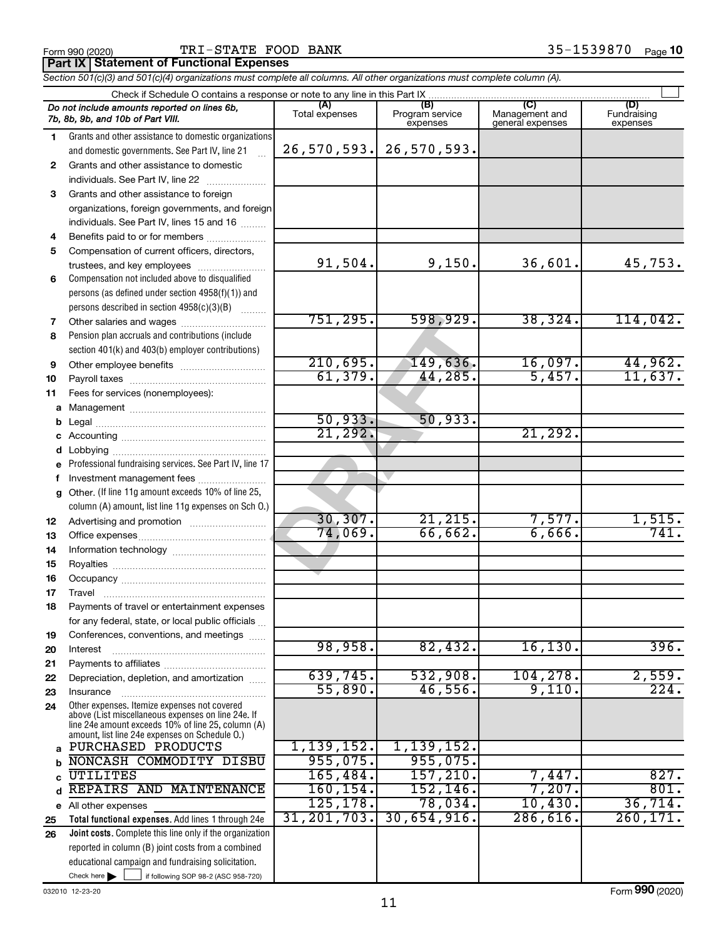#### Form 990 (2020) BANK 35-1539870 <sub>Page</sub> **Part IX Statement of Functional Expenses**

35-1539870 Page 10

*Section 501(c)(3) and 501(c)(4) organizations must complete all columns. All other organizations must complete column (A).*

| Check if Schedule O contains a response or note to any line in this Part IX |                                                                                                                               |                       |                                    |                                           |                                |  |  |  |
|-----------------------------------------------------------------------------|-------------------------------------------------------------------------------------------------------------------------------|-----------------------|------------------------------------|-------------------------------------------|--------------------------------|--|--|--|
|                                                                             | Do not include amounts reported on lines 6b,<br>7b, 8b, 9b, and 10b of Part VIII.                                             | (A)<br>Total expenses | (B)<br>Program service<br>expenses | (C)<br>Management and<br>general expenses | (D)<br>Fundraising<br>expenses |  |  |  |
| 1.                                                                          | Grants and other assistance to domestic organizations                                                                         |                       |                                    |                                           |                                |  |  |  |
|                                                                             | and domestic governments. See Part IV, line 21                                                                                | 26, 570, 593.         | 26,570,593.                        |                                           |                                |  |  |  |
| $\mathbf{2}$                                                                | Grants and other assistance to domestic                                                                                       |                       |                                    |                                           |                                |  |  |  |
|                                                                             | individuals. See Part IV, line 22                                                                                             |                       |                                    |                                           |                                |  |  |  |
| 3                                                                           | Grants and other assistance to foreign                                                                                        |                       |                                    |                                           |                                |  |  |  |
|                                                                             | organizations, foreign governments, and foreign                                                                               |                       |                                    |                                           |                                |  |  |  |
|                                                                             | individuals. See Part IV, lines 15 and 16                                                                                     |                       |                                    |                                           |                                |  |  |  |
| 4                                                                           | Benefits paid to or for members                                                                                               |                       |                                    |                                           |                                |  |  |  |
| 5                                                                           | Compensation of current officers, directors,                                                                                  | 91,504.               | 9,150.                             | 36,601.                                   | 45,753.                        |  |  |  |
| 6                                                                           | trustees, and key employees<br>Compensation not included above to disqualified                                                |                       |                                    |                                           |                                |  |  |  |
|                                                                             | persons (as defined under section 4958(f)(1)) and                                                                             |                       |                                    |                                           |                                |  |  |  |
|                                                                             | persons described in section 4958(c)(3)(B)                                                                                    |                       |                                    |                                           |                                |  |  |  |
| 7                                                                           |                                                                                                                               | 751, 295.             | 598,929.                           | 38, 324.                                  | 114,042.                       |  |  |  |
| 8                                                                           | Pension plan accruals and contributions (include                                                                              |                       |                                    |                                           |                                |  |  |  |
|                                                                             | section 401(k) and 403(b) employer contributions)                                                                             |                       |                                    |                                           |                                |  |  |  |
| 9                                                                           | Other employee benefits                                                                                                       | 210,695.              | 149,636.                           | 16,097.                                   | 44,962.                        |  |  |  |
| 10                                                                          |                                                                                                                               | 61, 379.              | 44,285.                            | 5,457.                                    | 11,637.                        |  |  |  |
| 11                                                                          | Fees for services (nonemployees):                                                                                             |                       |                                    |                                           |                                |  |  |  |
| a                                                                           |                                                                                                                               |                       |                                    |                                           |                                |  |  |  |
| b                                                                           |                                                                                                                               | 50,933.               | 50,933.                            |                                           |                                |  |  |  |
| с                                                                           |                                                                                                                               | 21, 292.              |                                    | 21, 292.                                  |                                |  |  |  |
| d                                                                           |                                                                                                                               |                       |                                    |                                           |                                |  |  |  |
| е                                                                           | Professional fundraising services. See Part IV, line 17                                                                       |                       |                                    |                                           |                                |  |  |  |
| f                                                                           | Investment management fees<br>Other. (If line 11g amount exceeds 10% of line 25,                                              |                       |                                    |                                           |                                |  |  |  |
| g                                                                           | column (A) amount, list line 11g expenses on Sch O.)                                                                          |                       |                                    |                                           |                                |  |  |  |
| 12                                                                          |                                                                                                                               | 30, 307.              | 21, 215.                           | 7,577.                                    | 1,515.                         |  |  |  |
| 13                                                                          |                                                                                                                               | 74,069.               | 66,662.                            | 6,666.                                    |                                |  |  |  |
| 14                                                                          |                                                                                                                               |                       |                                    |                                           |                                |  |  |  |
| 15                                                                          |                                                                                                                               |                       |                                    |                                           |                                |  |  |  |
| 16                                                                          |                                                                                                                               |                       |                                    |                                           |                                |  |  |  |
| 17                                                                          | Travel                                                                                                                        |                       |                                    |                                           |                                |  |  |  |
| 18                                                                          | Payments of travel or entertainment expenses                                                                                  |                       |                                    |                                           |                                |  |  |  |
|                                                                             | for any federal, state, or local public officials                                                                             |                       |                                    |                                           |                                |  |  |  |
| 19                                                                          | Conferences, conventions, and meetings                                                                                        |                       |                                    |                                           |                                |  |  |  |
| 20                                                                          | Interest                                                                                                                      | 98,958.               | 82,432.                            | 16, 130.                                  | 396.                           |  |  |  |
| 21                                                                          |                                                                                                                               | 639,745.              | 532,908.                           | 104, 278.                                 | 2,559.                         |  |  |  |
| 22                                                                          | Depreciation, depletion, and amortization                                                                                     | 55,890.               | 46,556.                            | 9,110.                                    | 224.                           |  |  |  |
| 23<br>24                                                                    | Insurance<br>Other expenses. Itemize expenses not covered                                                                     |                       |                                    |                                           |                                |  |  |  |
|                                                                             | above (List miscellaneous expenses on line 24e. If                                                                            |                       |                                    |                                           |                                |  |  |  |
|                                                                             | line 24e amount exceeds 10% of line 25, column (A)<br>amount, list line 24e expenses on Schedule O.)                          |                       |                                    |                                           |                                |  |  |  |
| a                                                                           | PURCHASED PRODUCTS                                                                                                            | 1,139,152.            | 1, 139, 152.                       |                                           |                                |  |  |  |
| b                                                                           | NONCASH COMMODITY DISBU                                                                                                       | 955,075.              | 955,075.                           |                                           |                                |  |  |  |
| C                                                                           | <b>UTILITES</b>                                                                                                               | 165,484.              | 157, 210.                          | 7,447.                                    | 827.                           |  |  |  |
| d                                                                           | REPAIRS AND MAINTENANCE                                                                                                       | 160, 154.             | 152, 146.                          | 7,207.                                    | 801.                           |  |  |  |
|                                                                             | e All other expenses                                                                                                          | 125, 178.             | 78,034.                            | 10,430.                                   | 36,714.                        |  |  |  |
| 25                                                                          | Total functional expenses. Add lines 1 through 24e                                                                            | 31, 201, 703.         | 30,654,916.                        | 286,616.                                  | 260, 171.                      |  |  |  |
| 26                                                                          | Joint costs. Complete this line only if the organization                                                                      |                       |                                    |                                           |                                |  |  |  |
|                                                                             | reported in column (B) joint costs from a combined                                                                            |                       |                                    |                                           |                                |  |  |  |
|                                                                             | educational campaign and fundraising solicitation.<br>Check here $\blacktriangleright$<br>if following SOP 98-2 (ASC 958-720) |                       |                                    |                                           |                                |  |  |  |
|                                                                             |                                                                                                                               |                       |                                    |                                           |                                |  |  |  |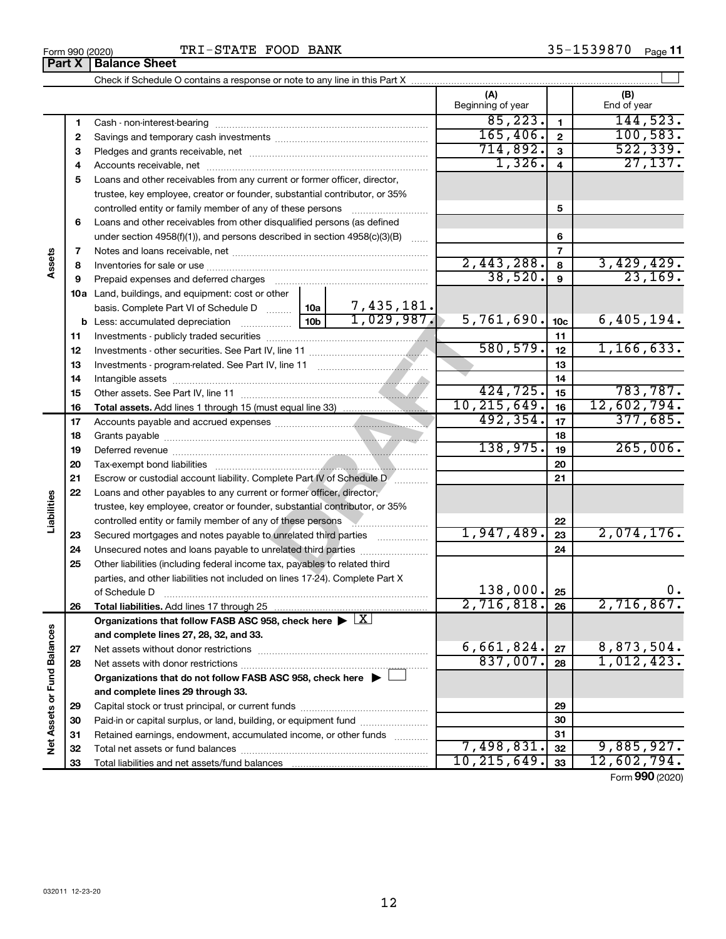**32 33**

#### $\perp$ Check if Schedule O contains a response or note to any line in this Part X **(A) (B)** Beginning of year | | End of year  $85,223.$  144,523. **1 1** Cash - non-interest-bearing ~~~~~~~~~~~~~~~~~~~~~~~~~  $165,406.$   $2$   $100,583.$ **2 2** Savings and temporary cash investments ~~~~~~~~~~~~~~~~~~ 714,892. 522,339. **3 3** Pledges and grants receivable, net ~~~~~~~~~~~~~~~~~~~~~  $1,326. 4$  27,137. Accounts receivable, net ~~~~~~~~~~~~~~~~~~~~~~~~~~ **4 4 5** Loans and other receivables from any current or former officer, director, trustee, key employee, creator or founder, substantial contributor, or 35% controlled entity or family member of any of these persons ~~~~~~~~~ **5 6** Loans and other receivables from other disqualified persons (as defined under section 4958(f)(1)), and persons described in section  $4958(c)(3)(B)$  ...... **6 7 7 Assets** Notes and loans receivable, net ~~~~~~~~~~~~~~~~~~~~~~~  $2,443,288$ .  $8 \mid 3,429,429$ . **8 8** Inventories for sale or use ~~~~~~~~~~~~~~~~~~~~~~~~~~ **9** 38,520. 23,169. **9** Prepaid expenses and deferred charges ~~~~~~~~~~~~~~~~~~ **10 a** Land, buildings, and equipment: cost or other 7,435,181. basis. Complete Part VI of Schedule D  $\frac{1}{10}$  10a  $1,029,987.$  5,761,690.  $10c$  6,405,194. 10b 1, 029, 987. 5, 761, 6<br>
1, line 11<br>
1, line 11<br>
10, 215, 6<br>
10, 215, 6<br>
138, 9<br>
plete Part IV of Schedule D<br>
or former officer, director,<br>
3, substantial contributor, or 35%<br>
of these persons<br>
unrelated third parties<br> **10c b** Less: accumulated depreciation  $\ldots$  [10b **11 11** Investments - publicly traded securities ~~~~~~~~~~~~~~~~~~~  $\overline{580, 579.}$  1, 166, 633. **12 12** Investments - other securities. See Part IV, line 11 ~~~~~~~~~~~~~~ **13 13** Investments - program-related. See Part IV, line 11 ~~~~~~~~~~~~~ **14 14** Intangible assets ~~~~~~~~~~~~~~~~~~~~~~~~~~~~~~ Other assets. See Part IV, line 11 ~~~~~~~~~~~~~~~~~~~~~~ 424,725. 783,787. **15 15** 10,215,649. 12,602,794. **16 16 Total assets.**  Add lines 1 through 15 (must equal line 33)  $492,354.$   $17$  | 377,685. **17 17** Accounts payable and accrued expenses ~~~~~~~~~~~~~~~~~~ **18 18** Grants payable ~~~~~~~~~~~~~~~~~~~~~~~~~~~~~~~  $138,975.$  19 265,006. **19 19** Deferred revenue ~~~~~~~~~~~~~~~~~~~~~~~~~~~~~~ **20 20** Tax-exempt bond liabilities ~~~~~~~~~~~~~~~~~~~~~~~~~ **21 21** Escrow or custodial account liability. Complete Part IV of Schedule Dentity, metallication **22** Loans and other payables to any current or former officer, director, **Liabilities** trustee, key employee, creator or founder, substantial contributor, or 35% controlled entity or family member of any of these persons ~~~~~~~~~~~~~~~~~~~~~ **22** 1,947,489. 2,074,176. **23** Secured mortgages and notes payable to unrelated third parties **23 24** Unsecured notes and loans payable to unrelated third parties ~~~~~~~~ **24 25** Other liabilities (including federal income tax, payables to related third parties, and other liabilities not included on lines 17-24). Complete Part X 138,000. **25** of Schedule D ~~~~~~~~~~~~~~~~~~~~~~~~~~~~~~~ **26** 2,716,818**. 26 2,716,867**. **26 Total liabilities.**  Add lines 17 through 25 Organizations that follow FASB ASC 958, check here  $\blacktriangleright \boxed{\text{X}}$ Net Assets or Fund Balances **Net Assets or Fund Balances and complete lines 27, 28, 32, and 33.**  $6,661,824.$   $27$  | 8,873,504. **27 27** Net assets without donor restrictions ~~~~~~~~~~~~~~~~~~~~  $837,007$ .  $|28|$  1,012,423. **28 28** Net assets with donor restrictions ~~~~~~~~~~~~~~~~~~~~~~ **Organizations that do not follow FASB ASC 958, check here** | † **and complete lines 29 through 33. 29 29** Capital stock or trust principal, or current funds ~~~~~~~~~~~~~~~ **30 30** Paid-in or capital surplus, or land, building, or equipment fund ....................... **31 31** Retained earnings, endowment, accumulated income, or other funds ............

Form (2020) **990**

**32 33**

 $7,498,831.$   $32$  9,885,927. 10,215,649. 12,602,794.

Total net assets or fund balances ~~~~~~~~~~~~~~~~~~~~~~

Total liabilities and net assets/fund balances ...

**Part X** | **Balance Sheet**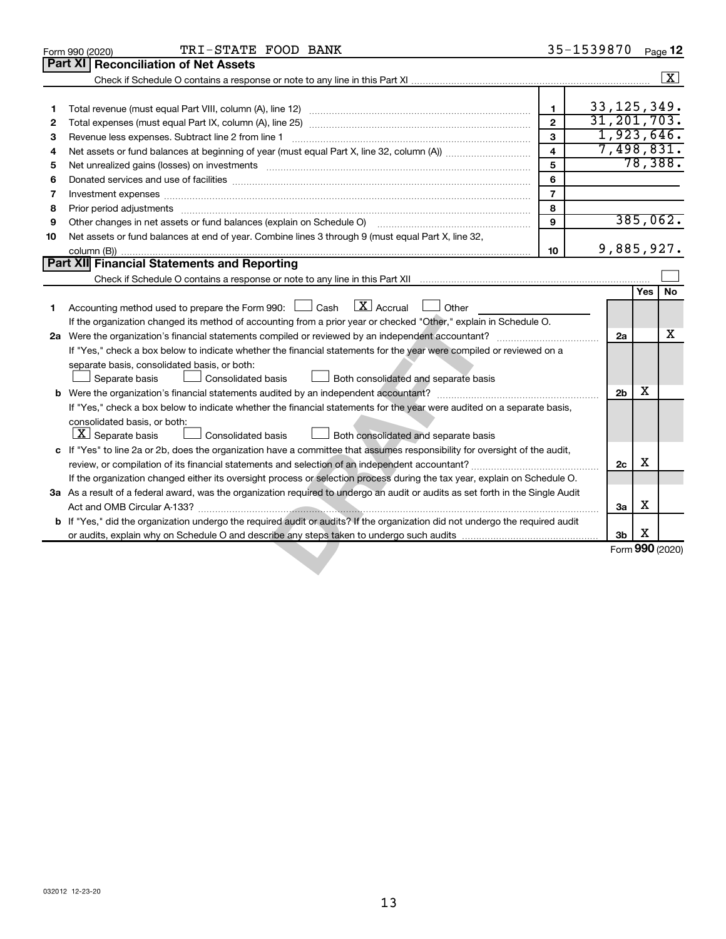| 1<br>2 | <b>Part XI</b><br><b>Reconciliation of Net Assets</b><br>Revenue less expenses. Subtract line 2 from line 1                                                                                                                    | $\mathbf{1}$<br>$\overline{2}$ | 33, 125, 349.<br>31, 201, 703. |                |     | $\boxed{\text{X}}$ |
|--------|--------------------------------------------------------------------------------------------------------------------------------------------------------------------------------------------------------------------------------|--------------------------------|--------------------------------|----------------|-----|--------------------|
|        |                                                                                                                                                                                                                                |                                |                                |                |     |                    |
|        |                                                                                                                                                                                                                                |                                |                                |                |     |                    |
|        |                                                                                                                                                                                                                                |                                |                                |                |     |                    |
|        |                                                                                                                                                                                                                                |                                |                                |                |     |                    |
|        |                                                                                                                                                                                                                                |                                |                                |                |     |                    |
| З      |                                                                                                                                                                                                                                | 3                              |                                |                |     | 1,923,646.         |
| 4      |                                                                                                                                                                                                                                | $\overline{\mathbf{4}}$        |                                |                |     | 7,498,831.         |
| 5      | Net unrealized gains (losses) on investments [111] matter in the contract of the contract of the contract of the contract of the contract of the contract of the contract of the contract of the contract of the contract of t | 5                              |                                |                |     | 78,388.            |
| 6      |                                                                                                                                                                                                                                | 6                              |                                |                |     |                    |
| 7      | Investment expenses www.communication.com/www.communication.com/www.communication.com/www.com                                                                                                                                  | $\overline{7}$                 |                                |                |     |                    |
| 8      |                                                                                                                                                                                                                                | 8                              |                                |                |     |                    |
| 9      |                                                                                                                                                                                                                                | $\mathbf{Q}$                   |                                |                |     | 385,062.           |
| 10     | Net assets or fund balances at end of year. Combine lines 3 through 9 (must equal Part X, line 32,                                                                                                                             |                                |                                |                |     |                    |
|        |                                                                                                                                                                                                                                | 10                             |                                |                |     | 9,885,927.         |
|        | Part XII Financial Statements and Reporting                                                                                                                                                                                    |                                |                                |                |     |                    |
|        |                                                                                                                                                                                                                                |                                |                                |                |     |                    |
|        |                                                                                                                                                                                                                                |                                |                                |                | Yes | No                 |
| 1      | $\lfloor \mathbf{X} \rfloor$ Accrual<br>Accounting method used to prepare the Form 990: [130] Cash<br>$\Box$ Other                                                                                                             |                                |                                |                |     |                    |
|        | If the organization changed its method of accounting from a prior year or checked "Other," explain in Schedule O.                                                                                                              |                                |                                |                |     |                    |
|        |                                                                                                                                                                                                                                |                                |                                | 2a             |     | х                  |
|        | If "Yes," check a box below to indicate whether the financial statements for the year were compiled or reviewed on a                                                                                                           |                                |                                |                |     |                    |
|        | separate basis, consolidated basis, or both:                                                                                                                                                                                   |                                |                                |                |     |                    |
|        | Separate basis<br>Consolidated basis<br>Both consolidated and separate basis                                                                                                                                                   |                                |                                |                |     |                    |
|        |                                                                                                                                                                                                                                |                                |                                | 2 <sub>b</sub> | х   |                    |
|        | If "Yes," check a box below to indicate whether the financial statements for the year were audited on a separate basis,                                                                                                        |                                |                                |                |     |                    |
|        | consolidated basis, or both:                                                                                                                                                                                                   |                                |                                |                |     |                    |
|        | $\lfloor x \rfloor$ Separate basis<br>Consolidated basis<br>Both consolidated and separate basis                                                                                                                               |                                |                                |                |     |                    |
|        | c If "Yes" to line 2a or 2b, does the organization have a committee that assumes responsibility for oversight of the audit,                                                                                                    |                                |                                |                |     |                    |
|        |                                                                                                                                                                                                                                |                                |                                | 2c             | х   |                    |
|        | If the organization changed either its oversight process or selection process during the tax year, explain on Schedule O.                                                                                                      |                                |                                |                |     |                    |
|        | 3a As a result of a federal award, was the organization required to undergo an audit or audits as set forth in the Single Audit                                                                                                |                                |                                |                |     |                    |
|        |                                                                                                                                                                                                                                |                                |                                | За             | х   |                    |
|        | b If "Yes," did the organization undergo the required audit or audits? If the organization did not undergo the required audit                                                                                                  |                                |                                |                |     |                    |
|        |                                                                                                                                                                                                                                |                                |                                | 3b             | х   |                    |
|        |                                                                                                                                                                                                                                |                                |                                |                |     | Form 990 (2020)    |
|        |                                                                                                                                                                                                                                |                                |                                |                |     |                    |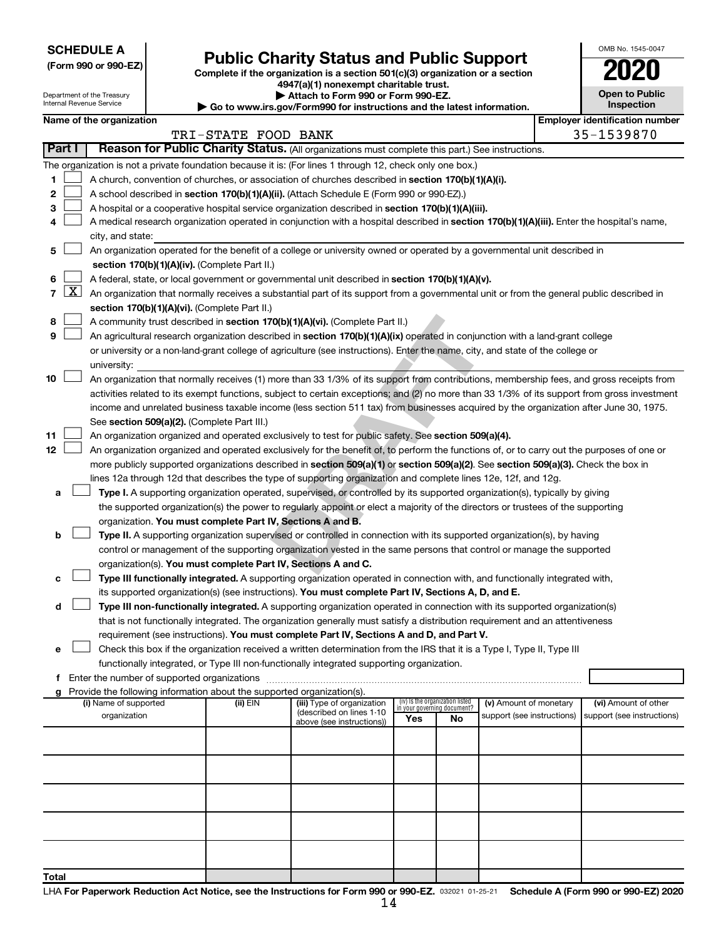| <b>SCHEDULE A</b> |  |
|-------------------|--|
|-------------------|--|

Department of the Treasury Internal Revenue Service

| (Form 990 or 990-EZ) |  |  |  |  |
|----------------------|--|--|--|--|
|----------------------|--|--|--|--|

# Form 990 or 990-EZ) **Public Charity Status and Public Support**<br>
Complete if the organization is a section 501(c)(3) organization or a section<br> **2020**

**4947(a)(1) nonexempt charitable trust. | Attach to Form 990 or Form 990-EZ.** 

| <b>P AUGULU FULLI 330 UL FULLI 330-LL.</b>                               |
|--------------------------------------------------------------------------|
| ▶ Go to www.irs.gov/Form990 for instructions and the latest information. |

| <b>Open to Public</b><br>Inspection |  |
|-------------------------------------|--|

OMB No. 1545-0047

|       |                                                                                                                                                                            | Name of the organization                                                                                                                                                                                                                                                                                                                                                                                                          |                     |                            |                                    |    |                            | <b>Employer identification number</b> |
|-------|----------------------------------------------------------------------------------------------------------------------------------------------------------------------------|-----------------------------------------------------------------------------------------------------------------------------------------------------------------------------------------------------------------------------------------------------------------------------------------------------------------------------------------------------------------------------------------------------------------------------------|---------------------|----------------------------|------------------------------------|----|----------------------------|---------------------------------------|
|       | Part I                                                                                                                                                                     | Reason for Public Charity Status. (All organizations must complete this part.) See instructions.                                                                                                                                                                                                                                                                                                                                  | TRI-STATE FOOD BANK |                            |                                    |    |                            | 35-1539870                            |
|       |                                                                                                                                                                            |                                                                                                                                                                                                                                                                                                                                                                                                                                   |                     |                            |                                    |    |                            |                                       |
|       |                                                                                                                                                                            | The organization is not a private foundation because it is: (For lines 1 through 12, check only one box.)                                                                                                                                                                                                                                                                                                                         |                     |                            |                                    |    |                            |                                       |
| 1     |                                                                                                                                                                            | A church, convention of churches, or association of churches described in section 170(b)(1)(A)(i).                                                                                                                                                                                                                                                                                                                                |                     |                            |                                    |    |                            |                                       |
| 2     |                                                                                                                                                                            | A school described in section 170(b)(1)(A)(ii). (Attach Schedule E (Form 990 or 990-EZ).)                                                                                                                                                                                                                                                                                                                                         |                     |                            |                                    |    |                            |                                       |
| З     |                                                                                                                                                                            | A hospital or a cooperative hospital service organization described in section 170(b)(1)(A)(iii).                                                                                                                                                                                                                                                                                                                                 |                     |                            |                                    |    |                            |                                       |
| 4     |                                                                                                                                                                            | A medical research organization operated in conjunction with a hospital described in section 170(b)(1)(A)(iii). Enter the hospital's name,                                                                                                                                                                                                                                                                                        |                     |                            |                                    |    |                            |                                       |
|       |                                                                                                                                                                            | city, and state:                                                                                                                                                                                                                                                                                                                                                                                                                  |                     |                            |                                    |    |                            |                                       |
| 5.    | An organization operated for the benefit of a college or university owned or operated by a governmental unit described in<br>section 170(b)(1)(A)(iv). (Complete Part II.) |                                                                                                                                                                                                                                                                                                                                                                                                                                   |                     |                            |                                    |    |                            |                                       |
|       |                                                                                                                                                                            |                                                                                                                                                                                                                                                                                                                                                                                                                                   |                     |                            |                                    |    |                            |                                       |
| 6.    |                                                                                                                                                                            | A federal, state, or local government or governmental unit described in section 170(b)(1)(A)(v).<br>7 $ X $ An organization that normally receives a substantial part of its support from a governmental unit or from the general public described in                                                                                                                                                                             |                     |                            |                                    |    |                            |                                       |
|       |                                                                                                                                                                            |                                                                                                                                                                                                                                                                                                                                                                                                                                   |                     |                            |                                    |    |                            |                                       |
| 8     |                                                                                                                                                                            | section 170(b)(1)(A)(vi). (Complete Part II.)<br>A community trust described in section 170(b)(1)(A)(vi). (Complete Part II.)                                                                                                                                                                                                                                                                                                     |                     |                            |                                    |    |                            |                                       |
| 9     |                                                                                                                                                                            | An agricultural research organization described in section 170(b)(1)(A)(ix) operated in conjunction with a land-grant college                                                                                                                                                                                                                                                                                                     |                     |                            |                                    |    |                            |                                       |
|       |                                                                                                                                                                            | or university or a non-land-grant college of agriculture (see instructions). Enter the name, city, and state of the college or                                                                                                                                                                                                                                                                                                    |                     |                            |                                    |    |                            |                                       |
|       |                                                                                                                                                                            | university:                                                                                                                                                                                                                                                                                                                                                                                                                       |                     |                            |                                    |    |                            |                                       |
| 10    |                                                                                                                                                                            | An organization that normally receives (1) more than 33 1/3% of its support from contributions, membership fees, and gross receipts from<br>activities related to its exempt functions, subject to certain exceptions; and (2) no more than 33 1/3% of its support from gross investment<br>income and unrelated business taxable income (less section 511 tax) from businesses acquired by the organization after June 30, 1975. |                     |                            |                                    |    |                            |                                       |
|       |                                                                                                                                                                            | See section 509(a)(2). (Complete Part III.)                                                                                                                                                                                                                                                                                                                                                                                       |                     |                            |                                    |    |                            |                                       |
| 11    |                                                                                                                                                                            | An organization organized and operated exclusively to test for public safety. See section 509(a)(4).                                                                                                                                                                                                                                                                                                                              |                     |                            |                                    |    |                            |                                       |
| 12    |                                                                                                                                                                            | An organization organized and operated exclusively for the benefit of, to perform the functions of, or to carry out the purposes of one or                                                                                                                                                                                                                                                                                        |                     |                            |                                    |    |                            |                                       |
|       |                                                                                                                                                                            | more publicly supported organizations described in section 509(a)(1) or section 509(a)(2). See section 509(a)(3). Check the box in                                                                                                                                                                                                                                                                                                |                     |                            |                                    |    |                            |                                       |
|       |                                                                                                                                                                            | lines 12a through 12d that describes the type of supporting organization and complete lines 12e, 12f, and 12g.                                                                                                                                                                                                                                                                                                                    |                     |                            |                                    |    |                            |                                       |
| а     |                                                                                                                                                                            | Type I. A supporting organization operated, supervised, or controlled by its supported organization(s), typically by giving                                                                                                                                                                                                                                                                                                       |                     |                            |                                    |    |                            |                                       |
|       |                                                                                                                                                                            | the supported organization(s) the power to regularly appoint or elect a majority of the directors or trustees of the supporting                                                                                                                                                                                                                                                                                                   |                     |                            |                                    |    |                            |                                       |
|       |                                                                                                                                                                            | organization. You must complete Part IV, Sections A and B.                                                                                                                                                                                                                                                                                                                                                                        |                     |                            |                                    |    |                            |                                       |
| b     |                                                                                                                                                                            | Type II. A supporting organization supervised or controlled in connection with its supported organization(s), by having                                                                                                                                                                                                                                                                                                           |                     |                            |                                    |    |                            |                                       |
|       |                                                                                                                                                                            | control or management of the supporting organization vested in the same persons that control or manage the supported                                                                                                                                                                                                                                                                                                              |                     |                            |                                    |    |                            |                                       |
|       |                                                                                                                                                                            | organization(s). You must complete Part IV, Sections A and C.                                                                                                                                                                                                                                                                                                                                                                     |                     |                            |                                    |    |                            |                                       |
| с     |                                                                                                                                                                            | Type III functionally integrated. A supporting organization operated in connection with, and functionally integrated with,                                                                                                                                                                                                                                                                                                        |                     |                            |                                    |    |                            |                                       |
|       |                                                                                                                                                                            | its supported organization(s) (see instructions). You must complete Part IV, Sections A, D, and E.                                                                                                                                                                                                                                                                                                                                |                     |                            |                                    |    |                            |                                       |
| d     |                                                                                                                                                                            | Type III non-functionally integrated. A supporting organization operated in connection with its supported organization(s)                                                                                                                                                                                                                                                                                                         |                     |                            |                                    |    |                            |                                       |
|       |                                                                                                                                                                            | that is not functionally integrated. The organization generally must satisfy a distribution requirement and an attentiveness                                                                                                                                                                                                                                                                                                      |                     |                            |                                    |    |                            |                                       |
|       |                                                                                                                                                                            | requirement (see instructions). You must complete Part IV, Sections A and D, and Part V.                                                                                                                                                                                                                                                                                                                                          |                     |                            |                                    |    |                            |                                       |
|       |                                                                                                                                                                            | Check this box if the organization received a written determination from the IRS that it is a Type I, Type II, Type III                                                                                                                                                                                                                                                                                                           |                     |                            |                                    |    |                            |                                       |
|       |                                                                                                                                                                            | functionally integrated, or Type III non-functionally integrated supporting organization.                                                                                                                                                                                                                                                                                                                                         |                     |                            |                                    |    |                            |                                       |
|       |                                                                                                                                                                            | f Enter the number of supported organizations                                                                                                                                                                                                                                                                                                                                                                                     |                     |                            |                                    |    |                            |                                       |
|       |                                                                                                                                                                            | g Provide the following information about the supported organization(s).<br>(i) Name of supported                                                                                                                                                                                                                                                                                                                                 | (ii) EIN            | (iii) Type of organization | (iv) Is the organization listed    |    | (v) Amount of monetary     | (vi) Amount of other                  |
|       |                                                                                                                                                                            | organization                                                                                                                                                                                                                                                                                                                                                                                                                      |                     | (described on lines 1-10   | in your governing document?<br>Yes | No | support (see instructions) | support (see instructions)            |
|       |                                                                                                                                                                            |                                                                                                                                                                                                                                                                                                                                                                                                                                   |                     | above (see instructions))  |                                    |    |                            |                                       |
|       |                                                                                                                                                                            |                                                                                                                                                                                                                                                                                                                                                                                                                                   |                     |                            |                                    |    |                            |                                       |
|       |                                                                                                                                                                            |                                                                                                                                                                                                                                                                                                                                                                                                                                   |                     |                            |                                    |    |                            |                                       |
|       |                                                                                                                                                                            |                                                                                                                                                                                                                                                                                                                                                                                                                                   |                     |                            |                                    |    |                            |                                       |
|       |                                                                                                                                                                            |                                                                                                                                                                                                                                                                                                                                                                                                                                   |                     |                            |                                    |    |                            |                                       |
|       |                                                                                                                                                                            |                                                                                                                                                                                                                                                                                                                                                                                                                                   |                     |                            |                                    |    |                            |                                       |
| Total |                                                                                                                                                                            |                                                                                                                                                                                                                                                                                                                                                                                                                                   |                     |                            |                                    |    |                            |                                       |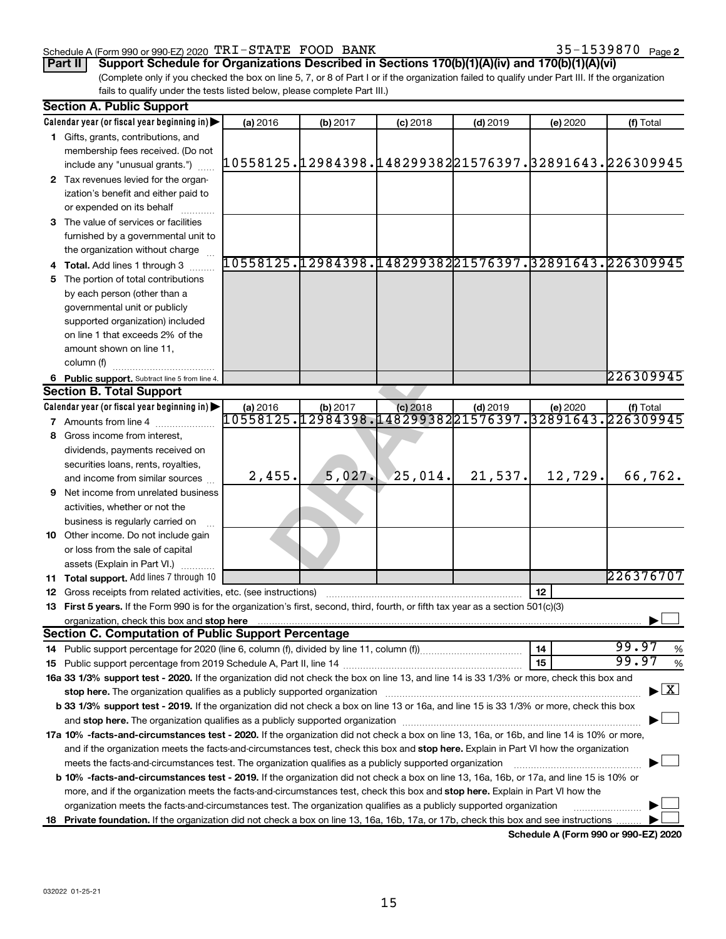#### Schedule A (Form 990 or 990-EZ) 2020  $\texttt{TRI}-\texttt{STATE}$   $\texttt{FOOD}$   $\texttt{BANK}$   $35-1539870$   $\texttt{Page}$

# **Part II Support Schedule for Organizations Described in Sections 170(b)(1)(A)(iv) and 170(b)(1)(A)(vi)**

(Complete only if you checked the box on line 5, 7, or 8 of Part I or if the organization failed to qualify under Part III. If the organization fails to qualify under the tests listed below, please complete Part III.)

|    | <b>Section A. Public Support</b>                                                                                                                                                                                                   |          |          |            |            |          |                                                                     |
|----|------------------------------------------------------------------------------------------------------------------------------------------------------------------------------------------------------------------------------------|----------|----------|------------|------------|----------|---------------------------------------------------------------------|
|    | Calendar year (or fiscal year beginning in)                                                                                                                                                                                        | (a) 2016 | (b) 2017 | $(c)$ 2018 | $(d)$ 2019 | (e) 2020 | (f) Total                                                           |
|    | 1 Gifts, grants, contributions, and                                                                                                                                                                                                |          |          |            |            |          |                                                                     |
|    | membership fees received. (Do not                                                                                                                                                                                                  |          |          |            |            |          |                                                                     |
|    | include any "unusual grants.")                                                                                                                                                                                                     |          |          |            |            |          | 10558125.12984398.14829938221576397.32891643.226309945              |
|    | 2 Tax revenues levied for the organ-                                                                                                                                                                                               |          |          |            |            |          |                                                                     |
|    | ization's benefit and either paid to                                                                                                                                                                                               |          |          |            |            |          |                                                                     |
|    | or expended on its behalf                                                                                                                                                                                                          |          |          |            |            |          |                                                                     |
|    | 3 The value of services or facilities                                                                                                                                                                                              |          |          |            |            |          |                                                                     |
|    | furnished by a governmental unit to                                                                                                                                                                                                |          |          |            |            |          |                                                                     |
|    | the organization without charge                                                                                                                                                                                                    |          |          |            |            |          |                                                                     |
|    | 4 Total. Add lines 1 through 3                                                                                                                                                                                                     |          |          |            |            |          | 10558125.12984398.14829938221576397.32891643.226309945              |
|    | 5 The portion of total contributions                                                                                                                                                                                               |          |          |            |            |          |                                                                     |
|    | by each person (other than a                                                                                                                                                                                                       |          |          |            |            |          |                                                                     |
|    | governmental unit or publicly                                                                                                                                                                                                      |          |          |            |            |          |                                                                     |
|    | supported organization) included                                                                                                                                                                                                   |          |          |            |            |          |                                                                     |
|    | on line 1 that exceeds 2% of the                                                                                                                                                                                                   |          |          |            |            |          |                                                                     |
|    | amount shown on line 11,                                                                                                                                                                                                           |          |          |            |            |          |                                                                     |
|    | column (f)                                                                                                                                                                                                                         |          |          |            |            |          |                                                                     |
|    |                                                                                                                                                                                                                                    |          |          |            |            |          | 226309945                                                           |
|    | 6 Public support. Subtract line 5 from line 4.<br><b>Section B. Total Support</b>                                                                                                                                                  |          |          |            |            |          |                                                                     |
|    | Calendar year (or fiscal year beginning in)                                                                                                                                                                                        |          |          |            |            |          |                                                                     |
|    | <b>7</b> Amounts from line 4                                                                                                                                                                                                       | (a) 2016 | (b) 2017 | $(c)$ 2018 | $(d)$ 2019 | (e) 2020 | (f) Total<br>10558125.12984398.14829938221576397.32891643.226309945 |
|    |                                                                                                                                                                                                                                    |          |          |            |            |          |                                                                     |
| 8  | Gross income from interest,                                                                                                                                                                                                        |          |          |            |            |          |                                                                     |
|    | dividends, payments received on                                                                                                                                                                                                    |          |          |            |            |          |                                                                     |
|    | securities loans, rents, royalties,                                                                                                                                                                                                | 2,455.   | 5,027.   | 25,014.    | 21,537.    | 12,729.  | 66,762.                                                             |
|    | and income from similar sources                                                                                                                                                                                                    |          |          |            |            |          |                                                                     |
| 9  | Net income from unrelated business                                                                                                                                                                                                 |          |          |            |            |          |                                                                     |
|    | activities, whether or not the                                                                                                                                                                                                     |          |          |            |            |          |                                                                     |
|    | business is regularly carried on                                                                                                                                                                                                   |          |          |            |            |          |                                                                     |
|    | 10 Other income. Do not include gain                                                                                                                                                                                               |          |          |            |            |          |                                                                     |
|    | or loss from the sale of capital                                                                                                                                                                                                   |          |          |            |            |          |                                                                     |
|    | assets (Explain in Part VI.)                                                                                                                                                                                                       |          |          |            |            |          |                                                                     |
|    | <b>11 Total support.</b> Add lines 7 through 10                                                                                                                                                                                    |          |          |            |            |          | 226376707                                                           |
|    | <b>12</b> Gross receipts from related activities, etc. (see instructions)                                                                                                                                                          |          |          |            |            | 12       |                                                                     |
|    | 13 First 5 years. If the Form 990 is for the organization's first, second, third, fourth, or fifth tax year as a section 501(c)(3)                                                                                                 |          |          |            |            |          |                                                                     |
|    | organization, check this box and stop here <b>construction and the construction</b> of the construction of the construction of the construction of the construction of the construction of the construction of the construction of |          |          |            |            |          |                                                                     |
|    | <b>Section C. Computation of Public Support Percentage</b>                                                                                                                                                                         |          |          |            |            |          |                                                                     |
|    |                                                                                                                                                                                                                                    |          |          |            |            | 14       | 99.97<br>%                                                          |
|    |                                                                                                                                                                                                                                    |          |          |            |            | 15       | 99.97<br>%                                                          |
|    | 16a 33 1/3% support test - 2020. If the organization did not check the box on line 13, and line 14 is 33 1/3% or more, check this box and                                                                                          |          |          |            |            |          |                                                                     |
|    | stop here. The organization qualifies as a publicly supported organization                                                                                                                                                         |          |          |            |            |          | $\blacktriangleright$ $\mathbf{X}$                                  |
|    | b 33 1/3% support test - 2019. If the organization did not check a box on line 13 or 16a, and line 15 is 33 1/3% or more, check this box                                                                                           |          |          |            |            |          |                                                                     |
|    | and stop here. The organization qualifies as a publicly supported organization [11,111] and stop here. The organization [11] and stop here. The organization [11] and stop here. The organization [11] and stop here is a publ     |          |          |            |            |          |                                                                     |
|    | 17a 10% -facts-and-circumstances test - 2020. If the organization did not check a box on line 13, 16a, or 16b, and line 14 is 10% or more,                                                                                         |          |          |            |            |          |                                                                     |
|    | and if the organization meets the facts-and-circumstances test, check this box and stop here. Explain in Part VI how the organization                                                                                              |          |          |            |            |          |                                                                     |
|    | meets the facts-and-circumstances test. The organization qualifies as a publicly supported organization                                                                                                                            |          |          |            |            |          |                                                                     |
|    | b 10% -facts-and-circumstances test - 2019. If the organization did not check a box on line 13, 16a, 16b, or 17a, and line 15 is 10% or                                                                                            |          |          |            |            |          |                                                                     |
|    | more, and if the organization meets the facts-and-circumstances test, check this box and stop here. Explain in Part VI how the                                                                                                     |          |          |            |            |          |                                                                     |
|    | organization meets the facts-and-circumstances test. The organization qualifies as a publicly supported organization                                                                                                               |          |          |            |            |          |                                                                     |
| 18 | Private foundation. If the organization did not check a box on line 13, 16a, 16b, 17a, or 17b, check this box and see instructions                                                                                                 |          |          |            |            |          |                                                                     |
|    |                                                                                                                                                                                                                                    |          |          |            |            |          |                                                                     |

**Schedule A (Form 990 or 990-EZ) 2020**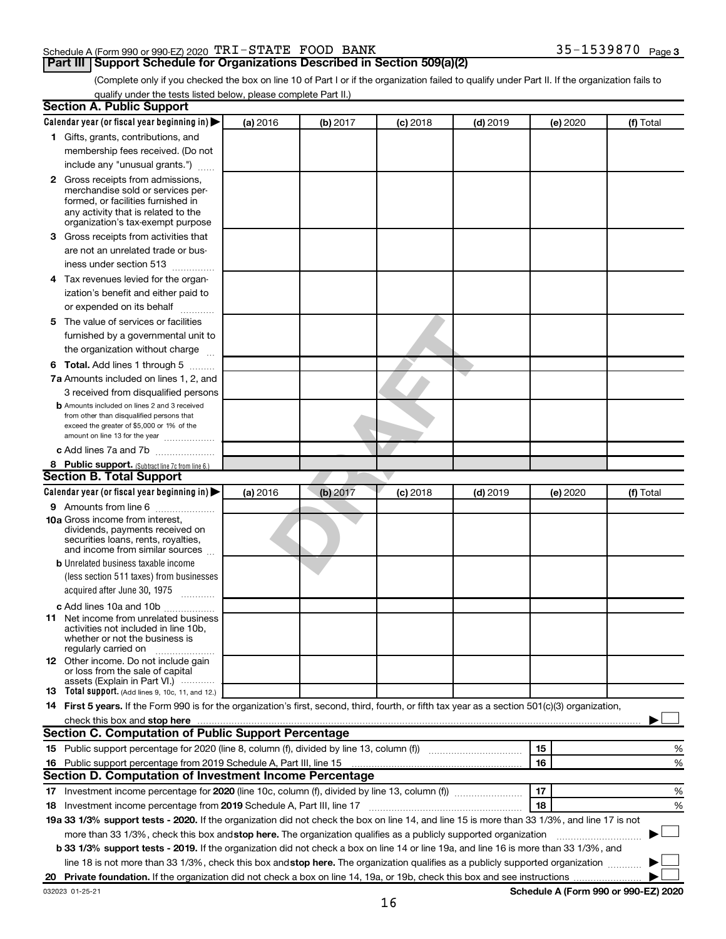#### Schedule A (Form 990 or 990-EZ) 2020  $\texttt{TRI}-\texttt{STATE}$   $\texttt{FOOD}$   $\texttt{BANK}$   $35-1539870$   $\texttt{Page}$

35-1539870 Page 3

(Complete only if you checked the box on line 10 of Part I or if the organization failed to qualify under Part II. If the organization fails to qualify under the tests listed below, please complete Part II.)

| <b>Section A. Public Support</b>                                                                                                                 |          |          |            |            |          |           |
|--------------------------------------------------------------------------------------------------------------------------------------------------|----------|----------|------------|------------|----------|-----------|
| Calendar year (or fiscal year beginning in)                                                                                                      | (a) 2016 | (b) 2017 | $(c)$ 2018 | $(d)$ 2019 | (e) 2020 | (f) Total |
| 1 Gifts, grants, contributions, and                                                                                                              |          |          |            |            |          |           |
| membership fees received. (Do not                                                                                                                |          |          |            |            |          |           |
| include any "unusual grants.")                                                                                                                   |          |          |            |            |          |           |
| 2 Gross receipts from admissions,                                                                                                                |          |          |            |            |          |           |
| merchandise sold or services per-                                                                                                                |          |          |            |            |          |           |
| formed, or facilities furnished in                                                                                                               |          |          |            |            |          |           |
| any activity that is related to the<br>organization's tax-exempt purpose                                                                         |          |          |            |            |          |           |
| 3 Gross receipts from activities that                                                                                                            |          |          |            |            |          |           |
| are not an unrelated trade or bus-                                                                                                               |          |          |            |            |          |           |
| iness under section 513                                                                                                                          |          |          |            |            |          |           |
|                                                                                                                                                  |          |          |            |            |          |           |
| 4 Tax revenues levied for the organ-                                                                                                             |          |          |            |            |          |           |
| ization's benefit and either paid to                                                                                                             |          |          |            |            |          |           |
| or expended on its behalf                                                                                                                        |          |          |            |            |          |           |
| 5 The value of services or facilities                                                                                                            |          |          |            |            |          |           |
| furnished by a governmental unit to                                                                                                              |          |          |            |            |          |           |
| the organization without charge                                                                                                                  |          |          |            |            |          |           |
| 6 Total. Add lines 1 through 5                                                                                                                   |          |          |            |            |          |           |
| 7a Amounts included on lines 1, 2, and                                                                                                           |          |          |            |            |          |           |
| 3 received from disqualified persons                                                                                                             |          |          |            |            |          |           |
| <b>b</b> Amounts included on lines 2 and 3 received                                                                                              |          |          |            |            |          |           |
| from other than disqualified persons that<br>exceed the greater of \$5,000 or 1% of the                                                          |          |          |            |            |          |           |
| amount on line 13 for the year                                                                                                                   |          |          |            |            |          |           |
| c Add lines 7a and 7b                                                                                                                            |          |          |            |            |          |           |
| 8 Public support. (Subtract line 7c from line 6.)                                                                                                |          |          |            |            |          |           |
| <b>Section B. Total Support</b>                                                                                                                  |          |          |            |            |          |           |
| Calendar year (or fiscal year beginning in)                                                                                                      | (a) 2016 | (b) 2017 | $(c)$ 2018 | $(d)$ 2019 | (e) 2020 | (f) Total |
| <b>9</b> Amounts from line 6                                                                                                                     |          |          |            |            |          |           |
| <b>10a</b> Gross income from interest,                                                                                                           |          |          |            |            |          |           |
| dividends, payments received on                                                                                                                  |          |          |            |            |          |           |
| securities loans, rents, royalties,<br>and income from similar sources                                                                           |          |          |            |            |          |           |
| <b>b</b> Unrelated business taxable income                                                                                                       |          |          |            |            |          |           |
| (less section 511 taxes) from businesses                                                                                                         |          |          |            |            |          |           |
| acquired after June 30, 1975                                                                                                                     |          |          |            |            |          |           |
| $\overline{\phantom{a}}$                                                                                                                         |          |          |            |            |          |           |
| c Add lines 10a and 10b<br><b>11</b> Net income from unrelated business                                                                          |          |          |            |            |          |           |
| activities not included in line 10b.                                                                                                             |          |          |            |            |          |           |
| whether or not the business is                                                                                                                   |          |          |            |            |          |           |
| regularly carried on                                                                                                                             |          |          |            |            |          |           |
| 12 Other income. Do not include gain<br>or loss from the sale of capital                                                                         |          |          |            |            |          |           |
| assets (Explain in Part VI.) $\cdots$                                                                                                            |          |          |            |            |          |           |
| <b>13</b> Total support. (Add lines 9, 10c, 11, and 12.)                                                                                         |          |          |            |            |          |           |
| 14 First 5 years. If the Form 990 is for the organization's first, second, third, fourth, or fifth tax year as a section 501(c)(3) organization, |          |          |            |            |          |           |
| check this box and stop here                                                                                                                     |          |          |            |            |          |           |
| Section C. Computation of Public Support Percentage                                                                                              |          |          |            |            |          |           |
| 15 Public support percentage for 2020 (line 8, column (f), divided by line 13, column (f) <i></i>                                                |          |          |            |            | 15       | %         |
| 16 Public support percentage from 2019 Schedule A, Part III, line 15                                                                             |          |          |            |            | 16       | %         |
| Section D. Computation of Investment Income Percentage                                                                                           |          |          |            |            |          |           |
| 17 Investment income percentage for 2020 (line 10c, column (f), divided by line 13, column (f))                                                  |          |          |            |            | 17       | %         |
| 18<br>18 Investment income percentage from 2019 Schedule A, Part III, line 17<br>%                                                               |          |          |            |            |          |           |
| 19a 33 1/3% support tests - 2020. If the organization did not check the box on line 14, and line 15 is more than 33 1/3%, and line 17 is not     |          |          |            |            |          |           |
| more than 33 1/3%, check this box and stop here. The organization qualifies as a publicly supported organization                                 |          |          |            |            |          |           |
| b 33 1/3% support tests - 2019. If the organization did not check a box on line 14 or line 19a, and line 16 is more than 33 1/3%, and            |          |          |            |            |          |           |
| line 18 is not more than 33 1/3%, check this box and stop here. The organization qualifies as a publicly supported organization                  |          |          |            |            |          |           |
|                                                                                                                                                  |          |          |            |            |          |           |
|                                                                                                                                                  |          |          |            |            |          |           |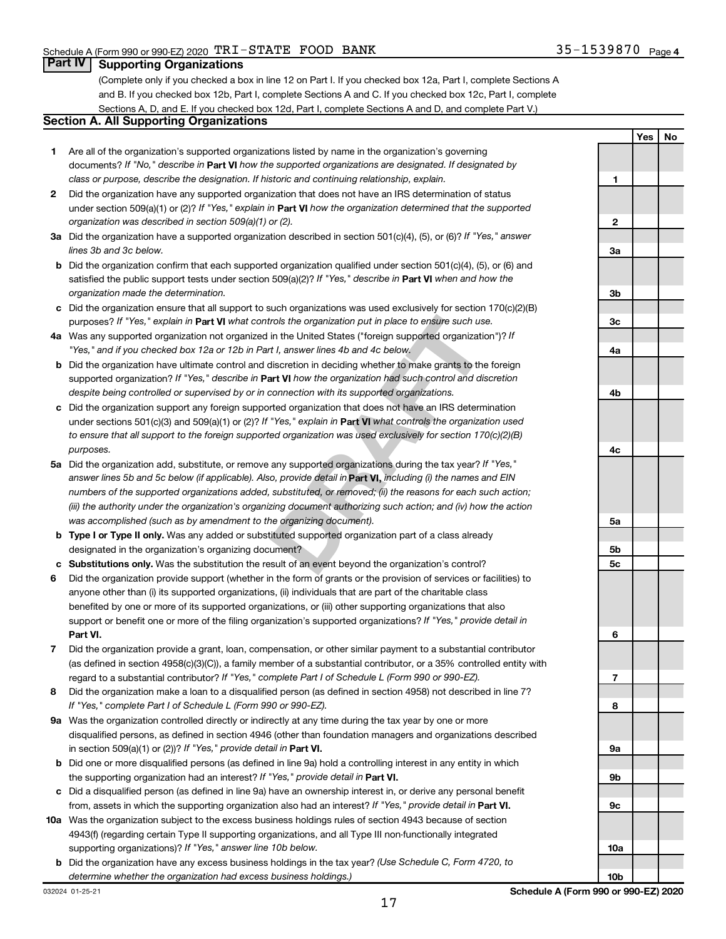**Yes No**

### **Part IV Supporting Organizations**

(Complete only if you checked a box in line 12 on Part I. If you checked box 12a, Part I, complete Sections A and B. If you checked box 12b, Part I, complete Sections A and C. If you checked box 12c, Part I, complete Sections A, D, and E. If you checked box 12d, Part I, complete Sections A and D, and complete Part V.)

## **Section A. All Supporting Organizations**

- **1** Are all of the organization's supported organizations listed by name in the organization's governing documents? If "No," describe in Part VI how the supported organizations are designated. If designated by *class or purpose, describe the designation. If historic and continuing relationship, explain.*
- **2** Did the organization have any supported organization that does not have an IRS determination of status under section 509(a)(1) or (2)? If "Yes," explain in Part **VI** how the organization determined that the supported *organization was described in section 509(a)(1) or (2).*
- **3a** Did the organization have a supported organization described in section 501(c)(4), (5), or (6)? If "Yes," answer *lines 3b and 3c below.*
- **b** Did the organization confirm that each supported organization qualified under section 501(c)(4), (5), or (6) and satisfied the public support tests under section 509(a)(2)? If "Yes," describe in Part VI when and how the *organization made the determination.*
- **c** Did the organization ensure that all support to such organizations was used exclusively for section 170(c)(2)(B) purposes? If "Yes," explain in Part VI what controls the organization put in place to ensure such use.
- **4 a** *If* Was any supported organization not organized in the United States ("foreign supported organization")? *"Yes," and if you checked box 12a or 12b in Part I, answer lines 4b and 4c below.*
- **b** Did the organization have ultimate control and discretion in deciding whether to make grants to the foreign supported organization? If "Yes," describe in Part VI how the organization had such control and discretion *despite being controlled or supervised by or in connection with its supported organizations.*
- **c** Did the organization support any foreign supported organization that does not have an IRS determination under sections 501(c)(3) and 509(a)(1) or (2)? If "Yes," explain in Part VI what controls the organization used *to ensure that all support to the foreign supported organization was used exclusively for section 170(c)(2)(B) purposes.*
- rols the organization put in place to ensure such use.<br>
in the United States ("foreign supported organization")? If<br>
11, answer lines 4b and 4c below.<br>
discretion in deciding whether to make grants to the foreign<br>
and **VI 5a** Did the organization add, substitute, or remove any supported organizations during the tax year? If "Yes," answer lines 5b and 5c below (if applicable). Also, provide detail in **Part VI,** including (i) the names and EIN *numbers of the supported organizations added, substituted, or removed; (ii) the reasons for each such action; (iii) the authority under the organization's organizing document authorizing such action; and (iv) how the action was accomplished (such as by amendment to the organizing document).*
- **b** Type I or Type II only. Was any added or substituted supported organization part of a class already designated in the organization's organizing document?
- **c Substitutions only.**  Was the substitution the result of an event beyond the organization's control?
- **6** Did the organization provide support (whether in the form of grants or the provision of services or facilities) to **Part VI.** support or benefit one or more of the filing organization's supported organizations? If "Yes," provide detail in anyone other than (i) its supported organizations, (ii) individuals that are part of the charitable class benefited by one or more of its supported organizations, or (iii) other supporting organizations that also
- **7** Did the organization provide a grant, loan, compensation, or other similar payment to a substantial contributor regard to a substantial contributor? If "Yes," complete Part I of Schedule L (Form 990 or 990-EZ). (as defined in section 4958(c)(3)(C)), a family member of a substantial contributor, or a 35% controlled entity with
- **8** Did the organization make a loan to a disqualified person (as defined in section 4958) not described in line 7? *If "Yes," complete Part I of Schedule L (Form 990 or 990-EZ).*
- **9 a** Was the organization controlled directly or indirectly at any time during the tax year by one or more in section 509(a)(1) or (2))? If "Yes," provide detail in **Part VI.** disqualified persons, as defined in section 4946 (other than foundation managers and organizations described
- **b** Did one or more disqualified persons (as defined in line 9a) hold a controlling interest in any entity in which the supporting organization had an interest? If "Yes," provide detail in Part VI.
- **c** Did a disqualified person (as defined in line 9a) have an ownership interest in, or derive any personal benefit from, assets in which the supporting organization also had an interest? If "Yes," provide detail in Part VI.
- **10 a** Was the organization subject to the excess business holdings rules of section 4943 because of section supporting organizations)? If "Yes," answer line 10b below. 4943(f) (regarding certain Type II supporting organizations, and all Type III non-functionally integrated
- **b** Did the organization have any excess business holdings in the tax year? (Use Schedule C, Form 4720, to *determine whether the organization had excess business holdings.)*

**1 2 3a 3b 3c 4a 4b 4c 5a 5b 5c 6 7 8 9a 9b 9c 10a**

**10b**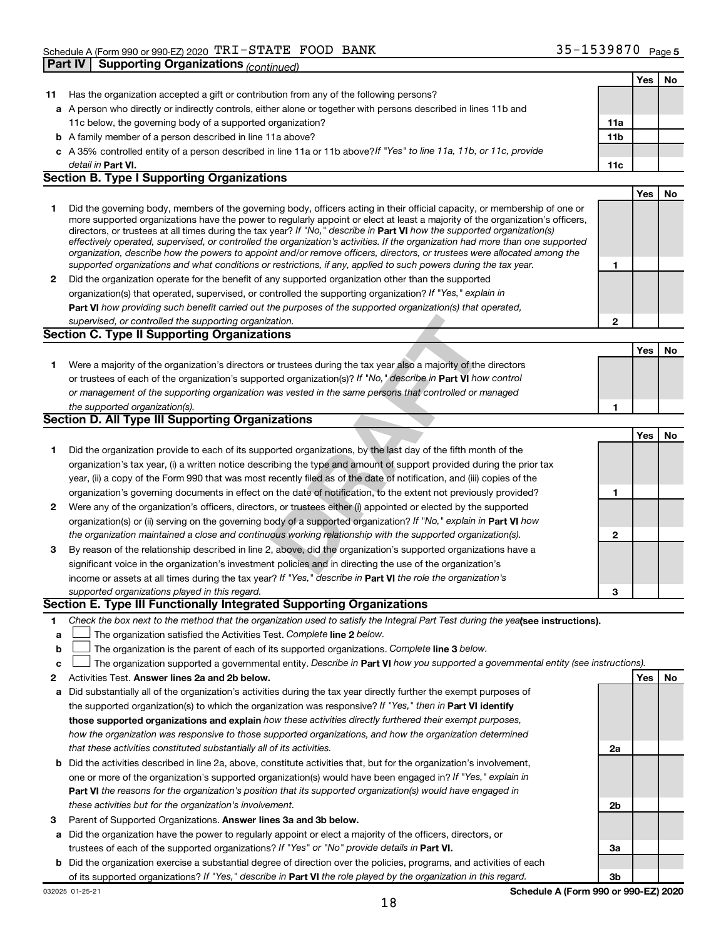|    |                                                                                                                                                                                                                                                            |              | Yes | No |
|----|------------------------------------------------------------------------------------------------------------------------------------------------------------------------------------------------------------------------------------------------------------|--------------|-----|----|
| 11 | Has the organization accepted a gift or contribution from any of the following persons?                                                                                                                                                                    |              |     |    |
|    | a A person who directly or indirectly controls, either alone or together with persons described in lines 11b and                                                                                                                                           |              |     |    |
|    | 11c below, the governing body of a supported organization?                                                                                                                                                                                                 | 11a          |     |    |
|    | <b>b</b> A family member of a person described in line 11a above?                                                                                                                                                                                          | 11b          |     |    |
|    | c A 35% controlled entity of a person described in line 11a or 11b above?If "Yes" to line 11a, 11b, or 11c, provide                                                                                                                                        |              |     |    |
|    | detail in <b>Part VI.</b>                                                                                                                                                                                                                                  | 11c          |     |    |
|    | <b>Section B. Type I Supporting Organizations</b>                                                                                                                                                                                                          |              |     |    |
|    |                                                                                                                                                                                                                                                            |              | Yes | No |
| 1  | Did the governing body, members of the governing body, officers acting in their official capacity, or membership of one or                                                                                                                                 |              |     |    |
|    | more supported organizations have the power to regularly appoint or elect at least a majority of the organization's officers,                                                                                                                              |              |     |    |
|    | directors, or trustees at all times during the tax year? If "No," describe in Part VI how the supported organization(s)                                                                                                                                    |              |     |    |
|    | effectively operated, supervised, or controlled the organization's activities. If the organization had more than one supported<br>organization, describe how the powers to appoint and/or remove officers, directors, or trustees were allocated among the |              |     |    |
|    | supported organizations and what conditions or restrictions, if any, applied to such powers during the tax year.                                                                                                                                           | 1            |     |    |
| 2  | Did the organization operate for the benefit of any supported organization other than the supported                                                                                                                                                        |              |     |    |
|    | organization(s) that operated, supervised, or controlled the supporting organization? If "Yes," explain in                                                                                                                                                 |              |     |    |
|    | Part VI how providing such benefit carried out the purposes of the supported organization(s) that operated,                                                                                                                                                |              |     |    |
|    | supervised, or controlled the supporting organization.                                                                                                                                                                                                     | $\mathbf{2}$ |     |    |
|    | <b>Section C. Type II Supporting Organizations</b>                                                                                                                                                                                                         |              |     |    |
|    |                                                                                                                                                                                                                                                            |              | Yes | No |
| 1. | Were a majority of the organization's directors or trustees during the tax year also a majority of the directors                                                                                                                                           |              |     |    |
|    | or trustees of each of the organization's supported organization(s)? If "No," describe in Part VI how control                                                                                                                                              |              |     |    |
|    | or management of the supporting organization was vested in the same persons that controlled or managed                                                                                                                                                     |              |     |    |
|    | the supported organization(s).                                                                                                                                                                                                                             | 1            |     |    |
|    | <b>Section D. All Type III Supporting Organizations</b>                                                                                                                                                                                                    |              |     |    |
|    |                                                                                                                                                                                                                                                            |              | Yes | No |
| 1  | Did the organization provide to each of its supported organizations, by the last day of the fifth month of the                                                                                                                                             |              |     |    |
|    | organization's tax year, (i) a written notice describing the type and amount of support provided during the prior tax                                                                                                                                      |              |     |    |
|    | year, (ii) a copy of the Form 990 that was most recently filed as of the date of notification, and (iii) copies of the                                                                                                                                     |              |     |    |
|    | organization's governing documents in effect on the date of notification, to the extent not previously provided?                                                                                                                                           | 1            |     |    |
| 2  | Were any of the organization's officers, directors, or trustees either (i) appointed or elected by the supported                                                                                                                                           |              |     |    |
|    | organization(s) or (ii) serving on the governing body of a supported organization? If "No," explain in Part VI how                                                                                                                                         |              |     |    |
|    | the organization maintained a close and continuous working relationship with the supported organization(s).                                                                                                                                                | $\mathbf{2}$ |     |    |
| 3  | By reason of the relationship described in line 2, above, did the organization's supported organizations have a                                                                                                                                            |              |     |    |
|    | significant voice in the organization's investment policies and in directing the use of the organization's                                                                                                                                                 |              |     |    |
|    | income or assets at all times during the tax year? If "Yes," describe in Part VI the role the organization's                                                                                                                                               |              |     |    |
|    | supported organizations played in this regard.                                                                                                                                                                                                             | 3            |     |    |
|    | Section E. Type III Functionally Integrated Supporting Organizations                                                                                                                                                                                       |              |     |    |
| 1  | Check the box next to the method that the organization used to satisfy the Integral Part Test during the yealsee instructions).                                                                                                                            |              |     |    |
| а  | The organization satisfied the Activities Test. Complete line 2 below.                                                                                                                                                                                     |              |     |    |
| b  | The organization is the parent of each of its supported organizations. Complete line 3 below.                                                                                                                                                              |              |     |    |
| c  | The organization supported a governmental entity. Describe in Part VI how you supported a governmental entity (see instructions).                                                                                                                          |              |     |    |
| 2  | Activities Test. Answer lines 2a and 2b below.                                                                                                                                                                                                             |              | Yes | No |
| а  | Did substantially all of the organization's activities during the tax year directly further the exempt purposes of                                                                                                                                         |              |     |    |
|    | the supported organization(s) to which the organization was responsive? If "Yes," then in Part VI identify                                                                                                                                                 |              |     |    |
|    | those supported organizations and explain how these activities directly furthered their exempt purposes,                                                                                                                                                   |              |     |    |
|    | how the organization was responsive to those supported organizations, and how the organization determined                                                                                                                                                  |              |     |    |
|    | that these activities constituted substantially all of its activities.                                                                                                                                                                                     | 2a           |     |    |
| b  | Did the activities described in line 2a, above, constitute activities that, but for the organization's involvement,                                                                                                                                        |              |     |    |
|    | one or more of the organization's supported organization(s) would have been engaged in? If "Yes," explain in                                                                                                                                               |              |     |    |
|    | Part VI the reasons for the organization's position that its supported organization(s) would have engaged in                                                                                                                                               |              |     |    |
|    | these activities but for the organization's involvement.                                                                                                                                                                                                   | 2b           |     |    |
| 3  | Parent of Supported Organizations. Answer lines 3a and 3b below.                                                                                                                                                                                           |              |     |    |
| а  | Did the organization have the power to regularly appoint or elect a majority of the officers, directors, or                                                                                                                                                |              |     |    |
|    | trustees of each of the supported organizations? If "Yes" or "No" provide details in Part VI.                                                                                                                                                              | За           |     |    |
|    | <b>b</b> Did the organization exercise a substantial degree of direction over the policies, programs, and activities of each                                                                                                                               |              |     |    |

of its supported organizations? If "Yes," describe in Part VI the role played by the organization in this regard.

**3b**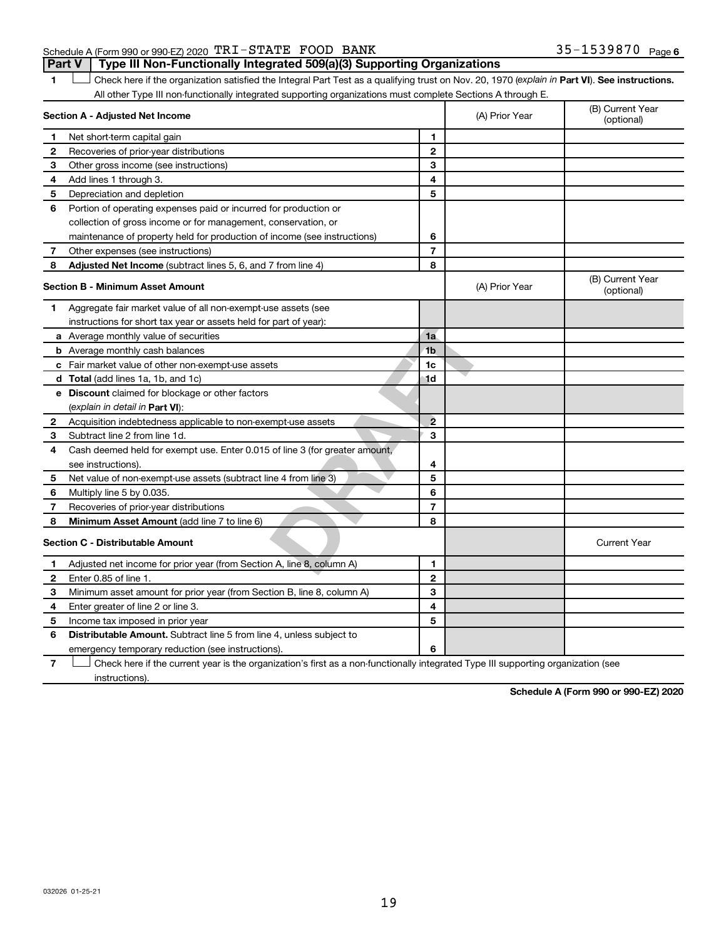#### Schedule A (Form 990 or 990-EZ) 2020  $\texttt{TRI}-\texttt{STATE}$   $\texttt{FOOD}$   $\texttt{BANK}$   $35-1539870$   $\texttt{Page}$ **Part V Type III Non-Functionally Integrated 509(a)(3) Supporting Organizations**

1 **Letter See instructions.** Check here if the organization satisfied the Integral Part Test as a qualifying trust on Nov. 20, 1970 (*explain in* Part **VI**). See instructions. All other Type III non-functionally integrated supporting organizations must complete Sections A through E.

|   | Section A - Adjusted Net Income                                                                                                   | (A) Prior Year | (B) Current Year<br>(optional) |                                |
|---|-----------------------------------------------------------------------------------------------------------------------------------|----------------|--------------------------------|--------------------------------|
|   | Net short-term capital gain                                                                                                       | 1              |                                |                                |
| 2 | Recoveries of prior-year distributions                                                                                            | $\overline{2}$ |                                |                                |
| 3 | Other gross income (see instructions)                                                                                             | 3              |                                |                                |
| 4 | Add lines 1 through 3.                                                                                                            | 4              |                                |                                |
| 5 | Depreciation and depletion                                                                                                        | 5              |                                |                                |
| 6 | Portion of operating expenses paid or incurred for production or                                                                  |                |                                |                                |
|   | collection of gross income or for management, conservation, or                                                                    |                |                                |                                |
|   | maintenance of property held for production of income (see instructions)                                                          | 6              |                                |                                |
| 7 | Other expenses (see instructions)                                                                                                 | $\overline{7}$ |                                |                                |
| 8 | Adjusted Net Income (subtract lines 5, 6, and 7 from line 4)                                                                      | 8              |                                |                                |
|   | <b>Section B - Minimum Asset Amount</b>                                                                                           |                | (A) Prior Year                 | (B) Current Year<br>(optional) |
| 1 | Aggregate fair market value of all non-exempt-use assets (see                                                                     |                |                                |                                |
|   | instructions for short tax year or assets held for part of year):                                                                 |                |                                |                                |
|   | <b>a</b> Average monthly value of securities                                                                                      | 1a             |                                |                                |
|   | <b>b</b> Average monthly cash balances                                                                                            | 1 <sub>b</sub> |                                |                                |
|   | <b>c</b> Fair market value of other non-exempt-use assets                                                                         | 1c             |                                |                                |
|   | <b>d</b> Total (add lines 1a, 1b, and 1c)                                                                                         | 1d             |                                |                                |
|   | e Discount claimed for blockage or other factors                                                                                  |                |                                |                                |
|   | (explain in detail in <b>Part VI</b> ):                                                                                           |                |                                |                                |
| 2 | Acquisition indebtedness applicable to non-exempt-use assets                                                                      | $\overline{2}$ |                                |                                |
| 3 | Subtract line 2 from line 1d.                                                                                                     | 3              |                                |                                |
| 4 | Cash deemed held for exempt use. Enter 0.015 of line 3 (for greater amount,                                                       |                |                                |                                |
|   | see instructions).                                                                                                                | 4              |                                |                                |
| 5 | Net value of non-exempt-use assets (subtract line 4 from line 3)                                                                  | 5              |                                |                                |
| 6 | Multiply line 5 by 0.035.                                                                                                         | 6              |                                |                                |
| 7 | Recoveries of prior-year distributions                                                                                            | $\overline{7}$ |                                |                                |
| 8 | Minimum Asset Amount (add line 7 to line 6)                                                                                       | 8              |                                |                                |
|   | <b>Section C - Distributable Amount</b>                                                                                           |                |                                | <b>Current Year</b>            |
| 1 | Adjusted net income for prior year (from Section A, line 8, column A)                                                             | $\mathbf{1}$   |                                |                                |
| 2 | Enter 0.85 of line 1.                                                                                                             | $\overline{2}$ |                                |                                |
| з | Minimum asset amount for prior year (from Section B, line 8, column A)                                                            | 3              |                                |                                |
| 4 | Enter greater of line 2 or line 3.                                                                                                | 4              |                                |                                |
| 5 | Income tax imposed in prior year                                                                                                  | 5              |                                |                                |
| 6 | <b>Distributable Amount.</b> Subtract line 5 from line 4, unless subject to                                                       |                |                                |                                |
|   | emergency temporary reduction (see instructions).                                                                                 | 6              |                                |                                |
| 7 | Check here if the current year is the organization's first as a non-functionally integrated Type III supporting organization (see |                |                                |                                |

instructions).

**Schedule A (Form 990 or 990-EZ) 2020**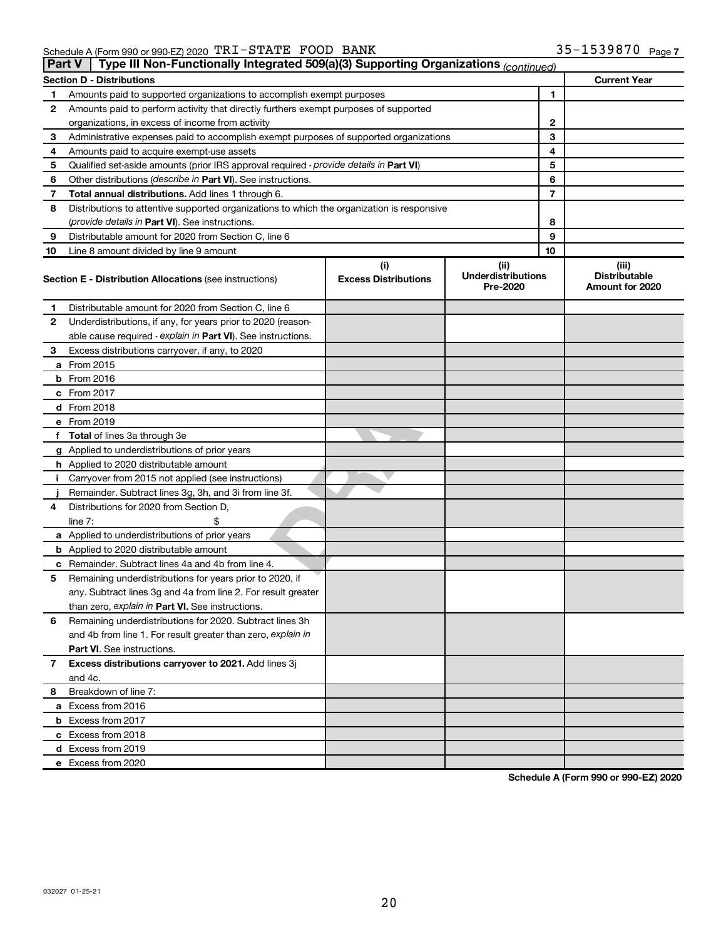|    | Type III Non-Functionally Integrated 509(a)(3) Supporting Organizations (continued)<br>Part V |                                    |                                               |                                                  |  |  |  |  |
|----|-----------------------------------------------------------------------------------------------|------------------------------------|-----------------------------------------------|--------------------------------------------------|--|--|--|--|
|    | <b>Current Year</b><br><b>Section D - Distributions</b>                                       |                                    |                                               |                                                  |  |  |  |  |
| 1  | Amounts paid to supported organizations to accomplish exempt purposes                         | 1                                  |                                               |                                                  |  |  |  |  |
| 2  | Amounts paid to perform activity that directly furthers exempt purposes of supported          |                                    |                                               |                                                  |  |  |  |  |
|    | organizations, in excess of income from activity                                              | 2                                  |                                               |                                                  |  |  |  |  |
| 3  | Administrative expenses paid to accomplish exempt purposes of supported organizations         | 3                                  |                                               |                                                  |  |  |  |  |
| 4  | Amounts paid to acquire exempt-use assets                                                     |                                    | 4                                             |                                                  |  |  |  |  |
| 5  | Qualified set-aside amounts (prior IRS approval required - provide details in Part VI)        |                                    | 5                                             |                                                  |  |  |  |  |
| 6  | Other distributions ( <i>describe in Part VI</i> ). See instructions.                         |                                    | 6                                             |                                                  |  |  |  |  |
| 7  | Total annual distributions. Add lines 1 through 6.                                            | 7                                  |                                               |                                                  |  |  |  |  |
| 8  | Distributions to attentive supported organizations to which the organization is responsive    |                                    |                                               |                                                  |  |  |  |  |
|    | ( <i>provide details in Part VI</i> ). See instructions.                                      |                                    | 8                                             |                                                  |  |  |  |  |
| 9  | Distributable amount for 2020 from Section C, line 6                                          |                                    | 9                                             |                                                  |  |  |  |  |
| 10 | Line 8 amount divided by line 9 amount                                                        |                                    | 10                                            |                                                  |  |  |  |  |
|    | <b>Section E - Distribution Allocations (see instructions)</b>                                | (i)<br><b>Excess Distributions</b> | (ii)<br><b>Underdistributions</b><br>Pre-2020 | (iii)<br><b>Distributable</b><br>Amount for 2020 |  |  |  |  |
| 1  | Distributable amount for 2020 from Section C, line 6                                          |                                    |                                               |                                                  |  |  |  |  |
| 2  | Underdistributions, if any, for years prior to 2020 (reason-                                  |                                    |                                               |                                                  |  |  |  |  |
|    | able cause required - explain in Part VI). See instructions.                                  |                                    |                                               |                                                  |  |  |  |  |
| З  | Excess distributions carryover, if any, to 2020                                               |                                    |                                               |                                                  |  |  |  |  |
|    | a From 2015                                                                                   |                                    |                                               |                                                  |  |  |  |  |
|    | $b$ From 2016                                                                                 |                                    |                                               |                                                  |  |  |  |  |
|    | c From 2017                                                                                   |                                    |                                               |                                                  |  |  |  |  |
|    | <b>d</b> From 2018                                                                            |                                    |                                               |                                                  |  |  |  |  |
|    | e From 2019                                                                                   |                                    |                                               |                                                  |  |  |  |  |
|    | f Total of lines 3a through 3e                                                                |                                    |                                               |                                                  |  |  |  |  |
|    | g Applied to underdistributions of prior years                                                |                                    |                                               |                                                  |  |  |  |  |
|    | h Applied to 2020 distributable amount                                                        |                                    |                                               |                                                  |  |  |  |  |
| Ť. | Carryover from 2015 not applied (see instructions)                                            |                                    |                                               |                                                  |  |  |  |  |
|    | Remainder. Subtract lines 3g, 3h, and 3i from line 3f.                                        |                                    |                                               |                                                  |  |  |  |  |
| 4  | Distributions for 2020 from Section D,                                                        |                                    |                                               |                                                  |  |  |  |  |
|    | line 7:                                                                                       |                                    |                                               |                                                  |  |  |  |  |
|    | a Applied to underdistributions of prior years                                                |                                    |                                               |                                                  |  |  |  |  |
|    | <b>b</b> Applied to 2020 distributable amount                                                 |                                    |                                               |                                                  |  |  |  |  |
|    | c Remainder. Subtract lines 4a and 4b from line 4.                                            |                                    |                                               |                                                  |  |  |  |  |
| 5  | Remaining underdistributions for years prior to 2020, if                                      |                                    |                                               |                                                  |  |  |  |  |
|    | any. Subtract lines 3g and 4a from line 2. For result greater                                 |                                    |                                               |                                                  |  |  |  |  |
|    | than zero, explain in Part VI. See instructions.                                              |                                    |                                               |                                                  |  |  |  |  |
| 6  | Remaining underdistributions for 2020. Subtract lines 3h                                      |                                    |                                               |                                                  |  |  |  |  |
|    | and 4b from line 1. For result greater than zero, explain in                                  |                                    |                                               |                                                  |  |  |  |  |
|    | <b>Part VI.</b> See instructions.                                                             |                                    |                                               |                                                  |  |  |  |  |
| 7  | Excess distributions carryover to 2021. Add lines 3j                                          |                                    |                                               |                                                  |  |  |  |  |
|    | and 4c.                                                                                       |                                    |                                               |                                                  |  |  |  |  |
| 8  | Breakdown of line 7:                                                                          |                                    |                                               |                                                  |  |  |  |  |
|    | a Excess from 2016                                                                            |                                    |                                               |                                                  |  |  |  |  |
|    | <b>b</b> Excess from 2017                                                                     |                                    |                                               |                                                  |  |  |  |  |
|    | c Excess from 2018                                                                            |                                    |                                               |                                                  |  |  |  |  |
|    | d Excess from 2019                                                                            |                                    |                                               |                                                  |  |  |  |  |
|    | e Excess from 2020                                                                            |                                    |                                               |                                                  |  |  |  |  |

**Schedule A (Form 990 or 990-EZ) 2020**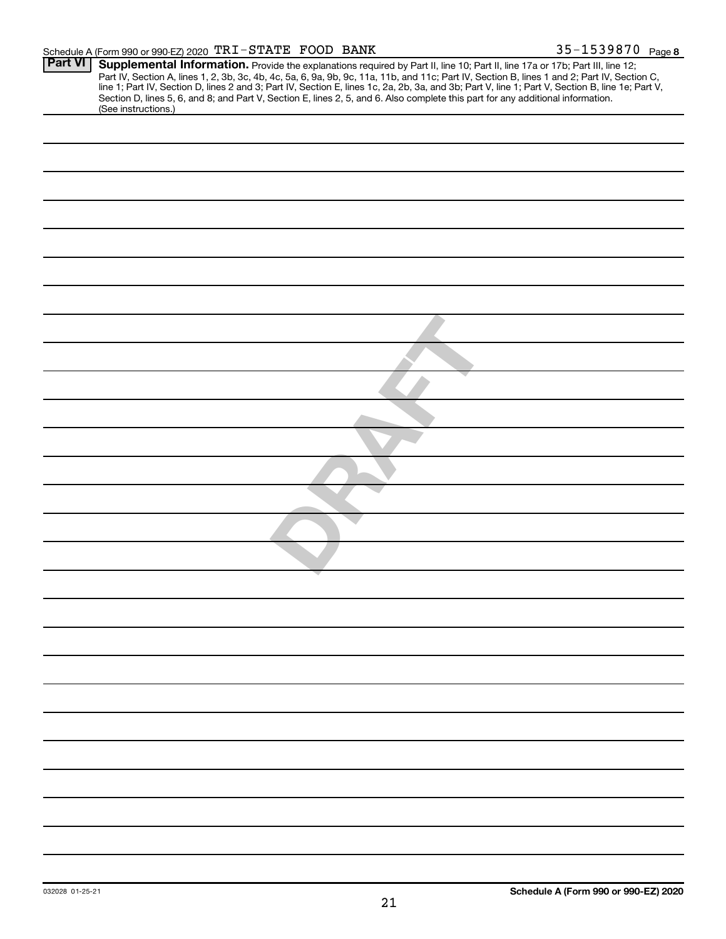| <b>Part VI</b> | Supplemental Information. Provide the explanations required by Part II, line 10; Part II, line 17a or 17b; Part III, line 12;                    |
|----------------|--------------------------------------------------------------------------------------------------------------------------------------------------|
|                | Part IV, Section A, lines 1, 2, 3b, 3c, 4b, 4c, 5a, 6, 9a, 9b, 9c, 11a, 11b, and 11c; Part IV, Section B, lines 1 and 2; Part IV, Section C,     |
|                | line 1; Part IV, Section D, lines 2 and 3; Part IV, Section E, lines 1c, 2a, 2b, 3a, and 3b; Part V, line 1; Part V, Section B, line 1e; Part V, |
|                | Section D, lines 5, 6, and 8; and Part V, Section E, lines 2, 5, and 6. Also complete this part for any additional information.                  |
|                | (See instructions.)                                                                                                                              |
|                |                                                                                                                                                  |
|                |                                                                                                                                                  |
|                |                                                                                                                                                  |
|                |                                                                                                                                                  |
|                |                                                                                                                                                  |
|                |                                                                                                                                                  |
|                |                                                                                                                                                  |
|                |                                                                                                                                                  |
|                |                                                                                                                                                  |
|                |                                                                                                                                                  |
|                |                                                                                                                                                  |
|                |                                                                                                                                                  |
|                |                                                                                                                                                  |
|                |                                                                                                                                                  |
|                |                                                                                                                                                  |
|                |                                                                                                                                                  |
|                |                                                                                                                                                  |
|                |                                                                                                                                                  |
|                |                                                                                                                                                  |
|                |                                                                                                                                                  |
|                |                                                                                                                                                  |
|                |                                                                                                                                                  |
|                |                                                                                                                                                  |
|                |                                                                                                                                                  |
|                |                                                                                                                                                  |
|                |                                                                                                                                                  |
|                |                                                                                                                                                  |
|                |                                                                                                                                                  |
|                |                                                                                                                                                  |
|                |                                                                                                                                                  |
|                |                                                                                                                                                  |
|                |                                                                                                                                                  |
|                |                                                                                                                                                  |
|                |                                                                                                                                                  |
|                |                                                                                                                                                  |
|                |                                                                                                                                                  |
|                |                                                                                                                                                  |
|                |                                                                                                                                                  |
|                |                                                                                                                                                  |
|                |                                                                                                                                                  |
|                |                                                                                                                                                  |
|                |                                                                                                                                                  |
|                |                                                                                                                                                  |
|                |                                                                                                                                                  |
|                |                                                                                                                                                  |
|                |                                                                                                                                                  |
|                |                                                                                                                                                  |
|                |                                                                                                                                                  |
|                |                                                                                                                                                  |
|                |                                                                                                                                                  |
|                |                                                                                                                                                  |
|                |                                                                                                                                                  |
|                |                                                                                                                                                  |
|                |                                                                                                                                                  |
|                |                                                                                                                                                  |
|                |                                                                                                                                                  |
|                |                                                                                                                                                  |
|                |                                                                                                                                                  |
|                |                                                                                                                                                  |
|                |                                                                                                                                                  |
|                |                                                                                                                                                  |
|                |                                                                                                                                                  |
|                |                                                                                                                                                  |
|                |                                                                                                                                                  |
|                |                                                                                                                                                  |
|                |                                                                                                                                                  |
|                |                                                                                                                                                  |
|                |                                                                                                                                                  |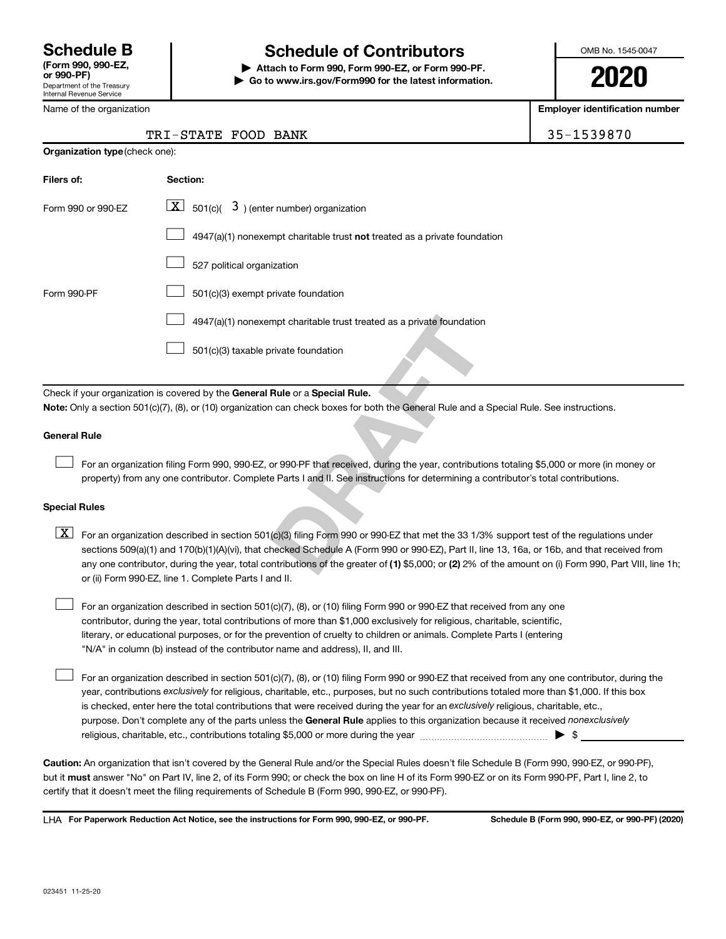Department of the Treasury Internal Revenue Service

# **Schedule B Schedule of Contributors**

**or 990-PF) | Attach to Form 990, Form 990-EZ, or Form 990-PF. | Go to www.irs.gov/Form990 for the latest information.** OMB No. 1545-0047

**2020**

**Employer identification number**

|  | Name of the organization |
|--|--------------------------|
|--|--------------------------|

**Organization type** (check one):

### TRI-STATE FOOD BANK 35-1539870

| Filers of:                                                                                                                                                                                                                                                                                                                                                                                                                                 | Section:                                                                                                                                                                                                                                                                     |  |  |  |  |  |
|--------------------------------------------------------------------------------------------------------------------------------------------------------------------------------------------------------------------------------------------------------------------------------------------------------------------------------------------------------------------------------------------------------------------------------------------|------------------------------------------------------------------------------------------------------------------------------------------------------------------------------------------------------------------------------------------------------------------------------|--|--|--|--|--|
| Form 990 or 990-EZ                                                                                                                                                                                                                                                                                                                                                                                                                         | $\boxed{\mathbf{X}}$ 501(c)( 3) (enter number) organization                                                                                                                                                                                                                  |  |  |  |  |  |
|                                                                                                                                                                                                                                                                                                                                                                                                                                            | $4947(a)(1)$ nonexempt charitable trust <b>not</b> treated as a private foundation                                                                                                                                                                                           |  |  |  |  |  |
|                                                                                                                                                                                                                                                                                                                                                                                                                                            | 527 political organization                                                                                                                                                                                                                                                   |  |  |  |  |  |
| Form 990-PF                                                                                                                                                                                                                                                                                                                                                                                                                                | 501(c)(3) exempt private foundation                                                                                                                                                                                                                                          |  |  |  |  |  |
|                                                                                                                                                                                                                                                                                                                                                                                                                                            | 4947(a)(1) nonexempt charitable trust treated as a private foundation                                                                                                                                                                                                        |  |  |  |  |  |
|                                                                                                                                                                                                                                                                                                                                                                                                                                            | 501(c)(3) taxable private foundation                                                                                                                                                                                                                                         |  |  |  |  |  |
|                                                                                                                                                                                                                                                                                                                                                                                                                                            | Check if your organization is covered by the General Rule or a Special Rule.                                                                                                                                                                                                 |  |  |  |  |  |
|                                                                                                                                                                                                                                                                                                                                                                                                                                            | Note: Only a section 501(c)(7), (8), or (10) organization can check boxes for both the General Rule and a Special Rule. See instructions.                                                                                                                                    |  |  |  |  |  |
| <b>General Rule</b>                                                                                                                                                                                                                                                                                                                                                                                                                        |                                                                                                                                                                                                                                                                              |  |  |  |  |  |
|                                                                                                                                                                                                                                                                                                                                                                                                                                            | For an organization filing Form 990, 990-EZ, or 990-PF that received, during the year, contributions totaling \$5,000 or more (in mone<br>property) from any one contributor. Complete Parts I and II. See instructions for determining a contributor's total contributions. |  |  |  |  |  |
| <b>Special Rules</b>                                                                                                                                                                                                                                                                                                                                                                                                                       |                                                                                                                                                                                                                                                                              |  |  |  |  |  |
| $\mathbf{X}$<br>For an organization described in section 501(c)(3) filing Form 990 or 990-EZ that met the 33 1/3% support test of the regulations ur<br>sections 509(a)(1) and 170(b)(1)(A)(vi), that checked Schedule A (Form 990 or 990-EZ), Part II, line 13, 16a, or 16b, and that receive<br>any one contributor, during the year, total contributions of the greater of (1) \$5,000; or (2) 2% of the amount on (i) Form 990, Part V |                                                                                                                                                                                                                                                                              |  |  |  |  |  |

#### **General Rule**

 $\Box$ 

#### **Special Rules**

any one contributor, during the year, total contributions of the greater of (1) \$5,000; or (2) 2% of the amount on (i) Form 990, Part VIII, line 1h;  $\boxed{\text{X}}$  For an organization described in section 501(c)(3) filing Form 990 or 990-EZ that met the 33 1/3% support test of the regulations under sections 509(a)(1) and 170(b)(1)(A)(vi), that checked Schedule A (Form 990 or 990-EZ), Part II, line 13, 16a, or 16b, and that received from or (ii) Form 990-EZ, line 1. Complete Parts I and II.

For an organization described in section 501(c)(7), (8), or (10) filing Form 990 or 990-EZ that received from any one contributor, during the year, total contributions of more than \$1,000 exclusively for religious, charitable, scientific, literary, or educational purposes, or for the prevention of cruelty to children or animals. Complete Parts I (entering "N/A" in column (b) instead of the contributor name and address), II, and III.  $\Box$ 

purpose. Don't complete any of the parts unless the General Rule applies to this organization because it received nonexclusively year, contributions exclusively for religious, charitable, etc., purposes, but no such contributions totaled more than \$1,000. If this box is checked, enter here the total contributions that were received during the year for an exclusively religious, charitable, etc., For an organization described in section 501(c)(7), (8), or (10) filing Form 990 or 990-EZ that received from any one contributor, during the religious, charitable, etc., contributions totaling \$5,000 or more during the year  $\ldots$  $\ldots$  $\ldots$  $\ldots$  $\ldots$  $\ldots$ 

**Caution:**  An organization that isn't covered by the General Rule and/or the Special Rules doesn't file Schedule B (Form 990, 990-EZ, or 990-PF),  **must** but it answer "No" on Part IV, line 2, of its Form 990; or check the box on line H of its Form 990-EZ or on its Form 990-PF, Part I, line 2, to certify that it doesn't meet the filing requirements of Schedule B (Form 990, 990-EZ, or 990-PF).

**For Paperwork Reduction Act Notice, see the instructions for Form 990, 990-EZ, or 990-PF. Schedule B (Form 990, 990-EZ, or 990-PF) (2020)** LHA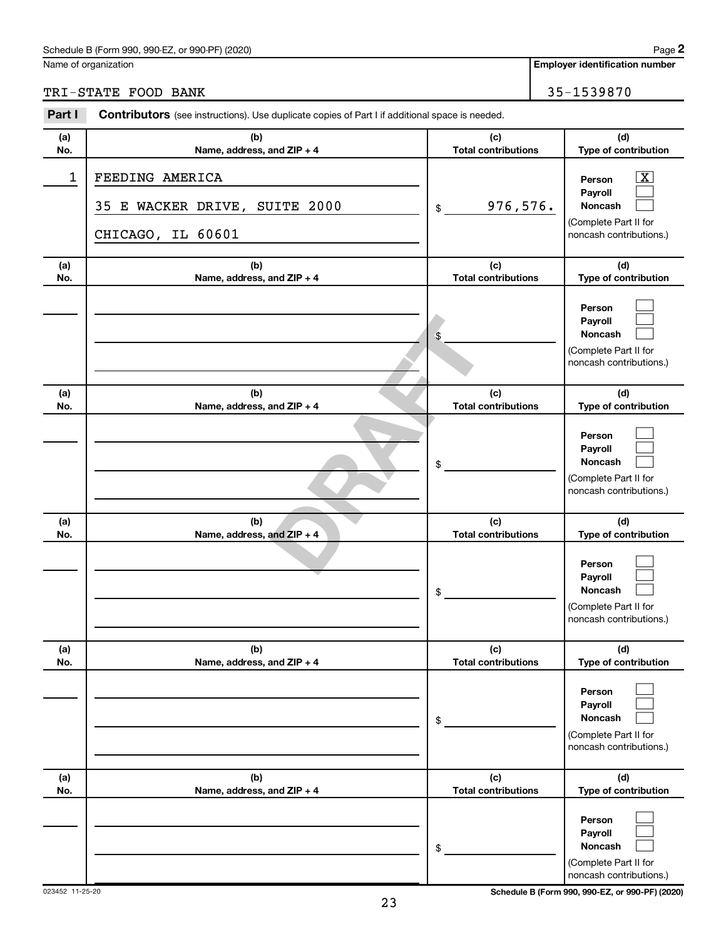#### Schedule B (Form 990, 990-EZ, or 990-PF) (2020)

Name of organization

**Employer identification number**

TRI-STATE FOOD BANK 35-1539870

| Part I     | <b>Contributors</b> (see instructions). Use duplicate copies of Part I if additional space is needed. |    |                                   |                                                                                                          |  |  |
|------------|-------------------------------------------------------------------------------------------------------|----|-----------------------------------|----------------------------------------------------------------------------------------------------------|--|--|
| (a)<br>No. | (b)<br>Name, address, and ZIP + 4                                                                     |    | (c)<br><b>Total contributions</b> | (d)<br>Type of contribution                                                                              |  |  |
| 1          | FEEDING AMERICA<br>35 E WACKER DRIVE, SUITE 2000<br>CHICAGO, IL 60601                                 | \$ | 976,576.                          | $\boxed{\textbf{X}}$<br>Person<br>Payroll<br>Noncash<br>(Complete Part II for<br>noncash contributions.) |  |  |
| (a)<br>No. | (b)<br>Name, address, and ZIP + 4                                                                     |    | (c)<br><b>Total contributions</b> | (d)<br>Type of contribution                                                                              |  |  |
|            |                                                                                                       | \$ |                                   | Person<br>Payroll<br>Noncash<br>(Complete Part II for<br>noncash contributions.)                         |  |  |
| (a)<br>No. | (b)<br>Name, address, and ZIP + 4                                                                     |    | (c)<br><b>Total contributions</b> | (d)<br>Type of contribution                                                                              |  |  |
|            |                                                                                                       | \$ |                                   | Person<br>Payroll<br>Noncash<br>(Complete Part II for<br>noncash contributions.)                         |  |  |
| (a)<br>No. | (b)<br>Name, address, and ZIP + 4                                                                     |    | (c)<br><b>Total contributions</b> | (d)<br>Type of contribution                                                                              |  |  |
|            |                                                                                                       | \$ |                                   | Person<br>Payroll<br>Noncash<br>(Complete Part II for<br>noncash contributions.)                         |  |  |
| (a)<br>No. | (b)<br>Name, address, and ZIP + 4                                                                     |    | (c)<br><b>Total contributions</b> | (d)<br>Type of contribution                                                                              |  |  |
|            |                                                                                                       | \$ |                                   | Person<br>Payroll<br><b>Noncash</b><br>(Complete Part II for<br>noncash contributions.)                  |  |  |
| (a)<br>No. | (b)<br>Name, address, and ZIP + 4                                                                     |    | (c)<br><b>Total contributions</b> | (d)<br>Type of contribution                                                                              |  |  |
|            |                                                                                                       | \$ |                                   | Person<br>Payroll<br><b>Noncash</b><br>(Complete Part II for<br>noncash contributions.)                  |  |  |

023452 11-25-20 **Schedule B (Form 990, 990-EZ, or 990-PF) (2020)**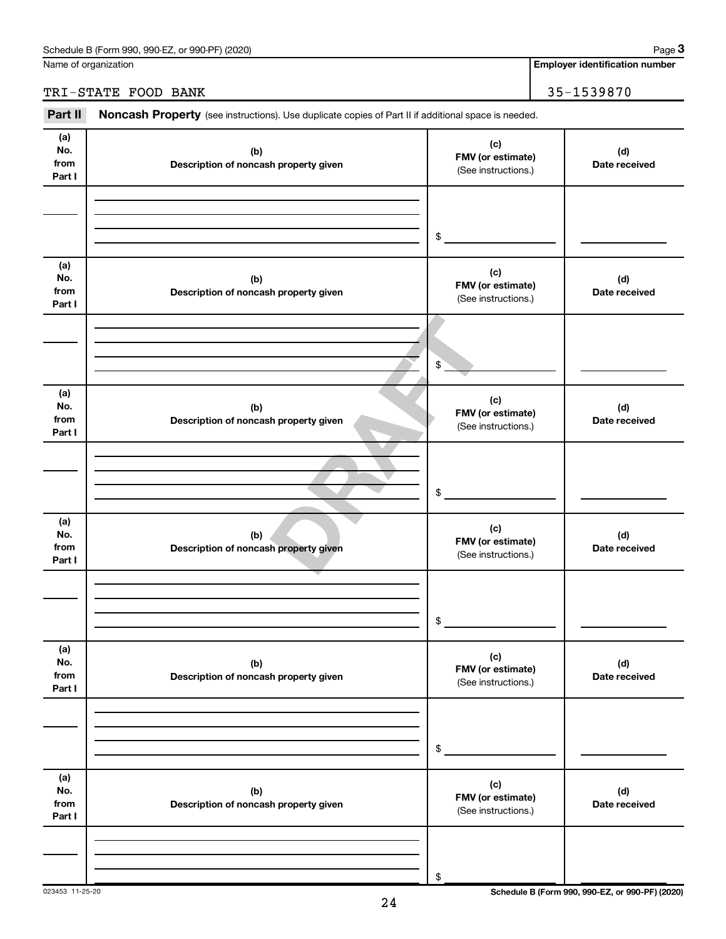Name of organization

## TRI-STATE FOOD BANK 35-1539870

Part II Noncash Property (see instructions). Use duplicate copies of Part II if additional space is needed.

| (a)<br>No.<br>from<br>Part I | (b)<br>Description of noncash property given | (c)<br>FMV (or estimate)<br>(See instructions.) | (d)<br>Date received |
|------------------------------|----------------------------------------------|-------------------------------------------------|----------------------|
|                              |                                              | $\frac{1}{2}$                                   |                      |
| (a)<br>No.<br>from<br>Part I | (b)<br>Description of noncash property given | (c)<br>FMV (or estimate)<br>(See instructions.) | (d)<br>Date received |
|                              |                                              | $$^{\circ}$                                     |                      |
| (a)<br>No.<br>from<br>Part I | (b)<br>Description of noncash property given | (c)<br>FMV (or estimate)<br>(See instructions.) | (d)<br>Date received |
|                              |                                              | $\frac{1}{2}$                                   |                      |
| (a)<br>No.<br>from<br>Part I | (b)<br>Description of noncash property given | (c)<br>FMV (or estimate)<br>(See instructions.) | (d)<br>Date received |
|                              |                                              | $\frac{1}{2}$                                   |                      |
| (a)<br>No.<br>from<br>Part I | (b)<br>Description of noncash property given | (c)<br>FMV (or estimate)<br>(See instructions.) | (d)<br>Date received |
|                              |                                              | $\,$                                            |                      |
| (a)<br>No.<br>from<br>Part I | (b)<br>Description of noncash property given | (c)<br>FMV (or estimate)<br>(See instructions.) | (d)<br>Date received |
|                              |                                              | \$                                              |                      |

023453 11-25-20 **Schedule B (Form 990, 990-EZ, or 990-PF) (2020)**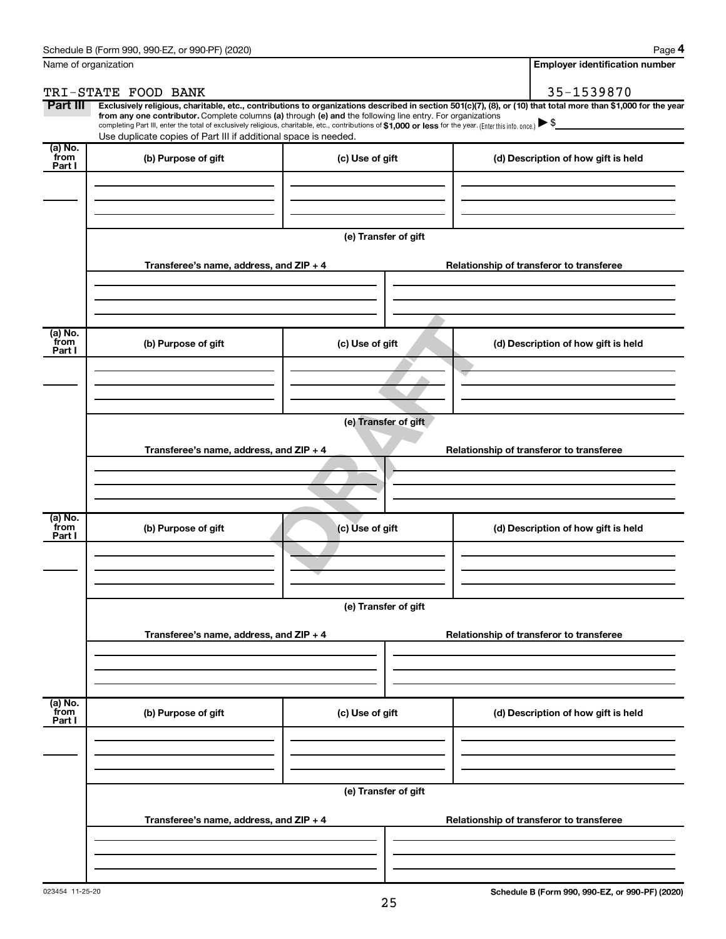| Name of organization      |                                                                                                                                                                                                                                                                                                                                           | <b>Employer identification number</b> |                                                                                                                                                                |  |  |  |  |
|---------------------------|-------------------------------------------------------------------------------------------------------------------------------------------------------------------------------------------------------------------------------------------------------------------------------------------------------------------------------------------|---------------------------------------|----------------------------------------------------------------------------------------------------------------------------------------------------------------|--|--|--|--|
|                           | TRI-STATE FOOD BANK                                                                                                                                                                                                                                                                                                                       |                                       | 35-1539870                                                                                                                                                     |  |  |  |  |
| Part III                  | from any one contributor. Complete columns (a) through (e) and the following line entry. For organizations<br>completing Part III, enter the total of exclusively religious, charitable, etc., contributions of \$1,000 or less for the year. (Enter this info. once.)<br>Use duplicate copies of Part III if additional space is needed. |                                       | Exclusively religious, charitable, etc., contributions to organizations described in section 501(c)(7), (8), or (10) that total more than \$1,000 for the year |  |  |  |  |
| (a) No.<br>from           | (b) Purpose of gift                                                                                                                                                                                                                                                                                                                       | (c) Use of gift                       | (d) Description of how gift is held                                                                                                                            |  |  |  |  |
| Part I                    |                                                                                                                                                                                                                                                                                                                                           |                                       |                                                                                                                                                                |  |  |  |  |
|                           |                                                                                                                                                                                                                                                                                                                                           | (e) Transfer of gift                  |                                                                                                                                                                |  |  |  |  |
|                           | Transferee's name, address, and ZIP + 4                                                                                                                                                                                                                                                                                                   |                                       | Relationship of transferor to transferee                                                                                                                       |  |  |  |  |
| (a) No.<br>from<br>Part I | (b) Purpose of gift                                                                                                                                                                                                                                                                                                                       | (c) Use of gift                       | (d) Description of how gift is held                                                                                                                            |  |  |  |  |
|                           | (e) Transfer of gift<br>Transferee's name, address, and ZIP + 4<br>Relationship of transferor to transferee                                                                                                                                                                                                                               |                                       |                                                                                                                                                                |  |  |  |  |
| (a) No.<br>from           | (b) Purpose of gift                                                                                                                                                                                                                                                                                                                       | (c) Use of gift                       | (d) Description of how gift is held                                                                                                                            |  |  |  |  |
| Part I                    |                                                                                                                                                                                                                                                                                                                                           |                                       |                                                                                                                                                                |  |  |  |  |
|                           | (e) Transfer of gift                                                                                                                                                                                                                                                                                                                      |                                       |                                                                                                                                                                |  |  |  |  |
|                           | Transferee's name, address, and ZIP + 4                                                                                                                                                                                                                                                                                                   |                                       | Relationship of transferor to transferee                                                                                                                       |  |  |  |  |
|                           |                                                                                                                                                                                                                                                                                                                                           |                                       |                                                                                                                                                                |  |  |  |  |
| (a) No.<br>from<br>Part I | (b) Purpose of gift                                                                                                                                                                                                                                                                                                                       | (c) Use of gift                       | (d) Description of how gift is held                                                                                                                            |  |  |  |  |
|                           |                                                                                                                                                                                                                                                                                                                                           |                                       |                                                                                                                                                                |  |  |  |  |
|                           | Transferee's name, address, and ZIP + 4                                                                                                                                                                                                                                                                                                   | (e) Transfer of gift                  | Relationship of transferor to transferee                                                                                                                       |  |  |  |  |
|                           |                                                                                                                                                                                                                                                                                                                                           |                                       |                                                                                                                                                                |  |  |  |  |
|                           |                                                                                                                                                                                                                                                                                                                                           |                                       |                                                                                                                                                                |  |  |  |  |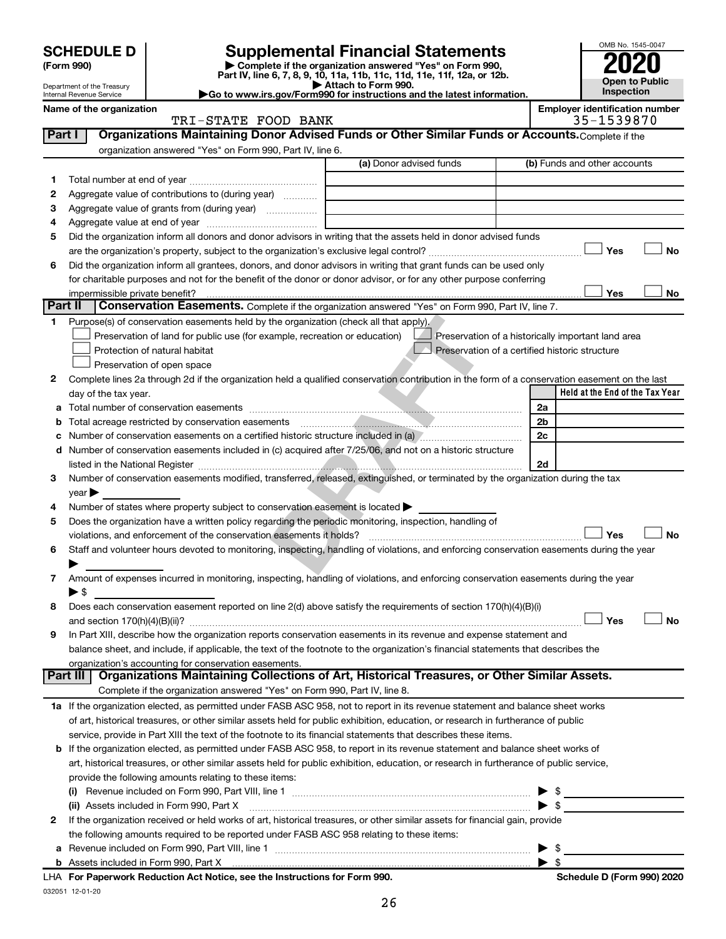| <b>SCHEDULE D</b> |  |
|-------------------|--|
|-------------------|--|

| (Form 990) |
|------------|
|------------|

# **SCHEDULE D Supplemental Financial Statements**<br> **Form 990 2020**<br> **Part IV** line 6.7.8.9.10, 11a, 11b, 11d, 11d, 11d, 11d, 11d, 12a, 0r, 12b

**(Form 990) | Complete if the organization answered "Yes" on Form 990, Part IV, line 6, 7, 8, 9, 10, 11a, 11b, 11c, 11d, 11e, 11f, 12a, or 12b.**

**| Attach to Form 990. |Go to www.irs.gov/Form990 for instructions and the latest information.**



Department of the Treasury Internal Revenue Service **Name of the organization <b>Employer is a set of the organization Employer in the set of the organization**  $\blacksquare$ 

| ployer identification number |            |  |  |  |  |
|------------------------------|------------|--|--|--|--|
|                              | 25 1520070 |  |  |  |  |

|         | TRI-STATE FOOD BANK                                                                                                                            |                         | 35-1539870                                         |
|---------|------------------------------------------------------------------------------------------------------------------------------------------------|-------------------------|----------------------------------------------------|
| Part I  | Organizations Maintaining Donor Advised Funds or Other Similar Funds or Accounts. Complete if the                                              |                         |                                                    |
|         | organization answered "Yes" on Form 990, Part IV, line 6.                                                                                      |                         |                                                    |
|         |                                                                                                                                                | (a) Donor advised funds | (b) Funds and other accounts                       |
| 1       |                                                                                                                                                |                         |                                                    |
| 2       | Aggregate value of contributions to (during year)                                                                                              |                         |                                                    |
| з       | Aggregate value of grants from (during year)                                                                                                   |                         |                                                    |
| 4       |                                                                                                                                                |                         |                                                    |
| 5       | Did the organization inform all donors and donor advisors in writing that the assets held in donor advised funds                               |                         |                                                    |
|         |                                                                                                                                                |                         | Yes<br>No                                          |
| 6       | Did the organization inform all grantees, donors, and donor advisors in writing that grant funds can be used only                              |                         |                                                    |
|         | for charitable purposes and not for the benefit of the donor or donor advisor, or for any other purpose conferring                             |                         |                                                    |
|         |                                                                                                                                                |                         | Yes<br>No                                          |
| Part II | Conservation Easements. Complete if the organization answered "Yes" on Form 990, Part IV, line 7.                                              |                         |                                                    |
| 1.      | Purpose(s) of conservation easements held by the organization (check all that apply).                                                          |                         |                                                    |
|         | Preservation of land for public use (for example, recreation or education)                                                                     |                         | Preservation of a historically important land area |
|         | Protection of natural habitat                                                                                                                  |                         | Preservation of a certified historic structure     |
|         | Preservation of open space                                                                                                                     |                         |                                                    |
| 2       | Complete lines 2a through 2d if the organization held a qualified conservation contribution in the form of a conservation easement on the last |                         |                                                    |
|         | day of the tax year.                                                                                                                           |                         | Held at the End of the Tax Year                    |
| а       |                                                                                                                                                |                         | 2a                                                 |
| b       |                                                                                                                                                |                         | 2b                                                 |
| с       | Number of conservation easements on a certified historic structure included in (a) Museum museum conservation                                  |                         | 2c                                                 |
|         | d Number of conservation easements included in (c) acquired after 7/25/06, and not on a historic structure                                     |                         |                                                    |
|         |                                                                                                                                                |                         | 2d                                                 |
| 3       | Number of conservation easements modified, transferred, released, extinguished, or terminated by the organization during the tax               |                         |                                                    |
|         | year                                                                                                                                           |                         |                                                    |
| 4       | Number of states where property subject to conservation easement is located >                                                                  |                         |                                                    |
| 5       | Does the organization have a written policy regarding the periodic monitoring, inspection, handling of                                         |                         |                                                    |
|         | violations, and enforcement of the conservation easements it holds?                                                                            |                         | Yes<br>No                                          |
| 6       | Staff and volunteer hours devoted to monitoring, inspecting, handling of violations, and enforcing conservation easements during the year      |                         |                                                    |
|         |                                                                                                                                                |                         |                                                    |
| 7       | Amount of expenses incurred in monitoring, inspecting, handling of violations, and enforcing conservation easements during the year            |                         |                                                    |
|         | ► \$                                                                                                                                           |                         |                                                    |
| 8       | Does each conservation easement reported on line 2(d) above satisfy the requirements of section 170(h)(4)(B)(i)                                |                         |                                                    |
|         |                                                                                                                                                |                         | Yes<br>No                                          |
| 9       | In Part XIII, describe how the organization reports conservation easements in its revenue and expense statement and                            |                         |                                                    |
|         | balance sheet, and include, if applicable, the text of the footnote to the organization's financial statements that describes the              |                         |                                                    |
|         | organization's accounting for conservation easements.                                                                                          |                         |                                                    |
|         | Organizations Maintaining Collections of Art, Historical Treasures, or Other Similar Assets.<br>Part III                                       |                         |                                                    |
|         | Complete if the organization answered "Yes" on Form 990, Part IV, line 8.                                                                      |                         |                                                    |
|         | 1a If the organization elected, as permitted under FASB ASC 958, not to report in its revenue statement and balance sheet works                |                         |                                                    |
|         | of art, historical treasures, or other similar assets held for public exhibition, education, or research in furtherance of public              |                         |                                                    |
|         | service, provide in Part XIII the text of the footnote to its financial statements that describes these items.                                 |                         |                                                    |
|         | b If the organization elected, as permitted under FASB ASC 958, to report in its revenue statement and balance sheet works of                  |                         |                                                    |
|         | art, historical treasures, or other similar assets held for public exhibition, education, or research in furtherance of public service,        |                         |                                                    |
|         | provide the following amounts relating to these items:                                                                                         |                         |                                                    |
|         | (i)                                                                                                                                            |                         | - \$                                               |
|         | (ii) Assets included in Form 990, Part X                                                                                                       |                         | $\blacktriangleright$ \$                           |
| 2       | If the organization received or held works of art, historical treasures, or other similar assets for financial gain, provide                   |                         |                                                    |
|         | the following amounts required to be reported under FASB ASC 958 relating to these items:                                                      |                         |                                                    |
|         | a Revenue included on Form 990, Part VIII, line 1                                                                                              |                         | $\blacktriangleright$ s                            |

**b** Assets included in Form 990, Part X

| \$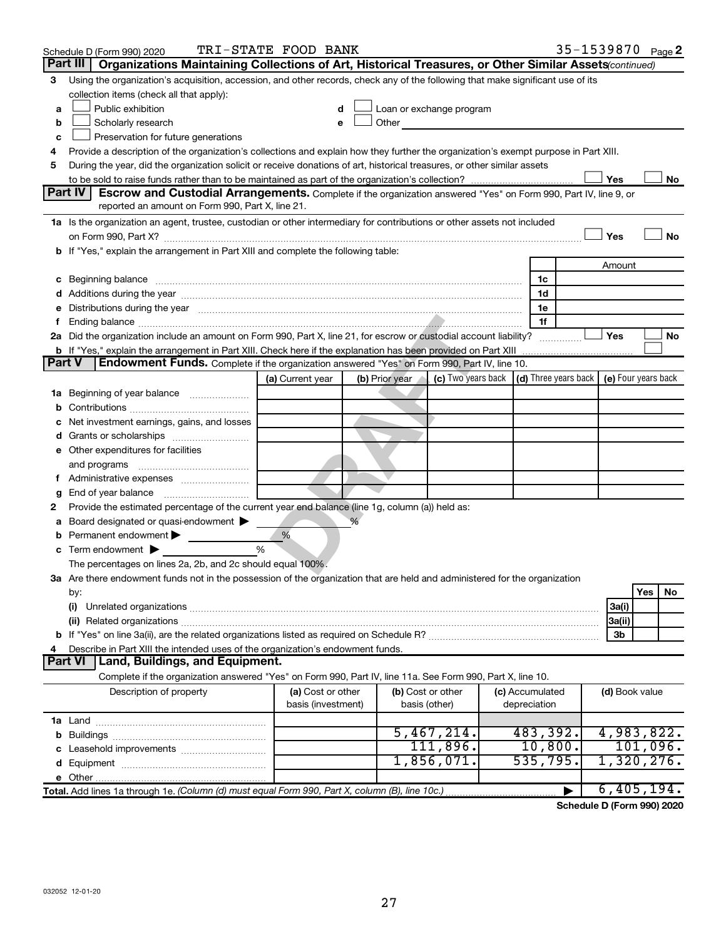|               | Schedule D (Form 990) 2020                                                                                                                                                                                                          | TRI-STATE FOOD BANK |                |  |                                                                                                                                                                                                                               |  |                 |  |                | 35-1539870 Page 2 |
|---------------|-------------------------------------------------------------------------------------------------------------------------------------------------------------------------------------------------------------------------------------|---------------------|----------------|--|-------------------------------------------------------------------------------------------------------------------------------------------------------------------------------------------------------------------------------|--|-----------------|--|----------------|-------------------|
|               | Part III<br>Organizations Maintaining Collections of Art, Historical Treasures, or Other Similar Assets (continued)                                                                                                                 |                     |                |  |                                                                                                                                                                                                                               |  |                 |  |                |                   |
| 3             | Using the organization's acquisition, accession, and other records, check any of the following that make significant use of its                                                                                                     |                     |                |  |                                                                                                                                                                                                                               |  |                 |  |                |                   |
|               | collection items (check all that apply):                                                                                                                                                                                            |                     |                |  |                                                                                                                                                                                                                               |  |                 |  |                |                   |
| a             | Public exhibition                                                                                                                                                                                                                   |                     |                |  | Loan or exchange program                                                                                                                                                                                                      |  |                 |  |                |                   |
| b             | Scholarly research                                                                                                                                                                                                                  |                     |                |  | Other and the contract of the contract of the contract of the contract of the contract of the contract of the contract of the contract of the contract of the contract of the contract of the contract of the contract of the |  |                 |  |                |                   |
| с             | Preservation for future generations                                                                                                                                                                                                 |                     |                |  |                                                                                                                                                                                                                               |  |                 |  |                |                   |
| 4             | Provide a description of the organization's collections and explain how they further the organization's exempt purpose in Part XIII.                                                                                                |                     |                |  |                                                                                                                                                                                                                               |  |                 |  |                |                   |
| 5             | During the year, did the organization solicit or receive donations of art, historical treasures, or other similar assets                                                                                                            |                     |                |  |                                                                                                                                                                                                                               |  |                 |  |                |                   |
|               |                                                                                                                                                                                                                                     |                     |                |  |                                                                                                                                                                                                                               |  |                 |  | Yes            | No                |
|               | Part IV<br><b>Escrow and Custodial Arrangements.</b> Complete if the organization answered "Yes" on Form 990, Part IV, line 9, or                                                                                                   |                     |                |  |                                                                                                                                                                                                                               |  |                 |  |                |                   |
|               | reported an amount on Form 990, Part X, line 21.                                                                                                                                                                                    |                     |                |  |                                                                                                                                                                                                                               |  |                 |  |                |                   |
|               | 1a Is the organization an agent, trustee, custodian or other intermediary for contributions or other assets not included                                                                                                            |                     |                |  |                                                                                                                                                                                                                               |  |                 |  |                |                   |
|               |                                                                                                                                                                                                                                     |                     |                |  |                                                                                                                                                                                                                               |  |                 |  | Yes            | No                |
|               | b If "Yes," explain the arrangement in Part XIII and complete the following table:                                                                                                                                                  |                     |                |  |                                                                                                                                                                                                                               |  |                 |  |                |                   |
|               |                                                                                                                                                                                                                                     |                     |                |  |                                                                                                                                                                                                                               |  |                 |  | Amount         |                   |
|               | c Beginning balance <b>communications</b> and a construction of the construction of the construction of the construction of the construction of the construction of the construction of the construction of the construction of the |                     |                |  |                                                                                                                                                                                                                               |  | 1c              |  |                |                   |
|               |                                                                                                                                                                                                                                     |                     |                |  |                                                                                                                                                                                                                               |  | 1d              |  |                |                   |
|               | e Distributions during the year manufactured and continuum control of the control of the control of the state of the control of the control of the control of the control of the control of the control of the control of the       |                     |                |  |                                                                                                                                                                                                                               |  | 1e<br>1f        |  |                |                   |
|               | 2a Did the organization include an amount on Form 990, Part X, line 21, for escrow or custodial account liability?                                                                                                                  |                     |                |  |                                                                                                                                                                                                                               |  |                 |  | Yes            | No                |
|               |                                                                                                                                                                                                                                     |                     |                |  |                                                                                                                                                                                                                               |  |                 |  |                |                   |
| <b>Part V</b> | Endowment Funds. Complete if the organization answered "Yes" on Form 990, Part IV, line 10.                                                                                                                                         |                     |                |  |                                                                                                                                                                                                                               |  |                 |  |                |                   |
|               |                                                                                                                                                                                                                                     | (a) Current year    | (b) Prior year |  | (c) Two years back   (d) Three years back   (e) Four years back                                                                                                                                                               |  |                 |  |                |                   |
|               | 1a Beginning of year balance                                                                                                                                                                                                        |                     |                |  |                                                                                                                                                                                                                               |  |                 |  |                |                   |
| b             |                                                                                                                                                                                                                                     |                     |                |  |                                                                                                                                                                                                                               |  |                 |  |                |                   |
|               | Net investment earnings, gains, and losses                                                                                                                                                                                          |                     |                |  |                                                                                                                                                                                                                               |  |                 |  |                |                   |
|               | d Grants or scholarships                                                                                                                                                                                                            |                     |                |  |                                                                                                                                                                                                                               |  |                 |  |                |                   |
|               | e Other expenditures for facilities                                                                                                                                                                                                 |                     |                |  |                                                                                                                                                                                                                               |  |                 |  |                |                   |
|               | and programs                                                                                                                                                                                                                        |                     |                |  |                                                                                                                                                                                                                               |  |                 |  |                |                   |
|               |                                                                                                                                                                                                                                     |                     |                |  |                                                                                                                                                                                                                               |  |                 |  |                |                   |
| g             |                                                                                                                                                                                                                                     |                     |                |  |                                                                                                                                                                                                                               |  |                 |  |                |                   |
| 2             | Provide the estimated percentage of the current year end balance (line 1g, column (a)) held as:                                                                                                                                     |                     |                |  |                                                                                                                                                                                                                               |  |                 |  |                |                   |
| а             | Board designated or quasi-endowment                                                                                                                                                                                                 |                     |                |  |                                                                                                                                                                                                                               |  |                 |  |                |                   |
| b             | Permanent endowment                                                                                                                                                                                                                 | %                   |                |  |                                                                                                                                                                                                                               |  |                 |  |                |                   |
|               | $\mathbf c$ Term endowment $\blacktriangleright$                                                                                                                                                                                    | %                   |                |  |                                                                                                                                                                                                                               |  |                 |  |                |                   |
|               | The percentages on lines 2a, 2b, and 2c should equal 100%.                                                                                                                                                                          |                     |                |  |                                                                                                                                                                                                                               |  |                 |  |                |                   |
|               | 3a Are there endowment funds not in the possession of the organization that are held and administered for the organization                                                                                                          |                     |                |  |                                                                                                                                                                                                                               |  |                 |  |                |                   |
|               | by:                                                                                                                                                                                                                                 |                     |                |  |                                                                                                                                                                                                                               |  |                 |  |                | Yes<br>No         |
|               | (i)                                                                                                                                                                                                                                 |                     |                |  |                                                                                                                                                                                                                               |  |                 |  | 3a(i)          |                   |
|               |                                                                                                                                                                                                                                     |                     |                |  |                                                                                                                                                                                                                               |  |                 |  | 3a(ii)         |                   |
|               |                                                                                                                                                                                                                                     |                     |                |  |                                                                                                                                                                                                                               |  |                 |  | 3b             |                   |
| 4             | Describe in Part XIII the intended uses of the organization's endowment funds.                                                                                                                                                      |                     |                |  |                                                                                                                                                                                                                               |  |                 |  |                |                   |
|               | <b>Part VI</b><br><b>Land, Buildings, and Equipment.</b>                                                                                                                                                                            |                     |                |  |                                                                                                                                                                                                                               |  |                 |  |                |                   |
|               | Complete if the organization answered "Yes" on Form 990, Part IV, line 11a. See Form 990, Part X, line 10.                                                                                                                          |                     |                |  |                                                                                                                                                                                                                               |  |                 |  |                |                   |
|               | Description of property                                                                                                                                                                                                             | (a) Cost or other   |                |  | (b) Cost or other                                                                                                                                                                                                             |  | (c) Accumulated |  | (d) Book value |                   |
|               |                                                                                                                                                                                                                                     | basis (investment)  |                |  | basis (other)                                                                                                                                                                                                                 |  | depreciation    |  |                |                   |
|               |                                                                                                                                                                                                                                     |                     |                |  |                                                                                                                                                                                                                               |  |                 |  |                |                   |
|               |                                                                                                                                                                                                                                     |                     |                |  | 5,467,214.                                                                                                                                                                                                                    |  | 483,392.        |  |                | 4,983,822.        |
|               |                                                                                                                                                                                                                                     |                     |                |  | 111,896.                                                                                                                                                                                                                      |  | 10,800.         |  |                | 101,096.          |
|               |                                                                                                                                                                                                                                     |                     |                |  | 1,856,071.                                                                                                                                                                                                                    |  | 535,795.        |  |                | 1,320,276.        |
|               |                                                                                                                                                                                                                                     |                     |                |  |                                                                                                                                                                                                                               |  |                 |  |                |                   |
|               | Total. Add lines 1a through 1e. (Column (d) must equal Form 990, Part X, column (B), line 10c.)                                                                                                                                     |                     |                |  |                                                                                                                                                                                                                               |  |                 |  |                | 6,405,194.        |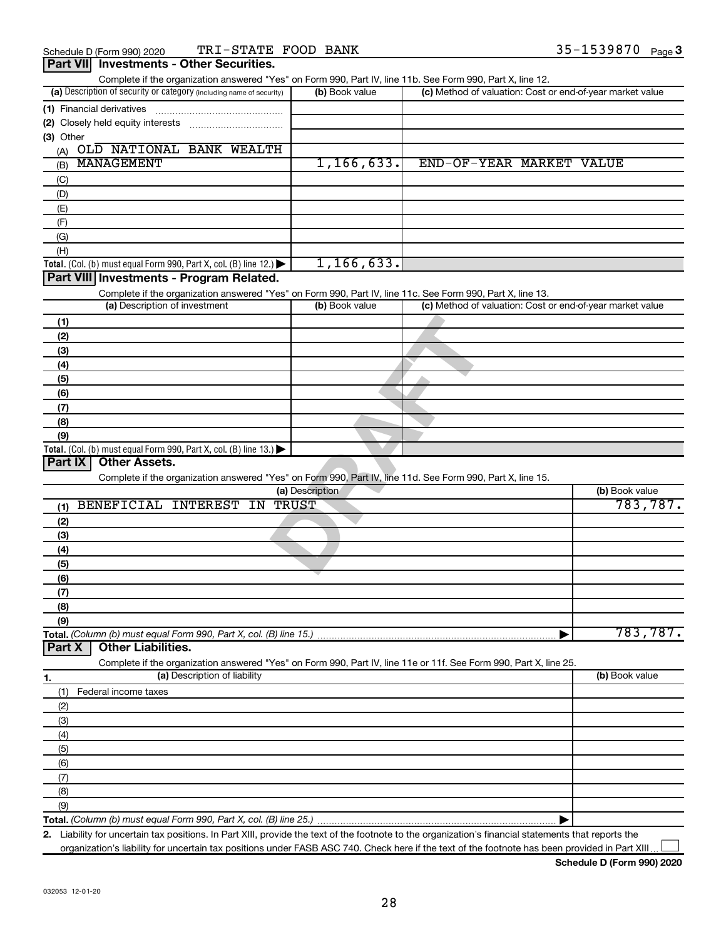|                            | Dart VIII Investments - Other Securities |            |        |
|----------------------------|------------------------------------------|------------|--------|
| Schedule D (Form 990) 2020 | TRI-STATE FOOD BANK                      | 35-1539870 | Page 3 |

| Fail VIII<br><b>INVESUMENTS - OTHER SECURITIES.</b>                                                                                                                                |                 |                                                           |                |
|------------------------------------------------------------------------------------------------------------------------------------------------------------------------------------|-----------------|-----------------------------------------------------------|----------------|
| Complete if the organization answered "Yes" on Form 990, Part IV, line 11b. See Form 990, Part X, line 12.<br>(a) Description of security or category (including name of security) | (b) Book value  | (c) Method of valuation: Cost or end-of-year market value |                |
| (1) Financial derivatives                                                                                                                                                          |                 |                                                           |                |
|                                                                                                                                                                                    |                 |                                                           |                |
| (3) Other                                                                                                                                                                          |                 |                                                           |                |
| (A) OLD NATIONAL BANK WEALTH                                                                                                                                                       |                 |                                                           |                |
| MANAGEMENT<br>(B)                                                                                                                                                                  | 1, 166, 633.    | END-OF-YEAR MARKET VALUE                                  |                |
| (C)                                                                                                                                                                                |                 |                                                           |                |
| (D)                                                                                                                                                                                |                 |                                                           |                |
| (E)                                                                                                                                                                                |                 |                                                           |                |
| (F)                                                                                                                                                                                |                 |                                                           |                |
| (G)                                                                                                                                                                                |                 |                                                           |                |
| (H)                                                                                                                                                                                |                 |                                                           |                |
| Total. (Col. (b) must equal Form 990, Part X, col. (B) line 12.) $\blacktriangleright$                                                                                             | 1, 166, 633.    |                                                           |                |
| Part VIII Investments - Program Related.                                                                                                                                           |                 |                                                           |                |
| Complete if the organization answered "Yes" on Form 990, Part IV, line 11c. See Form 990, Part X, line 13.<br>(a) Description of investment                                        | (b) Book value  | (c) Method of valuation: Cost or end-of-year market value |                |
|                                                                                                                                                                                    |                 |                                                           |                |
| (1)                                                                                                                                                                                |                 |                                                           |                |
| (2)                                                                                                                                                                                |                 |                                                           |                |
| (3)                                                                                                                                                                                |                 |                                                           |                |
| (4)                                                                                                                                                                                |                 |                                                           |                |
| (5)                                                                                                                                                                                |                 |                                                           |                |
| (6)<br>(7)                                                                                                                                                                         |                 |                                                           |                |
| (8)                                                                                                                                                                                |                 |                                                           |                |
| (9)                                                                                                                                                                                |                 |                                                           |                |
| Total. (Col. (b) must equal Form 990, Part X, col. (B) line 13.)                                                                                                                   |                 |                                                           |                |
| <b>Other Assets.</b><br>Part IX                                                                                                                                                    |                 |                                                           |                |
| Complete if the organization answered "Yes" on Form 990, Part IV, line 11d. See Form 990, Part X, line 15.                                                                         |                 |                                                           |                |
|                                                                                                                                                                                    | (a) Description |                                                           | (b) Book value |
| BENEFICIAL INTEREST IN<br>(1)                                                                                                                                                      | TRUST           |                                                           | 783, 787.      |
| (2)                                                                                                                                                                                |                 |                                                           |                |
| (3)                                                                                                                                                                                |                 |                                                           |                |
| (4)                                                                                                                                                                                |                 |                                                           |                |
| (5)                                                                                                                                                                                |                 |                                                           |                |
| (6)                                                                                                                                                                                |                 |                                                           |                |
| (7)                                                                                                                                                                                |                 |                                                           |                |
| (8)                                                                                                                                                                                |                 |                                                           |                |
| (9)                                                                                                                                                                                |                 |                                                           |                |
| Total. (Column (b) must equal Form 990, Part X, col. (B) line 15.)                                                                                                                 |                 |                                                           | 783,787.       |
| <b>Other Liabilities.</b><br>Part X                                                                                                                                                |                 |                                                           |                |
| Complete if the organization answered "Yes" on Form 990, Part IV, line 11e or 11f. See Form 990, Part X, line 25.                                                                  |                 |                                                           |                |
| (a) Description of liability<br>1.                                                                                                                                                 |                 |                                                           | (b) Book value |
| (1)<br>Federal income taxes                                                                                                                                                        |                 |                                                           |                |
| (2)                                                                                                                                                                                |                 |                                                           |                |
| (3)                                                                                                                                                                                |                 |                                                           |                |
|                                                                                                                                                                                    |                 |                                                           |                |
|                                                                                                                                                                                    |                 |                                                           |                |
| (4)                                                                                                                                                                                |                 |                                                           |                |
| (5)                                                                                                                                                                                |                 |                                                           |                |
| (6)                                                                                                                                                                                |                 |                                                           |                |
| (7)                                                                                                                                                                                |                 |                                                           |                |
| (8)<br>(9)                                                                                                                                                                         |                 |                                                           |                |

**2.** Liability for uncertain tax positions. In Part XIII, provide the text of the footnote to the organization's financial statements that reports the organization's liability for uncertain tax positions under FASB ASC 740. Check here if the text of the footnote has been provided in Part XIII  $\perp$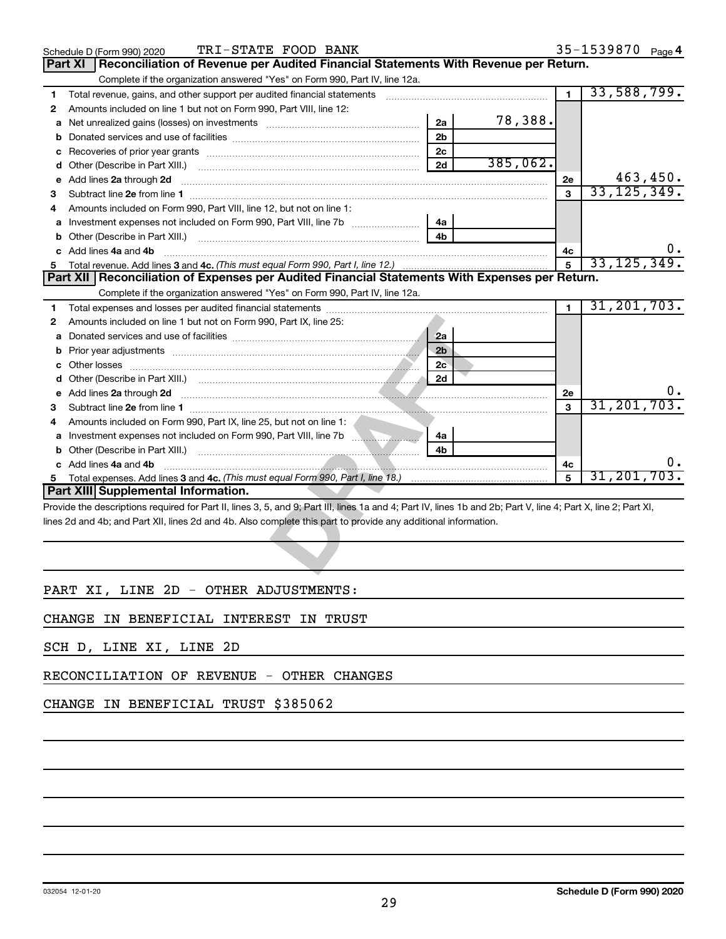|   | TRI-STATE FOOD BANK<br>Schedule D (Form 990) 2020                                                                                                              |                |          |                | 35-1539870 Page 4 |
|---|----------------------------------------------------------------------------------------------------------------------------------------------------------------|----------------|----------|----------------|-------------------|
|   | Reconciliation of Revenue per Audited Financial Statements With Revenue per Return.<br><b>Part XI</b>                                                          |                |          |                |                   |
|   | Complete if the organization answered "Yes" on Form 990, Part IV, line 12a.                                                                                    |                |          |                |                   |
| 1 | Total revenue, gains, and other support per audited financial statements [[[[[[[[[[[[[[[[[[[[[[]]]]]]]]]]]]]]                                                  |                |          | $\blacksquare$ | 33,588,799.       |
| 2 | Amounts included on line 1 but not on Form 990, Part VIII, line 12:                                                                                            |                |          |                |                   |
| a | Net unrealized gains (losses) on investments [111] Net unrealized mains (losses) on investments [11] Metamanian                                                | 2a             | 78,388.  |                |                   |
| b |                                                                                                                                                                | 2 <sub>b</sub> |          |                |                   |
| с |                                                                                                                                                                | 2c             |          |                |                   |
| d |                                                                                                                                                                | 2d             | 385,062. |                |                   |
| е | Add lines 2a through 2d                                                                                                                                        |                |          | <b>2e</b>      | 463,450.          |
| З |                                                                                                                                                                |                |          | 3              | 33, 125, 349.     |
| 4 | Amounts included on Form 990, Part VIII, line 12, but not on line 1:                                                                                           |                |          |                |                   |
| a |                                                                                                                                                                | 4a             |          |                |                   |
| b |                                                                                                                                                                | 4h             |          |                |                   |
| c | Add lines 4a and 4b                                                                                                                                            |                |          | 4с             |                   |
| 5 |                                                                                                                                                                |                |          | 5              | 33, 125, 349.     |
|   | Part XII   Reconciliation of Expenses per Audited Financial Statements With Expenses per Return.                                                               |                |          |                |                   |
|   | Complete if the organization answered "Yes" on Form 990, Part IV, line 12a.                                                                                    |                |          |                |                   |
| 1 |                                                                                                                                                                |                |          | $\blacksquare$ | 31, 201, 703.     |
| 2 | Amounts included on line 1 but not on Form 990, Part IX, line 25:                                                                                              |                |          |                |                   |
| а |                                                                                                                                                                | 2a             |          |                |                   |
| b |                                                                                                                                                                | 2 <sub>b</sub> |          |                |                   |
|   |                                                                                                                                                                | 2c             |          |                |                   |
| d |                                                                                                                                                                | 2d             |          |                |                   |
| е | Add lines 2a through 2d                                                                                                                                        |                |          | 2e             |                   |
| 3 |                                                                                                                                                                |                |          | $\mathbf{a}$   | 31, 201, 703      |
| 4 | Amounts included on Form 990, Part IX, line 25, but not on line 1:                                                                                             |                |          |                |                   |
|   |                                                                                                                                                                | 4a             |          |                |                   |
|   |                                                                                                                                                                | 4 <sub>h</sub> |          |                |                   |
|   | Add lines 4a and 4b                                                                                                                                            |                |          | 4c             | υ.                |
| 5 |                                                                                                                                                                |                |          | 5              | 31, 201, 703      |
|   | <b>Part XIII Supplemental Information.</b>                                                                                                                     |                |          |                |                   |
|   | Provide the descriptions required for Part II, lines 3, 5, and 9; Part III, lines 1a and 4; Part IV, lines 1b and 2b; Part V, line 4; Part X, line 2; Part XI, |                |          |                |                   |
|   | lines 2d and 4b; and Part XII, lines 2d and 4b. Also complete this part to provide any additional information.                                                 |                |          |                |                   |
|   |                                                                                                                                                                |                |          |                |                   |
|   |                                                                                                                                                                |                |          |                |                   |
|   |                                                                                                                                                                |                |          |                |                   |
|   |                                                                                                                                                                |                |          |                |                   |

## PART XI, LINE 2D - OTHER ADJUSTMENTS:

CHANGE IN BENEFICIAL INTEREST IN TRUST

SCH D, LINE XI, LINE 2D

RECONCILIATION OF REVENUE - OTHER CHANGES

## CHANGE IN BENEFICIAL TRUST \$385062

35-1539870 Page 4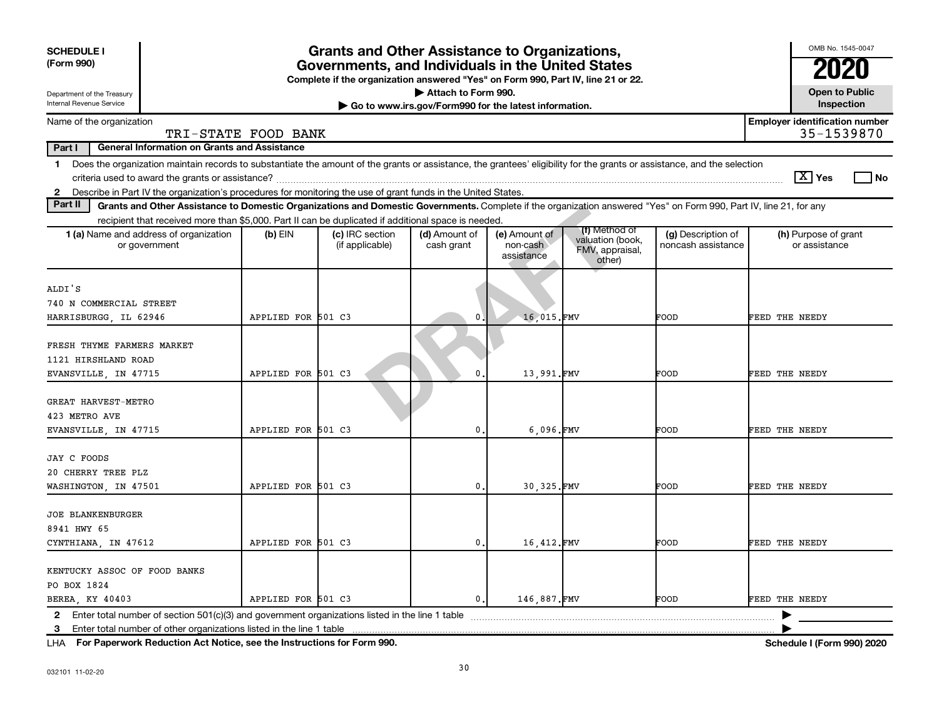| <b>SCHEDULE I</b><br>(Form 990)<br>Department of the Treasury<br>Internal Revenue Service                                                                                                                                                                                                         |                     | <b>Grants and Other Assistance to Organizations,</b><br>Governments, and Individuals in the United States<br>Complete if the organization answered "Yes" on Form 990, Part IV, line 21 or 22. | Attach to Form 990.<br>Go to www.irs.gov/Form990 for the latest information. |                                         |                                                                |                                          |                | OMB No. 1545-0047<br><b>Open to Public</b><br>Inspection |
|---------------------------------------------------------------------------------------------------------------------------------------------------------------------------------------------------------------------------------------------------------------------------------------------------|---------------------|-----------------------------------------------------------------------------------------------------------------------------------------------------------------------------------------------|------------------------------------------------------------------------------|-----------------------------------------|----------------------------------------------------------------|------------------------------------------|----------------|----------------------------------------------------------|
| Name of the organization                                                                                                                                                                                                                                                                          |                     |                                                                                                                                                                                               |                                                                              |                                         |                                                                |                                          |                | <b>Employer identification number</b>                    |
| Part I<br><b>General Information on Grants and Assistance</b>                                                                                                                                                                                                                                     | TRI-STATE FOOD BANK |                                                                                                                                                                                               |                                                                              |                                         |                                                                |                                          |                | 35-1539870                                               |
| Does the organization maintain records to substantiate the amount of the grants or assistance, the grantees' eligibility for the grants or assistance, and the selection<br>1.<br>2 Describe in Part IV the organization's procedures for monitoring the use of grant funds in the United States. |                     |                                                                                                                                                                                               |                                                                              |                                         |                                                                |                                          |                | $ \mathbf{X} $ Yes<br>l No                               |
| Part II<br>Grants and Other Assistance to Domestic Organizations and Domestic Governments. Complete if the organization answered "Yes" on Form 990, Part IV, line 21, for any                                                                                                                     |                     |                                                                                                                                                                                               |                                                                              |                                         |                                                                |                                          |                |                                                          |
| recipient that received more than \$5,000. Part II can be duplicated if additional space is needed.                                                                                                                                                                                               |                     |                                                                                                                                                                                               |                                                                              |                                         |                                                                |                                          |                |                                                          |
| 1 (a) Name and address of organization<br>or government                                                                                                                                                                                                                                           | (b) EIN             | (c) IRC section<br>(if applicable)                                                                                                                                                            | (d) Amount of<br>cash grant                                                  | (e) Amount of<br>non-cash<br>assistance | (f) Method of<br>valuation (book,<br>FMV, appraisal,<br>other) | (g) Description of<br>noncash assistance |                | (h) Purpose of grant<br>or assistance                    |
| ALDI'S<br>740 N COMMERCIAL STREET<br>HARRISBURGG, IL 62946                                                                                                                                                                                                                                        | APPLIED FOR 501 C3  |                                                                                                                                                                                               | 0                                                                            | 16.015.FMV                              |                                                                | FOOD                                     | FEED THE NEEDY |                                                          |
| FRESH THYME FARMERS MARKET<br>1121 HIRSHLAND ROAD<br>EVANSVILLE, IN 47715                                                                                                                                                                                                                         | APPLIED FOR 501 C3  |                                                                                                                                                                                               | 0                                                                            | 13,991.FMV                              |                                                                | FOOD                                     | FEED THE NEEDY |                                                          |
| GREAT HARVEST-METRO<br>423 METRO AVE<br>EVANSVILLE, IN 47715                                                                                                                                                                                                                                      | APPLIED FOR 501 C3  |                                                                                                                                                                                               | 0.                                                                           | 6.096.FMV                               |                                                                | FOOD                                     | FEED THE NEEDY |                                                          |
| <b>JAY C FOODS</b><br>20 CHERRY TREE PLZ<br>WASHINGTON, IN 47501                                                                                                                                                                                                                                  | APPLIED FOR 501 C3  |                                                                                                                                                                                               | 0.                                                                           | 30.325.FMV                              |                                                                | FOOD                                     | FEED THE NEEDY |                                                          |
| <b>JOE BLANKENBURGER</b><br>8941 HWY 65<br>CYNTHIANA, IN 47612                                                                                                                                                                                                                                    | APPLIED FOR 501 C3  |                                                                                                                                                                                               | 0.                                                                           | 16,412.FMV                              |                                                                | FOOD                                     | FEED THE NEEDY |                                                          |
| KENTUCKY ASSOC OF FOOD BANKS<br>PO BOX 1824<br>BEREA, KY 40403                                                                                                                                                                                                                                    | APPLIED FOR 501 C3  |                                                                                                                                                                                               | $\mathbf{0}$ .                                                               | 146,887.FMV                             |                                                                | FOOD                                     | FEED THE NEEDY |                                                          |
| Enter total number of section $501(c)(3)$ and government organizations listed in the line 1 table<br>$\mathbf{2}$<br>Enter total number of other organizations listed in the line 1 table<br>3                                                                                                    |                     |                                                                                                                                                                                               |                                                                              |                                         |                                                                |                                          |                |                                                          |

**For Paperwork Reduction Act Notice, see the Instructions for Form 990. Schedule I (Form 990) 2020** LHA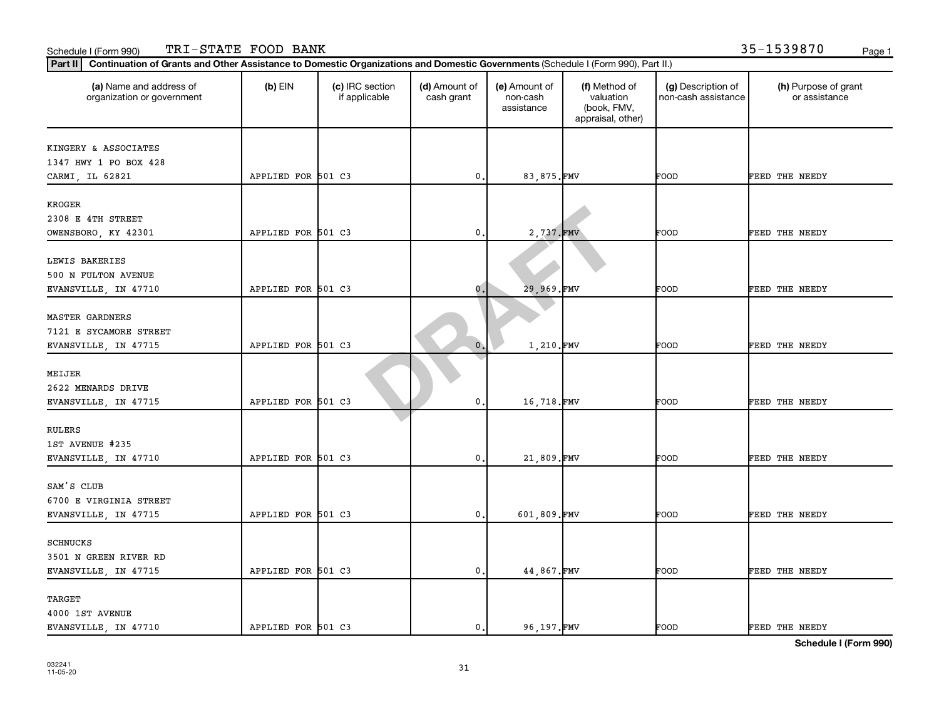| Part II   Continuation of Grants and Other Assistance to Domestic Organizations and Domestic Governments (Schedule I (Form 990), Part II.) |                    |                                  |                             |                                         |                                                                |                                           |                                       |
|--------------------------------------------------------------------------------------------------------------------------------------------|--------------------|----------------------------------|-----------------------------|-----------------------------------------|----------------------------------------------------------------|-------------------------------------------|---------------------------------------|
| (a) Name and address of<br>organization or government                                                                                      | $(b)$ EIN          | (c) IRC section<br>if applicable | (d) Amount of<br>cash grant | (e) Amount of<br>non-cash<br>assistance | (f) Method of<br>valuation<br>(book, FMV,<br>appraisal, other) | (g) Description of<br>non-cash assistance | (h) Purpose of grant<br>or assistance |
| KINGERY & ASSOCIATES                                                                                                                       |                    |                                  |                             |                                         |                                                                |                                           |                                       |
| 1347 HWY 1 PO BOX 428                                                                                                                      |                    |                                  |                             |                                         |                                                                |                                           |                                       |
| CARMI, IL 62821                                                                                                                            | APPLIED FOR 501 C3 |                                  | $\mathbf 0$                 | 83,875.FMV                              |                                                                | FOOD                                      | FEED THE NEEDY                        |
|                                                                                                                                            |                    |                                  |                             |                                         |                                                                |                                           |                                       |
| KROGER                                                                                                                                     |                    |                                  |                             |                                         |                                                                |                                           |                                       |
| 2308 E 4TH STREET                                                                                                                          |                    |                                  |                             |                                         |                                                                |                                           |                                       |
| OWENSBORO, KY 42301                                                                                                                        | APPLIED FOR 501 C3 |                                  | 0.                          | 2,737.FMV                               |                                                                | FOOD                                      | FEED THE NEEDY                        |
| LEWIS BAKERIES                                                                                                                             |                    |                                  |                             |                                         |                                                                |                                           |                                       |
| 500 N FULTON AVENUE                                                                                                                        |                    |                                  |                             |                                         |                                                                |                                           |                                       |
| EVANSVILLE, IN 47710                                                                                                                       | APPLIED FOR 501 C3 |                                  | 0.                          | 29,969.FMV                              |                                                                | FOOD                                      | FEED THE NEEDY                        |
|                                                                                                                                            |                    |                                  |                             |                                         |                                                                |                                           |                                       |
| <b>MASTER GARDNERS</b>                                                                                                                     |                    |                                  |                             |                                         |                                                                |                                           |                                       |
| 7121 E SYCAMORE STREET                                                                                                                     |                    |                                  |                             |                                         |                                                                |                                           |                                       |
| EVANSVILLE, IN 47715                                                                                                                       | APPLIED FOR 501 C3 |                                  | $\mathbf{0}$ .              | 1,210.FMV                               |                                                                | FOOD                                      | FEED THE NEEDY                        |
|                                                                                                                                            |                    |                                  |                             |                                         |                                                                |                                           |                                       |
| MEIJER                                                                                                                                     |                    |                                  |                             |                                         |                                                                |                                           |                                       |
| 2622 MENARDS DRIVE                                                                                                                         |                    |                                  |                             |                                         |                                                                |                                           |                                       |
| EVANSVILLE, IN 47715                                                                                                                       | APPLIED FOR 501 C3 |                                  | $\mathbf 0$                 | 16,718.FMV                              |                                                                | FOOD                                      | FEED THE NEEDY                        |
| <b>RULERS</b>                                                                                                                              |                    |                                  |                             |                                         |                                                                |                                           |                                       |
| 1ST AVENUE #235                                                                                                                            |                    |                                  |                             |                                         |                                                                |                                           |                                       |
| EVANSVILLE, IN 47710                                                                                                                       | APPLIED FOR 501 C3 |                                  | 0.                          | 21,809.FMV                              |                                                                | FOOD                                      | FEED THE NEEDY                        |
|                                                                                                                                            |                    |                                  |                             |                                         |                                                                |                                           |                                       |
| SAM'S CLUB                                                                                                                                 |                    |                                  |                             |                                         |                                                                |                                           |                                       |
| 6700 E VIRGINIA STREET                                                                                                                     |                    |                                  |                             |                                         |                                                                |                                           |                                       |
| EVANSVILLE, IN 47715                                                                                                                       | APPLIED FOR 501 C3 |                                  | 0.                          | 601.809.FMV                             |                                                                | FOOD                                      | FEED THE NEEDY                        |
|                                                                                                                                            |                    |                                  |                             |                                         |                                                                |                                           |                                       |
| <b>SCHNUCKS</b>                                                                                                                            |                    |                                  |                             |                                         |                                                                |                                           |                                       |
| 3501 N GREEN RIVER RD                                                                                                                      |                    |                                  |                             |                                         |                                                                |                                           |                                       |
| EVANSVILLE, IN 47715                                                                                                                       | APPLIED FOR 501 C3 |                                  | 0.                          | 44,867.FMV                              |                                                                | FOOD                                      | FEED THE NEEDY                        |
| TARGET                                                                                                                                     |                    |                                  |                             |                                         |                                                                |                                           |                                       |
| 4000 1ST AVENUE                                                                                                                            |                    |                                  |                             |                                         |                                                                |                                           |                                       |
| EVANSVILLE, IN 47710                                                                                                                       | APPLIED FOR 501 C3 |                                  | 0.                          | 96.197.FMV                              |                                                                | FOOD                                      | FEED THE NEEDY                        |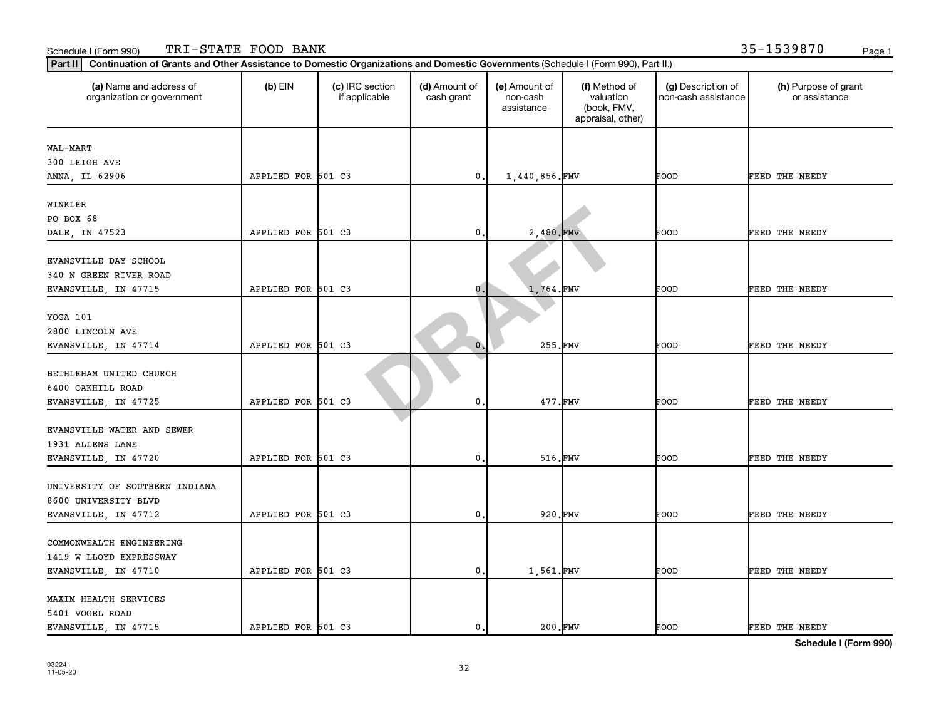| Part II   Continuation of Grants and Other Assistance to Domestic Organizations and Domestic Governments (Schedule I (Form 990), Part II.) |                    |                                  |                             |                                         |                                                                |                                           |                                       |
|--------------------------------------------------------------------------------------------------------------------------------------------|--------------------|----------------------------------|-----------------------------|-----------------------------------------|----------------------------------------------------------------|-------------------------------------------|---------------------------------------|
| (a) Name and address of<br>organization or government                                                                                      | $(b)$ EIN          | (c) IRC section<br>if applicable | (d) Amount of<br>cash grant | (e) Amount of<br>non-cash<br>assistance | (f) Method of<br>valuation<br>(book, FMV,<br>appraisal, other) | (g) Description of<br>non-cash assistance | (h) Purpose of grant<br>or assistance |
| WAL-MART                                                                                                                                   |                    |                                  |                             |                                         |                                                                |                                           |                                       |
| 300 LEIGH AVE                                                                                                                              |                    |                                  |                             |                                         |                                                                |                                           |                                       |
| ANNA, IL 62906                                                                                                                             | APPLIED FOR 501 C3 |                                  | $\mathbf 0$ .               | 1,440,856.FMV                           |                                                                | FOOD                                      | FEED THE NEEDY                        |
|                                                                                                                                            |                    |                                  |                             |                                         |                                                                |                                           |                                       |
| WINKLER                                                                                                                                    |                    |                                  |                             |                                         |                                                                |                                           |                                       |
| PO BOX 68                                                                                                                                  |                    |                                  |                             |                                         |                                                                |                                           |                                       |
| DALE, IN 47523                                                                                                                             | APPLIED FOR 501 C3 |                                  | 0                           | 2,480.FMV                               |                                                                | FOOD                                      | FEED THE NEEDY                        |
|                                                                                                                                            |                    |                                  |                             |                                         |                                                                |                                           |                                       |
| EVANSVILLE DAY SCHOOL                                                                                                                      |                    |                                  |                             |                                         |                                                                |                                           |                                       |
| 340 N GREEN RIVER ROAD                                                                                                                     |                    |                                  |                             |                                         |                                                                |                                           |                                       |
| EVANSVILLE, IN 47715                                                                                                                       | APPLIED FOR 501 C3 |                                  | $\mathbf 0$ .               | 1,764.FMV                               |                                                                | FOOD                                      | FEED THE NEEDY                        |
| YOGA 101                                                                                                                                   |                    |                                  |                             |                                         |                                                                |                                           |                                       |
| 2800 LINCOLN AVE                                                                                                                           |                    |                                  |                             |                                         |                                                                |                                           |                                       |
| EVANSVILLE, IN 47714                                                                                                                       | APPLIED FOR 501 C3 |                                  | $\mathbf{0}$                | 255.FMV                                 |                                                                | FOOD                                      | FEED THE NEEDY                        |
|                                                                                                                                            |                    |                                  |                             |                                         |                                                                |                                           |                                       |
| BETHLEHAM UNITED CHURCH                                                                                                                    |                    |                                  |                             |                                         |                                                                |                                           |                                       |
| 6400 OAKHILL ROAD                                                                                                                          |                    |                                  |                             |                                         |                                                                |                                           |                                       |
| EVANSVILLE, IN 47725                                                                                                                       | APPLIED FOR 501 C3 |                                  | 0                           | 477.FMV                                 |                                                                | FOOD                                      | FEED THE NEEDY                        |
|                                                                                                                                            |                    |                                  |                             |                                         |                                                                |                                           |                                       |
| EVANSVILLE WATER AND SEWER                                                                                                                 |                    |                                  |                             |                                         |                                                                |                                           |                                       |
| 1931 ALLENS LANE                                                                                                                           |                    |                                  |                             |                                         |                                                                |                                           |                                       |
| EVANSVILLE, IN 47720                                                                                                                       | APPLIED FOR 501 C3 |                                  | $\mathbf 0$ .               | 516.FMV                                 |                                                                | FOOD                                      | FEED THE NEEDY                        |
|                                                                                                                                            |                    |                                  |                             |                                         |                                                                |                                           |                                       |
| UNIVERSITY OF SOUTHERN INDIANA                                                                                                             |                    |                                  |                             |                                         |                                                                |                                           |                                       |
| 8600 UNIVERSITY BLVD                                                                                                                       |                    |                                  |                             |                                         |                                                                |                                           |                                       |
| EVANSVILLE, IN 47712                                                                                                                       | APPLIED FOR 501 C3 |                                  | $\mathbf{0}$                | 920.FMV                                 |                                                                | FOOD                                      | FEED THE NEEDY                        |
|                                                                                                                                            |                    |                                  |                             |                                         |                                                                |                                           |                                       |
| COMMONWEALTH ENGINEERING                                                                                                                   |                    |                                  |                             |                                         |                                                                |                                           |                                       |
| 1419 W LLOYD EXPRESSWAY                                                                                                                    |                    |                                  |                             |                                         |                                                                |                                           |                                       |
| EVANSVILLE, IN 47710                                                                                                                       | APPLIED FOR 501 C3 |                                  | $\mathbf{0}$                | 1,561.FMV                               |                                                                | FOOD                                      | FEED THE NEEDY                        |
| MAXIM HEALTH SERVICES                                                                                                                      |                    |                                  |                             |                                         |                                                                |                                           |                                       |
| 5401 VOGEL ROAD                                                                                                                            |                    |                                  |                             |                                         |                                                                |                                           |                                       |
| EVANSVILLE, IN 47715                                                                                                                       | APPLIED FOR 501 C3 |                                  | $\mathbf{0}$                | 200.FMV                                 |                                                                | FOOD                                      | FEED THE NEEDY                        |
|                                                                                                                                            |                    |                                  |                             |                                         |                                                                |                                           |                                       |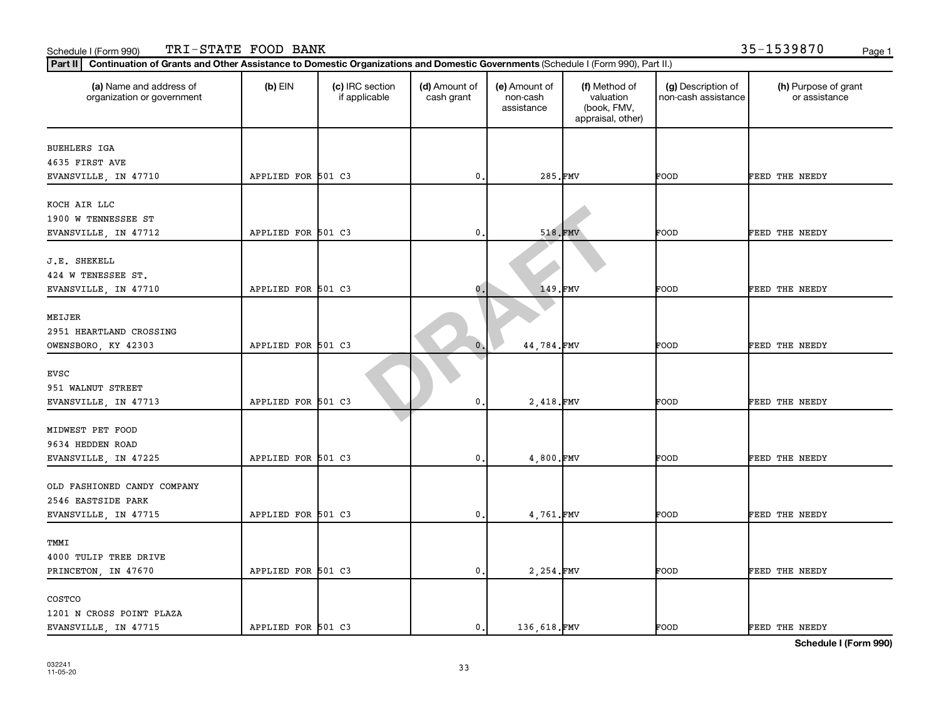| (a) Name and address of<br>organization or government | $(b)$ EIN          | (c) IRC section<br>if applicable | (d) Amount of<br>cash grant | (e) Amount of<br>non-cash<br>assistance | (f) Method of<br>valuation<br>(book, FMV,<br>appraisal, other) | (g) Description of<br>non-cash assistance | (h) Purpose of grant<br>or assistance |
|-------------------------------------------------------|--------------------|----------------------------------|-----------------------------|-----------------------------------------|----------------------------------------------------------------|-------------------------------------------|---------------------------------------|
| <b>BUEHLERS IGA</b>                                   |                    |                                  |                             |                                         |                                                                |                                           |                                       |
| 4635 FIRST AVE                                        |                    |                                  |                             |                                         |                                                                |                                           |                                       |
| EVANSVILLE, IN 47710                                  | APPLIED FOR 501 C3 |                                  | 0                           | 285.FMV                                 |                                                                | FOOD                                      | FEED THE NEEDY                        |
| KOCH AIR LLC                                          |                    |                                  |                             |                                         |                                                                |                                           |                                       |
| 1900 W TENNESSEE ST                                   |                    |                                  |                             |                                         |                                                                |                                           |                                       |
| EVANSVILLE, IN 47712                                  | APPLIED FOR 501 C3 |                                  | $\mathbf{0}$                | 518.FMV                                 |                                                                | FOOD                                      | FEED THE NEEDY                        |
| J.E. SHEKELL                                          |                    |                                  |                             |                                         |                                                                |                                           |                                       |
| 424 W TENESSEE ST.                                    |                    |                                  |                             |                                         |                                                                |                                           |                                       |
| EVANSVILLE, IN 47710                                  | APPLIED FOR 501 C3 |                                  | $\mathbf 0$ .               | 149.FMV                                 |                                                                | FOOD                                      | FEED THE NEEDY                        |
|                                                       |                    |                                  |                             |                                         |                                                                |                                           |                                       |
| MEIJER                                                |                    |                                  |                             |                                         |                                                                |                                           |                                       |
| 2951 HEARTLAND CROSSING                               |                    |                                  |                             |                                         |                                                                |                                           |                                       |
| OWENSBORO, KY 42303                                   | APPLIED FOR 501 C3 |                                  | $\mathbf{0}$                | 44,784.FMV                              |                                                                | FOOD                                      | FEED THE NEEDY                        |
| EVSC                                                  |                    |                                  |                             |                                         |                                                                |                                           |                                       |
| 951 WALNUT STREET                                     |                    |                                  |                             |                                         |                                                                |                                           |                                       |
| EVANSVILLE, IN 47713                                  | APPLIED FOR 501 C3 |                                  | $\mathbf 0$                 | 2,418.FMV                               |                                                                | FOOD                                      | FEED THE NEEDY                        |
|                                                       |                    |                                  |                             |                                         |                                                                |                                           |                                       |
| MIDWEST PET FOOD                                      |                    |                                  |                             |                                         |                                                                |                                           |                                       |
| 9634 HEDDEN ROAD                                      |                    |                                  |                             |                                         |                                                                |                                           |                                       |
| EVANSVILLE, IN 47225                                  | APPLIED FOR 501 C3 |                                  | 0.                          | 4,800.FMV                               |                                                                | FOOD                                      | FEED THE NEEDY                        |
| OLD FASHIONED CANDY COMPANY                           |                    |                                  |                             |                                         |                                                                |                                           |                                       |
| 2546 EASTSIDE PARK                                    |                    |                                  |                             |                                         |                                                                |                                           |                                       |
| EVANSVILLE, IN 47715                                  | APPLIED FOR 501 C3 |                                  | $^{\rm 0}$ .                | 4,761.FMV                               |                                                                | FOOD                                      | FEED THE NEEDY                        |
|                                                       |                    |                                  |                             |                                         |                                                                |                                           |                                       |
| TMMI                                                  |                    |                                  |                             |                                         |                                                                |                                           |                                       |
| 4000 TULIP TREE DRIVE                                 |                    |                                  |                             |                                         |                                                                |                                           |                                       |
| PRINCETON, IN 47670                                   | APPLIED FOR 501 C3 |                                  | $\mathbf{0}$ .              | 2,254.FMV                               |                                                                | FOOD                                      | FEED THE NEEDY                        |
| COSTCO                                                |                    |                                  |                             |                                         |                                                                |                                           |                                       |
| 1201 N CROSS POINT PLAZA                              |                    |                                  |                             |                                         |                                                                |                                           |                                       |
| EVANSVILLE, IN 47715                                  | APPLIED FOR 501 C3 |                                  | $\mathbf 0$ .               | 136,618.FMV                             |                                                                | FOOD                                      | <b>FEED THE NEEDY</b>                 |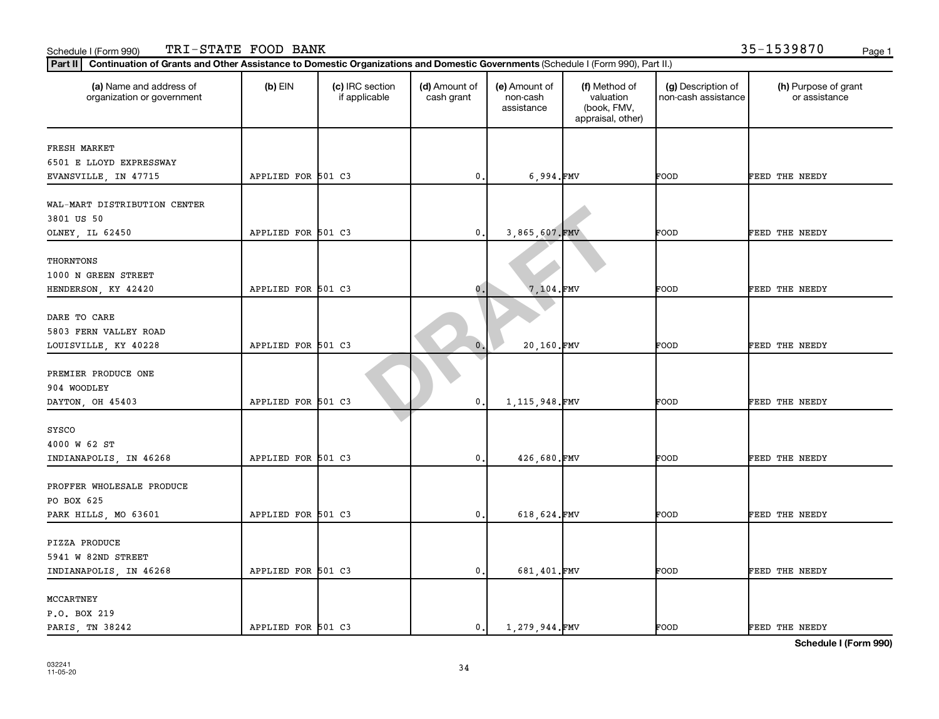| (a) Name and address of<br>organization or government | $(b)$ EIN          | (c) IRC section<br>if applicable | (d) Amount of<br>cash grant | (e) Amount of<br>non-cash<br>assistance | (f) Method of<br>valuation<br>(book, FMV,<br>appraisal, other) | (g) Description of<br>non-cash assistance | (h) Purpose of grant<br>or assistance |
|-------------------------------------------------------|--------------------|----------------------------------|-----------------------------|-----------------------------------------|----------------------------------------------------------------|-------------------------------------------|---------------------------------------|
| FRESH MARKET                                          |                    |                                  |                             |                                         |                                                                |                                           |                                       |
| 6501 E LLOYD EXPRESSWAY                               |                    |                                  |                             |                                         |                                                                |                                           |                                       |
| EVANSVILLE, IN 47715                                  | APPLIED FOR 501 C3 |                                  | 0                           | 6,994.FMV                               |                                                                | FOOD                                      | FEED THE NEEDY                        |
|                                                       |                    |                                  |                             |                                         |                                                                |                                           |                                       |
| WAL-MART DISTRIBUTION CENTER                          |                    |                                  |                             |                                         |                                                                |                                           |                                       |
| 3801 US 50                                            |                    |                                  |                             |                                         |                                                                |                                           |                                       |
| OLNEY, IL 62450                                       | APPLIED FOR 501 C3 |                                  | 0                           | 3,865,607.FMV                           |                                                                | FOOD                                      | FEED THE NEEDY                        |
|                                                       |                    |                                  |                             |                                         |                                                                |                                           |                                       |
| THORNTONS                                             |                    |                                  |                             |                                         |                                                                |                                           |                                       |
| 1000 N GREEN STREET                                   |                    |                                  |                             |                                         |                                                                |                                           |                                       |
| HENDERSON, KY 42420                                   | APPLIED FOR 501 C3 |                                  | 0.                          | $7,104$ . FMV                           |                                                                | FOOD                                      | FEED THE NEEDY                        |
|                                                       |                    |                                  |                             |                                         |                                                                |                                           |                                       |
| DARE TO CARE                                          |                    |                                  |                             |                                         |                                                                |                                           |                                       |
| 5803 FERN VALLEY ROAD                                 |                    |                                  |                             |                                         |                                                                |                                           |                                       |
| LOUISVILLE, KY 40228                                  | APPLIED FOR 501 C3 |                                  | $\mathbf{0}$                | 20,160.FMV                              |                                                                | FOOD                                      | FEED THE NEEDY                        |
|                                                       |                    |                                  |                             |                                         |                                                                |                                           |                                       |
| PREMIER PRODUCE ONE                                   |                    |                                  |                             |                                         |                                                                |                                           |                                       |
| 904 WOODLEY                                           |                    |                                  |                             |                                         |                                                                |                                           |                                       |
| DAYTON, OH 45403                                      | APPLIED FOR 501 C3 |                                  | 0                           | 1, 115, 948. FMV                        |                                                                | FOOD                                      | FEED THE NEEDY                        |
|                                                       |                    |                                  |                             |                                         |                                                                |                                           |                                       |
| SYSCO<br>4000 W 62 ST                                 |                    |                                  |                             |                                         |                                                                |                                           |                                       |
|                                                       | APPLIED FOR 501 C3 |                                  | 0.                          | 426,680.FMV                             |                                                                | FOOD                                      | FEED THE NEEDY                        |
| INDIANAPOLIS, IN 46268                                |                    |                                  |                             |                                         |                                                                |                                           |                                       |
| PROFFER WHOLESALE PRODUCE                             |                    |                                  |                             |                                         |                                                                |                                           |                                       |
| PO BOX 625                                            |                    |                                  |                             |                                         |                                                                |                                           |                                       |
|                                                       | APPLIED FOR 501 C3 |                                  | 0                           | 618,624.FMV                             |                                                                | FOOD                                      | FEED THE NEEDY                        |
| PARK HILLS, MO 63601                                  |                    |                                  |                             |                                         |                                                                |                                           |                                       |
| PIZZA PRODUCE                                         |                    |                                  |                             |                                         |                                                                |                                           |                                       |
| 5941 W 82ND STREET                                    |                    |                                  |                             |                                         |                                                                |                                           |                                       |
| INDIANAPOLIS, IN 46268                                | APPLIED FOR 501 C3 |                                  | 0                           | 681,401.FMV                             |                                                                | FOOD                                      | FEED THE NEEDY                        |
|                                                       |                    |                                  |                             |                                         |                                                                |                                           |                                       |
| MCCARTNEY                                             |                    |                                  |                             |                                         |                                                                |                                           |                                       |
| P.O. BOX 219                                          |                    |                                  |                             |                                         |                                                                |                                           |                                       |
| PARIS, TN 38242                                       | APPLIED FOR 501 C3 |                                  | 0.                          | 1,279,944.FMV                           |                                                                | FOOD                                      | FEED THE NEEDY                        |
|                                                       |                    |                                  |                             |                                         |                                                                |                                           |                                       |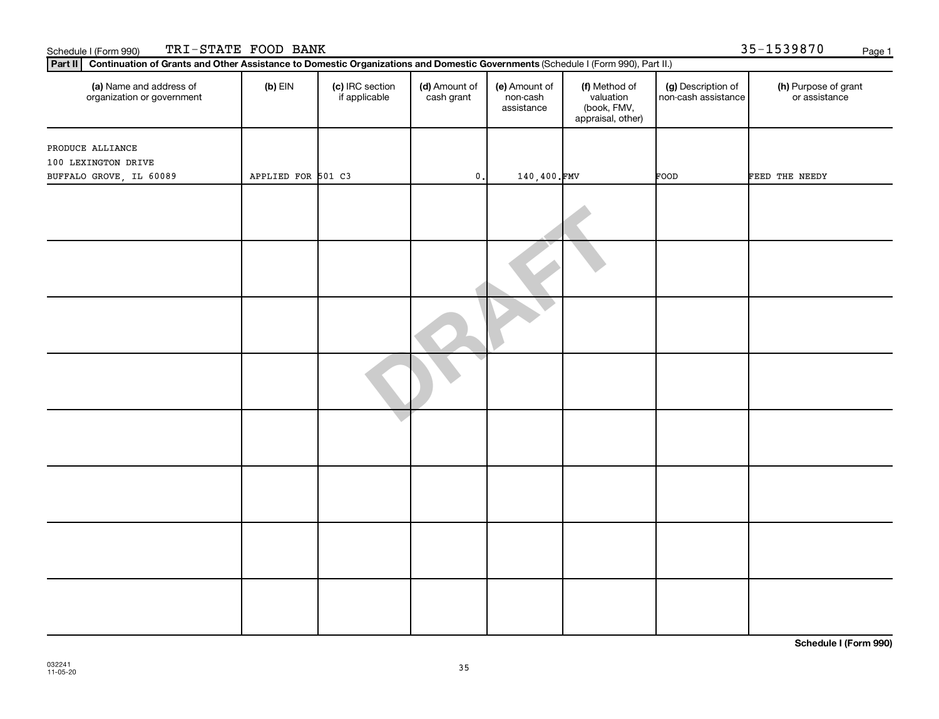| Part II   Continuation of Grants and Other Assistance to Domestic Organizations and Domestic Governments (Schedule I (Form 990), Part II.) |                    |                                  |                             |                                         |                                                                |                                           |                                       |
|--------------------------------------------------------------------------------------------------------------------------------------------|--------------------|----------------------------------|-----------------------------|-----------------------------------------|----------------------------------------------------------------|-------------------------------------------|---------------------------------------|
| (a) Name and address of<br>organization or government                                                                                      | $(b)$ EIN          | (c) IRC section<br>if applicable | (d) Amount of<br>cash grant | (e) Amount of<br>non-cash<br>assistance | (f) Method of<br>valuation<br>(book, FMV,<br>appraisal, other) | (g) Description of<br>non-cash assistance | (h) Purpose of grant<br>or assistance |
|                                                                                                                                            |                    |                                  |                             |                                         |                                                                |                                           |                                       |
| PRODUCE ALLIANCE<br>100 LEXINGTON DRIVE                                                                                                    |                    |                                  |                             |                                         |                                                                |                                           |                                       |
| BUFFALO GROVE, IL 60089                                                                                                                    | APPLIED FOR 501 C3 |                                  | $\mathbf 0$ .               | 140,400.FMV                             |                                                                | FOOD                                      | FEED THE NEEDY                        |
|                                                                                                                                            |                    |                                  |                             |                                         |                                                                |                                           |                                       |
|                                                                                                                                            |                    |                                  |                             |                                         |                                                                |                                           |                                       |
|                                                                                                                                            |                    |                                  |                             |                                         |                                                                |                                           |                                       |
|                                                                                                                                            |                    |                                  |                             |                                         |                                                                |                                           |                                       |
|                                                                                                                                            |                    |                                  |                             |                                         |                                                                |                                           |                                       |
|                                                                                                                                            |                    |                                  |                             |                                         |                                                                |                                           |                                       |
|                                                                                                                                            |                    |                                  |                             |                                         |                                                                |                                           |                                       |
|                                                                                                                                            |                    |                                  |                             |                                         |                                                                |                                           |                                       |

Schedule I (Form 990) Page 1

TRI-STATE FOOD BANK 35-1539870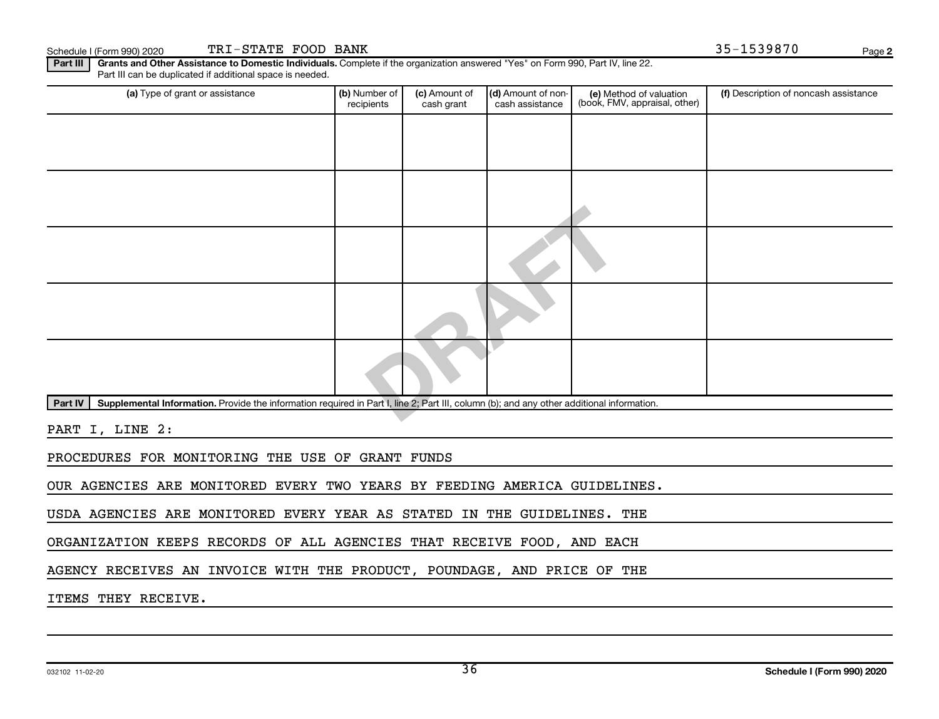Schedule I (Form 990) 2020 TRI-STATE FOOD BANK Page 35-1539870 Page

**2**

Part III | Grants and Other Assistance to Domestic Individuals. Complete if the organization answered "Yes" on Form 990, Part IV, line 22. Part III can be duplicated if additional space is needed.

| (a) Type of grant or assistance                                                                                                                      | (b) Number of<br>recipients | (c) Amount of<br>cash grant | (d) Amount of non-<br>cash assistance | (e) Method of valuation<br>(book, FMV, appraisal, other) | (f) Description of noncash assistance |  |  |  |  |  |  |
|------------------------------------------------------------------------------------------------------------------------------------------------------|-----------------------------|-----------------------------|---------------------------------------|----------------------------------------------------------|---------------------------------------|--|--|--|--|--|--|
|                                                                                                                                                      |                             |                             |                                       |                                                          |                                       |  |  |  |  |  |  |
|                                                                                                                                                      |                             |                             |                                       |                                                          |                                       |  |  |  |  |  |  |
|                                                                                                                                                      |                             |                             |                                       |                                                          |                                       |  |  |  |  |  |  |
|                                                                                                                                                      |                             |                             |                                       |                                                          |                                       |  |  |  |  |  |  |
|                                                                                                                                                      |                             |                             |                                       |                                                          |                                       |  |  |  |  |  |  |
|                                                                                                                                                      |                             |                             |                                       |                                                          |                                       |  |  |  |  |  |  |
|                                                                                                                                                      |                             |                             |                                       |                                                          |                                       |  |  |  |  |  |  |
| Part IV<br>Supplemental Information. Provide the information required in Part I, line 2; Part III, column (b); and any other additional information. |                             |                             |                                       |                                                          |                                       |  |  |  |  |  |  |
|                                                                                                                                                      |                             |                             |                                       |                                                          |                                       |  |  |  |  |  |  |

PART I, LINE 2:

PROCEDURES FOR MONITORING THE USE OF GRANT FUNDS

OUR AGENCIES ARE MONITORED EVERY TWO YEARS BY FEEDING AMERICA GUIDELINES.

USDA AGENCIES ARE MONITORED EVERY YEAR AS STATED IN THE GUIDELINES. THE

ORGANIZATION KEEPS RECORDS OF ALL AGENCIES THAT RECEIVE FOOD, AND EACH

AGENCY RECEIVES AN INVOICE WITH THE PRODUCT, POUNDAGE, AND PRICE OF THE

ITEMS THEY RECEIVE.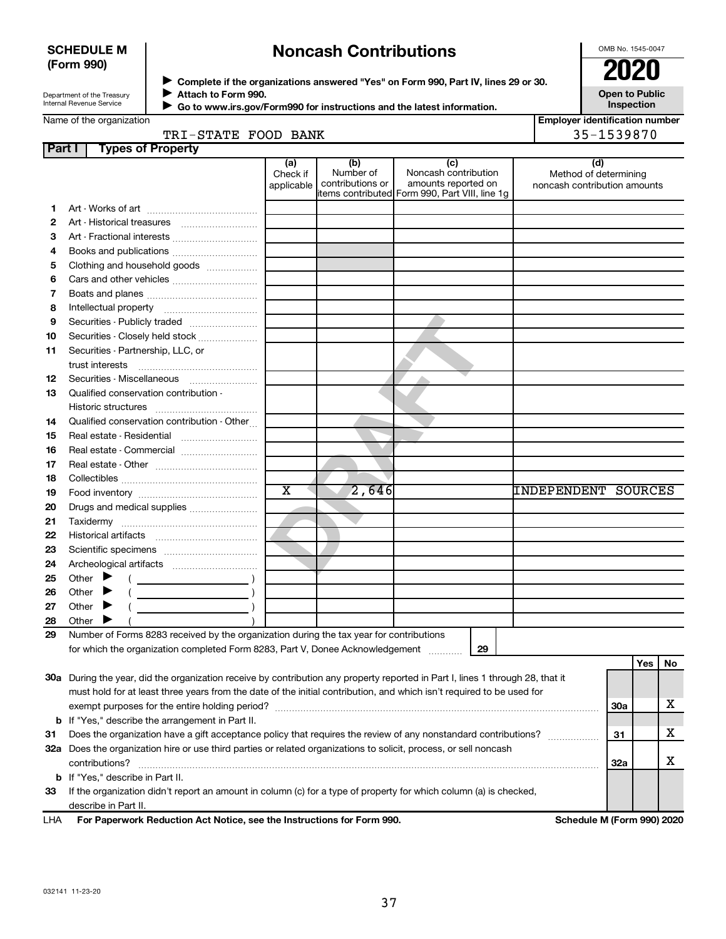### **SCHEDULE M (Form 990)**

# **Noncash Contributions**

OMB No. 1545-0047

| Department of the Treasury |  |
|----------------------------|--|
| Internal Revenue Service   |  |

◆ Complete if the organizations answered "Yes" on Form 990, Part IV, lines 29 or 30.<br>● Complete if the organizations answered "Yes" on Form 990, Part IV, lines 29 or 30. **Attach to Form 990.**  $\blacktriangleright$ 

**Open to Public Inspection**

|  | Name of the organization |  |
|--|--------------------------|--|
|  |                          |  |
|  |                          |  |

 $\blacktriangleright$ 

| ► Go to www.irs.gov/Form990 for instructions and the latest information. |
|--------------------------------------------------------------------------|
|                                                                          |

**Employer identification number** TRI-STATE FOOD BANK 35-1539870

|  | TRI-STATE FOOD BANK |  |  |
|--|---------------------|--|--|
|--|---------------------|--|--|

| Part I | <b>Types of Property</b>                                                                                                       |                               |                                      |                                                    |                                                              |            |     |    |
|--------|--------------------------------------------------------------------------------------------------------------------------------|-------------------------------|--------------------------------------|----------------------------------------------------|--------------------------------------------------------------|------------|-----|----|
|        |                                                                                                                                | (a)<br>Check if<br>applicable | (b)<br>Number of<br>contributions or | (c)<br>Noncash contribution<br>amounts reported on | (d)<br>Method of determining<br>noncash contribution amounts |            |     |    |
|        |                                                                                                                                |                               |                                      | items contributed Form 990, Part VIII, line 1g     |                                                              |            |     |    |
| 1.     |                                                                                                                                |                               |                                      |                                                    |                                                              |            |     |    |
| 2      |                                                                                                                                |                               |                                      |                                                    |                                                              |            |     |    |
| З      |                                                                                                                                |                               |                                      |                                                    |                                                              |            |     |    |
| 4      |                                                                                                                                |                               |                                      |                                                    |                                                              |            |     |    |
| 5      | Clothing and household goods                                                                                                   |                               |                                      |                                                    |                                                              |            |     |    |
| 6      |                                                                                                                                |                               |                                      |                                                    |                                                              |            |     |    |
| 7      |                                                                                                                                |                               |                                      |                                                    |                                                              |            |     |    |
| 8      |                                                                                                                                |                               |                                      |                                                    |                                                              |            |     |    |
| 9      | Securities - Publicly traded                                                                                                   |                               |                                      |                                                    |                                                              |            |     |    |
| 10     | Securities - Closely held stock                                                                                                |                               |                                      |                                                    |                                                              |            |     |    |
| 11     | Securities - Partnership, LLC, or<br>trust interests                                                                           |                               |                                      |                                                    |                                                              |            |     |    |
| 12     |                                                                                                                                |                               |                                      |                                                    |                                                              |            |     |    |
| 13     | Qualified conservation contribution -                                                                                          |                               |                                      |                                                    |                                                              |            |     |    |
|        |                                                                                                                                |                               |                                      |                                                    |                                                              |            |     |    |
| 14     | Qualified conservation contribution - Other                                                                                    |                               |                                      |                                                    |                                                              |            |     |    |
| 15     | Real estate - Residential                                                                                                      |                               |                                      |                                                    |                                                              |            |     |    |
| 16     | Real estate - Commercial                                                                                                       |                               |                                      |                                                    |                                                              |            |     |    |
| 17     |                                                                                                                                |                               |                                      |                                                    |                                                              |            |     |    |
| 18     |                                                                                                                                |                               |                                      |                                                    |                                                              |            |     |    |
| 19     |                                                                                                                                | $\overline{\text{x}}$         | 2,646                                |                                                    | <b>INDEPENDENT SOURCES</b>                                   |            |     |    |
| 20     | Drugs and medical supplies                                                                                                     |                               |                                      |                                                    |                                                              |            |     |    |
| 21     |                                                                                                                                |                               |                                      |                                                    |                                                              |            |     |    |
| 22     |                                                                                                                                |                               |                                      |                                                    |                                                              |            |     |    |
| 23     |                                                                                                                                |                               |                                      |                                                    |                                                              |            |     |    |
| 24     |                                                                                                                                |                               |                                      |                                                    |                                                              |            |     |    |
| 25     | Other $\blacktriangleright$                                                                                                    |                               |                                      |                                                    |                                                              |            |     |    |
| 26     | Other                                                                                                                          |                               |                                      |                                                    |                                                              |            |     |    |
| 27     | Other                                                                                                                          |                               |                                      |                                                    |                                                              |            |     |    |
| 28     | Other                                                                                                                          |                               |                                      |                                                    |                                                              |            |     |    |
| 29     | Number of Forms 8283 received by the organization during the tax year for contributions                                        |                               |                                      |                                                    |                                                              |            |     |    |
|        | for which the organization completed Form 8283, Part V, Donee Acknowledgement                                                  |                               |                                      | 29                                                 |                                                              |            |     |    |
|        |                                                                                                                                |                               |                                      |                                                    |                                                              |            | Yes | No |
|        | 30a During the year, did the organization receive by contribution any property reported in Part I, lines 1 through 28, that it |                               |                                      |                                                    |                                                              |            |     |    |
|        | must hold for at least three years from the date of the initial contribution, and which isn't required to be used for          |                               |                                      |                                                    |                                                              |            |     |    |
|        | exempt purposes for the entire holding period?                                                                                 |                               |                                      |                                                    |                                                              | <b>30a</b> |     | х  |
| b      | If "Yes," describe the arrangement in Part II.                                                                                 |                               |                                      |                                                    |                                                              |            |     |    |
| 31     | Does the organization have a gift acceptance policy that requires the review of any nonstandard contributions?                 |                               |                                      |                                                    |                                                              | 31         |     | x  |
|        | 32a Does the organization hire or use third parties or related organizations to solicit, process, or sell noncash              |                               |                                      |                                                    |                                                              |            |     |    |
|        | contributions?                                                                                                                 |                               |                                      |                                                    |                                                              | 32a        |     | х  |
| b      | If "Yes," describe in Part II.                                                                                                 |                               |                                      |                                                    |                                                              |            |     |    |
| 33     | If the organization didn't report an amount in column (c) for a type of property for which column (a) is checked,              |                               |                                      |                                                    |                                                              |            |     |    |
|        | describe in Part II.                                                                                                           |                               |                                      |                                                    |                                                              |            |     |    |

**For Paperwork Reduction Act Notice, see the Instructions for Form 990. Schedule M (Form 990) 2020** LHA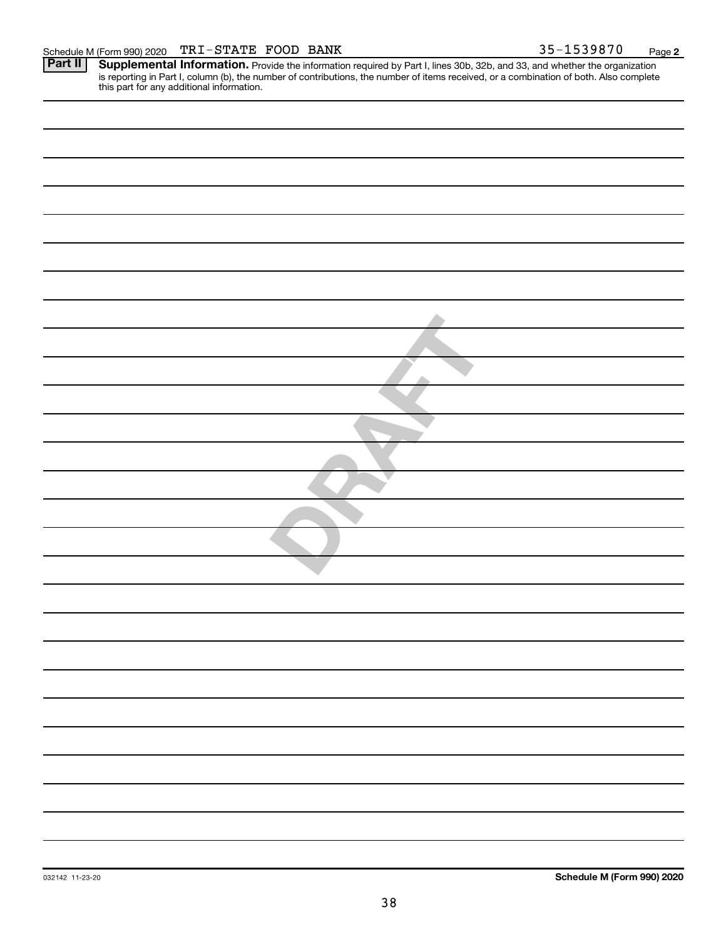**2**

Provide the information required by Part I, lines 30b, 32b, and 33, and whether the organization is reporting in Part I, column (b), the number of contributions, the number of items received, or a combination of both. Also complete this part for any additional information. **Part II Supplemental Information.**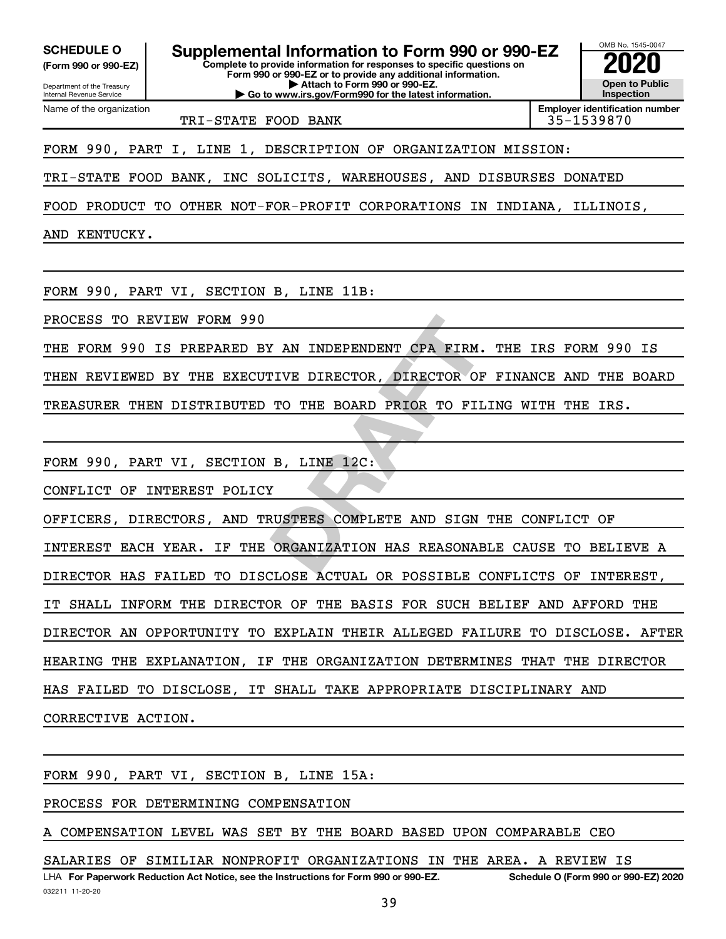**(Form 990 or 990-EZ)**

Department of the Treasury Internal Revenue Service Name of the organization

**Complete to provide information for responses to specific questions on Form 990 or 990-EZ or to provide any additional information. | Attach to Form 990 or 990-EZ. | Go to www.irs.gov/Form990 for the latest information. SCHEDULE O Supplemental Information to Form 990 or 990-EZ 2020**<br>(Form 990 or 990-EZ) Complete to provide information for responses to specific questions on

**Open to Public Inspection Employer identification number**

OMB No. 1545-0047

TRI-STATE FOOD BANK 35-1539870

FORM 990, PART I, LINE 1, DESCRIPTION OF ORGANIZATION MISSION:

TRI-STATE FOOD BANK, INC SOLICITS, WAREHOUSES, AND DISBURSES DONATED

FOOD PRODUCT TO OTHER NOT-FOR-PROFIT CORPORATIONS IN INDIANA, ILLINOIS,

AND KENTUCKY.

FORM 990, PART VI, SECTION B, LINE 11B:

PROCESS TO REVIEW FORM 990

X AN INDEPENDENT CPA FIRM. THE<br>
TO THE BOARD PRIOR TO FILING<br> **B, LINE 12C:**<br> **E**<br> **DRAFTERS COMPLETE AND SIGN THE<br>
ORGANIZATION HAS REASONABLE C** THE FORM 990 IS PREPARED BY AN INDEPENDENT CPA FIRM. THE IRS FORM 990 IS

THEN REVIEWED BY THE EXECUTIVE DIRECTOR, DIRECTOR OF FINANCE AND THE BOARD

TREASURER THEN DISTRIBUTED TO THE BOARD PRIOR TO FILING WITH THE IRS.

FORM 990, PART VI, SECTION B, LINE 12C:

CONFLICT OF INTEREST POLICY

OFFICERS, DIRECTORS, AND TRUSTEES COMPLETE AND SIGN THE CONFLICT OF

INTEREST EACH YEAR. IF THE ORGANIZATION HAS REASONABLE CAUSE TO BELIEVE A

DIRECTOR HAS FAILED TO DISCLOSE ACTUAL OR POSSIBLE CONFLICTS OF INTEREST,

IT SHALL INFORM THE DIRECTOR OF THE BASIS FOR SUCH BELIEF AND AFFORD THE

DIRECTOR AN OPPORTUNITY TO EXPLAIN THEIR ALLEGED FAILURE TO DISCLOSE. AFTER

HEARING THE EXPLANATION, IF THE ORGANIZATION DETERMINES THAT THE DIRECTOR

HAS FAILED TO DISCLOSE, IT SHALL TAKE APPROPRIATE DISCIPLINARY AND

CORRECTIVE ACTION.

FORM 990, PART VI, SECTION B, LINE 15A:

PROCESS FOR DETERMINING COMPENSATION

A COMPENSATION LEVEL WAS SET BY THE BOARD BASED UPON COMPARABLE CEO

**For Paperwork Reduction Act Notice, see the Instructions for Form 990 or 990-EZ. Schedule O (Form 990 or 990-EZ) 2020** LHA SALARIES OF SIMILIAR NONPROFIT ORGANIZATIONS IN THE AREA. A REVIEW IS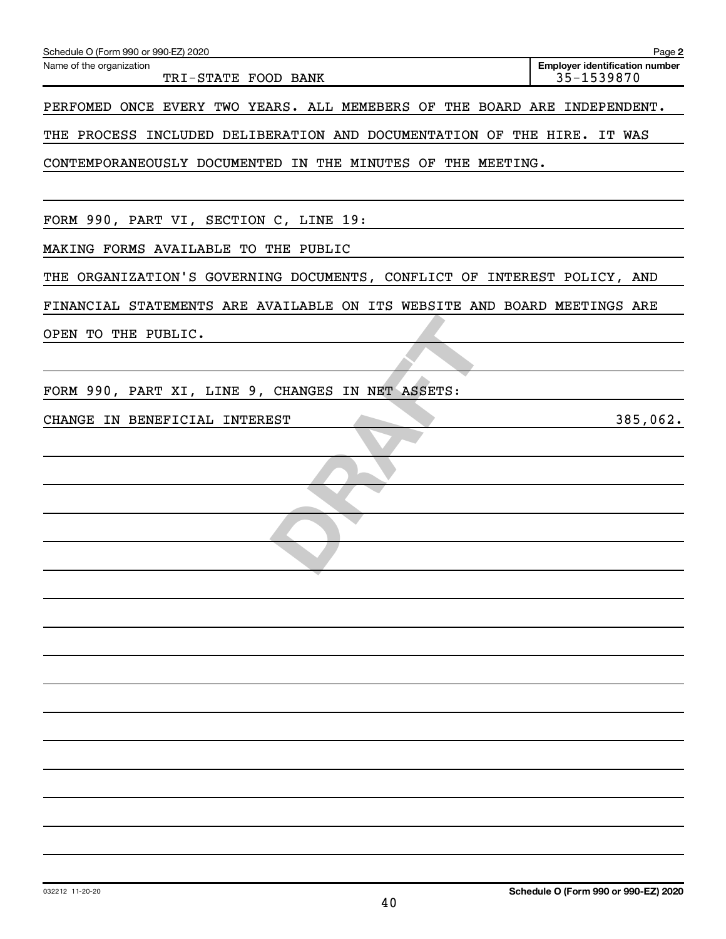| Schedule O (Form 990 or 990-EZ) 2020                                      | Page 2                                              |
|---------------------------------------------------------------------------|-----------------------------------------------------|
| Name of the organization<br>TRI-STATE FOOD BANK                           | <b>Employer identification number</b><br>35-1539870 |
| PERFOMED ONCE EVERY TWO YEARS. ALL MEMEBERS OF THE BOARD ARE INDEPENDENT. |                                                     |
| THE PROCESS INCLUDED DELIBERATION AND DOCUMENTATION OF THE HIRE. IT WAS   |                                                     |
| CONTEMPORANEOUSLY DOCUMENTED IN THE MINUTES OF THE MEETING.               |                                                     |
|                                                                           |                                                     |
| FORM 990, PART VI, SECTION C, LINE 19:                                    |                                                     |
| MAKING FORMS AVAILABLE TO THE PUBLIC                                      |                                                     |
| THE ORGANIZATION'S GOVERNING DOCUMENTS, CONFLICT OF INTEREST POLICY, AND  |                                                     |
| FINANCIAL STATEMENTS ARE AVAILABLE ON ITS WEBSITE AND BOARD MEETINGS ARE  |                                                     |
| OPEN TO THE PUBLIC.                                                       |                                                     |
|                                                                           |                                                     |
| FORM 990, PART XI, LINE 9, CHANGES IN NET ASSETS:                         |                                                     |
| CHANGE IN BENEFICIAL INTEREST                                             | 385,062.                                            |
|                                                                           |                                                     |
|                                                                           |                                                     |
|                                                                           |                                                     |
|                                                                           |                                                     |
|                                                                           |                                                     |
|                                                                           |                                                     |
|                                                                           |                                                     |
|                                                                           |                                                     |
|                                                                           |                                                     |
|                                                                           |                                                     |
|                                                                           |                                                     |
|                                                                           |                                                     |
|                                                                           |                                                     |
|                                                                           |                                                     |
|                                                                           |                                                     |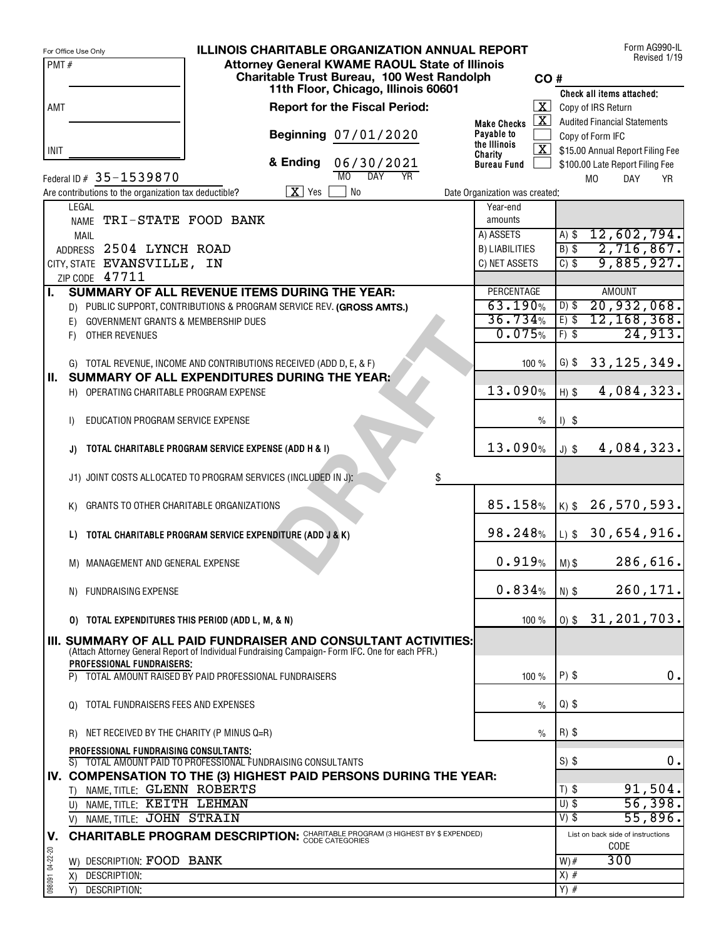|                 | <b>ILLINOIS CHARITABLE ORGANIZATION ANNUAL REPORT</b><br>For Office Use Only                                               |                                            |                      |          | Form AG990-IL                                   | Revised 1/19 |
|-----------------|----------------------------------------------------------------------------------------------------------------------------|--------------------------------------------|----------------------|----------|-------------------------------------------------|--------------|
| PMT#            | <b>Attorney General KWAME RAOUL State of Illinois</b>                                                                      |                                            |                      |          |                                                 |              |
|                 | Charitable Trust Bureau, 100 West Randolph<br>11th Floor, Chicago, Illinois 60601                                          |                                            | CO#                  |          |                                                 |              |
| AMT             | <b>Report for the Fiscal Period:</b>                                                                                       |                                            | $\mathbf{X}$         |          | Check all items attached:<br>Copy of IRS Return |              |
|                 |                                                                                                                            | <b>Make Checks</b>                         | $\lfloor x \rfloor$  |          | <b>Audited Financial Statements</b>             |              |
|                 | Beginning 07/01/2020                                                                                                       | Payable to                                 |                      |          | Copy of Form IFC                                |              |
| INIT            |                                                                                                                            | the Illinois<br>Charity                    | $\boxed{\mathbf{X}}$ |          | \$15.00 Annual Report Filing Fee                |              |
|                 | & Ending<br>06/30/2021                                                                                                     | <b>Bureau Fund</b>                         |                      |          | \$100.00 Late Report Filing Fee                 |              |
|                 | <b>DAY</b><br>MO<br><b>YR</b><br>Federal ID # 35-1539870                                                                   |                                            |                      |          | M <sub>0</sub><br><b>DAY</b>                    | <b>YR</b>    |
|                 | $X$ Yes<br>No<br>Are contributions to the organization tax deductible?<br>LEGAL                                            | Date Organization was created:<br>Year-end |                      |          |                                                 |              |
|                 | NAME TRI-STATE FOOD BANK                                                                                                   | amounts                                    |                      |          |                                                 |              |
|                 | MAIL                                                                                                                       | A) ASSETS                                  |                      | $A)$ \$  | 12,602,794.                                     |              |
|                 | ADDRESS 2504 LYNCH ROAD                                                                                                    | <b>B) LIABILITIES</b>                      |                      | $B)$ \$  | 2,716,867.                                      |              |
|                 | CITY, STATE EVANSVILLE, IN                                                                                                 | C) NET ASSETS                              |                      | $C)$ \$  | 9,885,927.                                      |              |
| L               | ZIP CODE 47711<br>SUMMARY OF ALL REVENUE ITEMS DURING THE YEAR:                                                            | <b>PERCENTAGE</b>                          |                      |          | <b>AMOUNT</b>                                   |              |
|                 | D) PUBLIC SUPPORT, CONTRIBUTIONS & PROGRAM SERVICE REV. (GROSS AMTS.)                                                      | 63.190%                                    |                      | $D)$ \$  | 20,932,068.                                     |              |
|                 | GOVERNMENT GRANTS & MEMBERSHIP DUES<br>E)                                                                                  | 36.734%                                    |                      | $E)$ \$  | 12, 168, 368.                                   |              |
|                 | OTHER REVENUES<br>F)                                                                                                       | 0.075%                                     |                      | $F)$ \$  | 24,913.                                         |              |
|                 |                                                                                                                            |                                            |                      |          |                                                 |              |
| Ш.              | G) TOTAL REVENUE, INCOME AND CONTRIBUTIONS RECEIVED (ADD D, E, & F)<br><b>SUMMARY OF ALL EXPENDITURES DURING THE YEAR:</b> |                                            | 100 %                | $G)$ \$  | 33, 125, 349.                                   |              |
|                 | H) OPERATING CHARITABLE PROGRAM EXPENSE                                                                                    | 13.090%                                    |                      | $H)$ \$  | 4,084,323.                                      |              |
|                 |                                                                                                                            |                                            |                      |          |                                                 |              |
|                 | EDUCATION PROGRAM SERVICE EXPENSE<br>I)                                                                                    |                                            | $\frac{0}{0}$        | $I)$ \$  |                                                 |              |
|                 |                                                                                                                            | 13.090%                                    |                      |          | 4,084,323.                                      |              |
|                 | TOTAL CHARITABLE PROGRAM SERVICE EXPENSE (ADD H & I)                                                                       |                                            |                      | $J)$ \$  |                                                 |              |
|                 | J1) JOINT COSTS ALLOCATED TO PROGRAM SERVICES (INCLUDED IN J):<br>\$                                                       |                                            |                      |          |                                                 |              |
|                 |                                                                                                                            |                                            |                      |          |                                                 |              |
|                 | GRANTS TO OTHER CHARITABLE ORGANIZATIONS<br>K)                                                                             | 85.158%                                    |                      |          | $ K $ \$ 26,570,593.                            |              |
|                 | TOTAL CHARITABLE PROGRAM SERVICE EXPENDITURE (ADD J & K)<br>L)                                                             | 98.248%                                    |                      |          | $ L $ \$ 30,654,916.                            |              |
|                 |                                                                                                                            |                                            |                      |          |                                                 |              |
|                 | M) MANAGEMENT AND GENERAL EXPENSE                                                                                          | 0.919%                                     |                      | $M)$ \$  | 286,616.                                        |              |
|                 |                                                                                                                            |                                            |                      |          |                                                 |              |
|                 | N) FUNDRAISING EXPENSE                                                                                                     | 0.834%                                     |                      | $N)$ \$  | 260,171.                                        |              |
|                 | TOTAL EXPENDITURES THIS PERIOD (ADD L, M, & N)<br>O)                                                                       |                                            | 100 %                |          | $0$ \$ 31, 201, 703.                            |              |
|                 | III. SUMMARY OF ALL PAID FUNDRAISER AND CONSULTANT ACTIVITIES:                                                             |                                            |                      |          |                                                 |              |
|                 | (Attach Attorney General Report of Individual Fundraising Campaign-Form IFC. One for each PFR.)                            |                                            |                      |          |                                                 |              |
|                 | PROFESSIONAL FUNDRAISERS:<br>TOTAL AMOUNT RAISED BY PAID PROFESSIONAL FUNDRAISERS<br>P)                                    |                                            | 100 %                | $P)$ \$  |                                                 | 0.           |
|                 |                                                                                                                            |                                            |                      |          |                                                 |              |
|                 | TOTAL FUNDRAISERS FEES AND EXPENSES<br>$\Omega$                                                                            |                                            | $\frac{0}{0}$        | $Q$ ) \$ |                                                 |              |
|                 |                                                                                                                            |                                            |                      |          |                                                 |              |
|                 | NET RECEIVED BY THE CHARITY (P MINUS Q=R)<br>R)                                                                            |                                            | $\frac{0}{0}$        | $R)$ \$  |                                                 |              |
|                 | PROFESSIONAL FUNDRAISING CONSULTANTS;<br>S) TOTAL AMOUNT PAID TO PROFESSIONAL FUNDRAISING CONSULTANTS                      |                                            |                      | $S)$ \$  |                                                 | 0.           |
|                 | IV. COMPENSATION TO THE (3) HIGHEST PAID PERSONS DURING THE YEAR:                                                          |                                            |                      |          |                                                 |              |
|                 | NAME, TITLE: GLENN ROBERTS<br>T)                                                                                           |                                            |                      | $T)$ \$  | 91,504.                                         |              |
|                 | U) NAME, TITLE: KEITH LEHMAN                                                                                               |                                            |                      | $U)$ \$  | 56,398.                                         |              |
|                 | V) NAME, TITLE: JOHN STRAIN                                                                                                |                                            |                      | $V)$ \$  | 55,896.                                         |              |
| V.              | <b>CHARITABLE PROGRAM DESCRIPTION: CHARITABLE PROGRAM (3 HIGHEST BY \$ EXPENDED)</b>                                       |                                            |                      |          | List on back side of instructions<br>CODE       |              |
| 098091 04-22-20 | DESCRIPTION: FOOD BANK<br>W)                                                                                               |                                            |                      | $W)$ #   | 300                                             |              |
|                 | DESCRIPTION:<br>X)                                                                                                         |                                            |                      | $X)$ #   |                                                 |              |
|                 | DESCRIPTION:<br>Y)                                                                                                         |                                            |                      | $Y)$ #   |                                                 |              |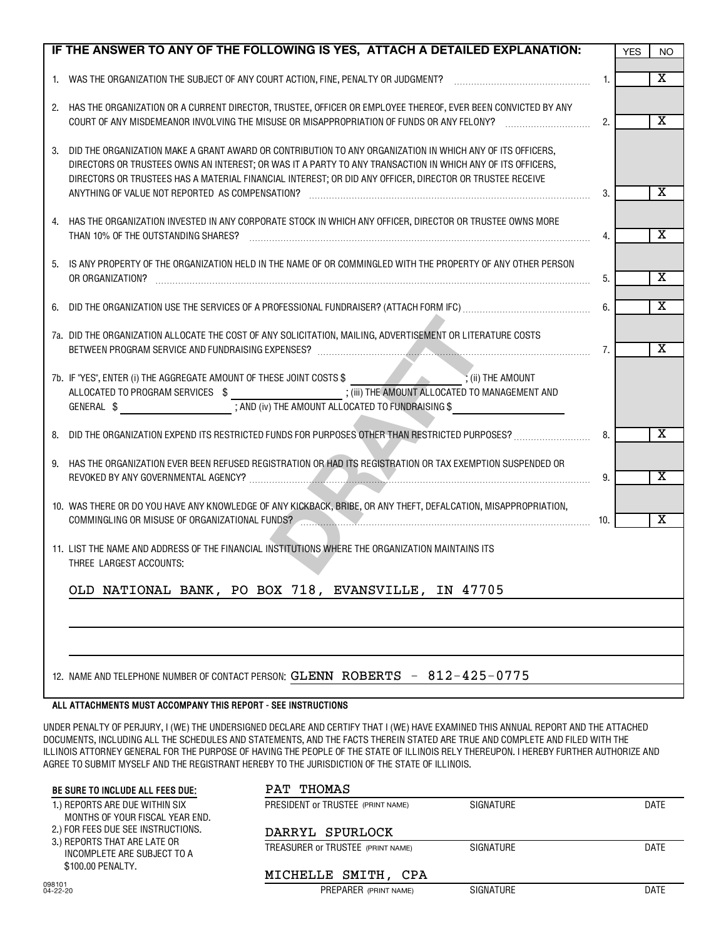|    | IF THE ANSWER TO ANY OF THE FOLLOWING IS YES, ATTACH A DETAILED EXPLANATION:                                                                                                                                                                                                                                                                                                           |     | <b>YES</b> | NO.                     |
|----|----------------------------------------------------------------------------------------------------------------------------------------------------------------------------------------------------------------------------------------------------------------------------------------------------------------------------------------------------------------------------------------|-----|------------|-------------------------|
|    |                                                                                                                                                                                                                                                                                                                                                                                        | 1.  |            | $\overline{\textbf{x}}$ |
|    | 2. HAS THE ORGANIZATION OR A CURRENT DIRECTOR, TRUSTEE, OFFICER OR EMPLOYEE THEREOF, EVER BEEN CONVICTED BY ANY<br>COURT OF ANY MISDEMEANOR INVOLVING THE MISUSE OR MISAPPROPRIATION OF FUNDS OR ANY FELONY?                                                                                                                                                                           | 2.  |            | $\overline{\textbf{x}}$ |
| 3. | DID THE ORGANIZATION MAKE A GRANT AWARD OR CONTRIBUTION TO ANY ORGANIZATION IN WHICH ANY OF ITS OFFICERS,<br>DIRECTORS OR TRUSTEES OWNS AN INTEREST; OR WAS IT A PARTY TO ANY TRANSACTION IN WHICH ANY OF ITS OFFICERS,<br>DIRECTORS OR TRUSTEES HAS A MATERIAL FINANCIAL INTEREST; OR DID ANY OFFICER, DIRECTOR OR TRUSTEE RECEIVE<br>ANYTHING OF VALUE NOT REPORTED AS COMPENSATION? | 3.  |            | х                       |
| 4. | HAS THE ORGANIZATION INVESTED IN ANY CORPORATE STOCK IN WHICH ANY OFFICER, DIRECTOR OR TRUSTEE OWNS MORE<br>THAN 10% OF THE OUTSTANDING SHARES?                                                                                                                                                                                                                                        | 4.  |            | $\overline{\textbf{x}}$ |
|    | 5. IS ANY PROPERTY OF THE ORGANIZATION HELD IN THE NAME OF OR COMMINGLED WITH THE PROPERTY OF ANY OTHER PERSON<br>OR ORGANIZATION?                                                                                                                                                                                                                                                     | 5.  |            | х                       |
|    |                                                                                                                                                                                                                                                                                                                                                                                        | 6.  |            | х                       |
|    | 7a. DID THE ORGANIZATION ALLOCATE THE COST OF ANY SOLICITATION, MAILING, ADVERTISEMENT OR LITERATURE COSTS                                                                                                                                                                                                                                                                             | 7.  |            | $\overline{\textbf{x}}$ |
|    | ALLOCATED TO PROGRAM SERVICES \$ __________________________; (iii) THE AMOUNT ALLOCATED TO MANAGEMENT AND                                                                                                                                                                                                                                                                              |     |            |                         |
|    | 8. DID THE ORGANIZATION EXPEND ITS RESTRICTED FUNDS FOR PURPOSES OTHER THAN RESTRICTED PURPOSES?                                                                                                                                                                                                                                                                                       | 8.  |            | X                       |
| 9. | HAS THE ORGANIZATION EVER BEEN REFUSED REGISTRATION OR HAD ITS REGISTRATION OR TAX EXEMPTION SUSPENDED OR                                                                                                                                                                                                                                                                              | 9.  |            | х                       |
|    | 10. WAS THERE OR DO YOU HAVE ANY KNOWLEDGE OF ANY KICKBACK, BRIBE, OR ANY THEFT, DEFALCATION, MISAPPROPRIATION,<br>COMMINGLING OR MISUSE OF ORGANIZATIONAL FUNDS?                                                                                                                                                                                                                      | 10. |            | $\overline{\textbf{x}}$ |
|    | 11. LIST THE NAME AND ADDRESS OF THE FINANCIAL INSTITUTIONS WHERE THE ORGANIZATION MAINTAINS ITS<br>THREE LARGEST ACCOUNTS:                                                                                                                                                                                                                                                            |     |            |                         |
|    | OLD NATIONAL BANK, PO BOX 718, EVANSVILLE, IN 47705                                                                                                                                                                                                                                                                                                                                    |     |            |                         |
|    |                                                                                                                                                                                                                                                                                                                                                                                        |     |            |                         |
|    |                                                                                                                                                                                                                                                                                                                                                                                        |     |            |                         |
|    | 12. NAME AND TELEPHONE NUMBER OF CONTACT PERSON: GLENN ROBERTS - 812-425-0775                                                                                                                                                                                                                                                                                                          |     |            |                         |

#### **ALL ATTACHMENTS MUST ACCOMPANY THIS REPORT - SEE INSTRUCTIONS**

 $\mathsf{l}$ 

UNDER PENALTY OF PERJURY, I (WE) THE UNDERSIGNED DECLARE AND CERTIFY THAT I (WE) HAVE EXAMINED THIS ANNUAL REPORT AND THE ATTACHED DOCUMENTS, INCLUDING ALL THE SCHEDULES AND STATEMENTS, AND THE FACTS THEREIN STATED ARE TRUE AND COMPLETE AND FILED WITH THE ILLINOIS ATTORNEY GENERAL FOR THE PURPOSE OF HAVING THE PEOPLE OF THE STATE OF ILLINOIS RELY THEREUPON. I HEREBY FURTHER AUTHORIZE AND AGREE TO SUBMIT MYSELF AND THE REGISTRANT HEREBY TO THE JURISDICTION OF THE STATE OF ILLINOIS.

| BE SURE TO INCLUDE ALL FEES DUE:                                                                                                                                                            | PAT THOMAS                        |           |      |  |
|---------------------------------------------------------------------------------------------------------------------------------------------------------------------------------------------|-----------------------------------|-----------|------|--|
| 1.) REPORTS ARE DUE WITHIN SIX<br>MONTHS OF YOUR FISCAL YEAR END.<br>2.) FOR FEES DUE SEE INSTRUCTIONS.<br>3.) REPORTS THAT ARE LATE OR<br>INCOMPLETE ARE SUBJECT TO A<br>\$100.00 PENALTY. | PRESIDENT OF TRUSTEE (PRINT NAME) | SIGNATURE | DATE |  |
|                                                                                                                                                                                             | DARRYL SPURLOCK                   |           |      |  |
|                                                                                                                                                                                             | TREASURER OF TRUSTEE (PRINT NAME) | SIGNATURE | DATE |  |
|                                                                                                                                                                                             | MICHELLE SMITH, CPA               |           |      |  |
| 098101<br>$04 - 22 - 20$                                                                                                                                                                    | PREPARER (PRINT NAME)             | SIGNATURE | DATE |  |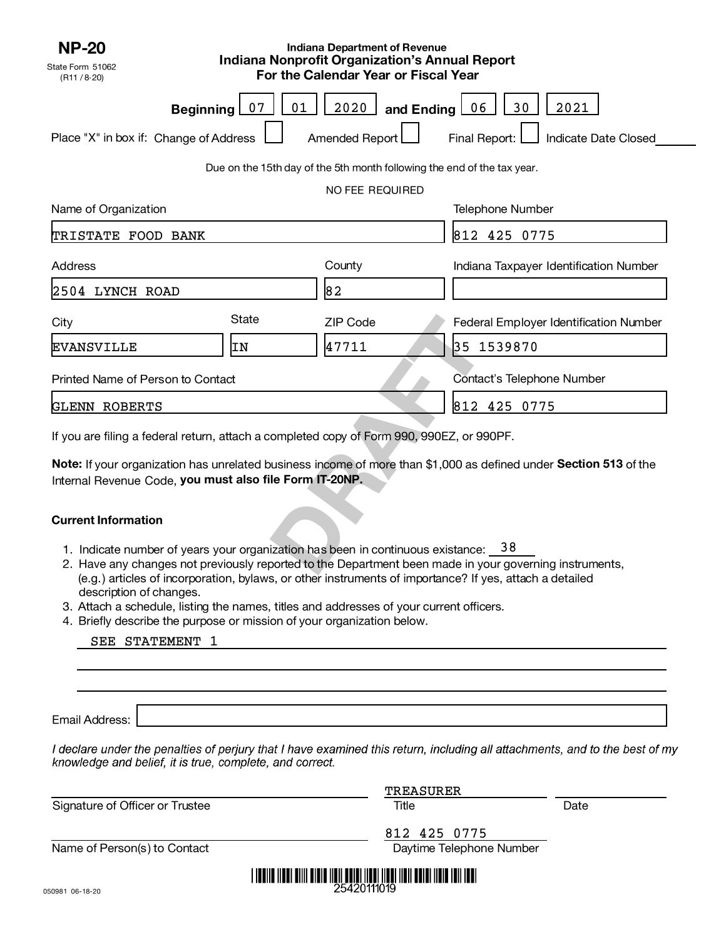| <b>NP-20</b><br>State Form 51062                                                          |          | <b>Indiana Department of Revenue</b><br><b>Indiana Nonprofit Organization's Annual Report</b> |                                                                                                                   |
|-------------------------------------------------------------------------------------------|----------|-----------------------------------------------------------------------------------------------|-------------------------------------------------------------------------------------------------------------------|
| (R11 / 8.20)                                                                              |          | For the Calendar Year or Fiscal Year                                                          |                                                                                                                   |
| <b>Beginning</b>                                                                          | 01<br>07 | 2020<br>and Ending 06                                                                         | 30<br>2021                                                                                                        |
| Place "X" in box if: Change of Address                                                    |          | Amended Report L                                                                              | Final Report: [<br>Indicate Date Closed                                                                           |
|                                                                                           |          | Due on the 15th day of the 5th month following the end of the tax year.                       |                                                                                                                   |
|                                                                                           |          | NO FEE REQUIRED                                                                               |                                                                                                                   |
| Name of Organization                                                                      |          |                                                                                               | <b>Telephone Number</b>                                                                                           |
| TRISTATE FOOD BANK                                                                        |          |                                                                                               | 812 425 0775                                                                                                      |
| <b>Address</b>                                                                            |          | County                                                                                        | Indiana Taxpayer Identification Number                                                                            |
| 2504 LYNCH ROAD                                                                           |          | 82                                                                                            |                                                                                                                   |
| City                                                                                      | State    | ZIP Code                                                                                      | Federal Employer Identification Number                                                                            |
| <b>EVANSVILLE</b>                                                                         | ΙN       | 47711                                                                                         | 35 1539870                                                                                                        |
| Printed Name of Person to Contact                                                         |          |                                                                                               | Contact's Telephone Number                                                                                        |
| <b>GLENN ROBERTS</b>                                                                      |          |                                                                                               | 812 425 0775                                                                                                      |
| If you are filing a federal return, attach a completed copy of Form 990, 990EZ, or 990PF. |          |                                                                                               |                                                                                                                   |
| Internal Revenue Code, you must also file Form IT-20NP.                                   |          |                                                                                               | Note: If your organization has unrelated business income of more than \$1,000 as defined under Section 513 of the |
| <b>Current Information</b>                                                                |          |                                                                                               |                                                                                                                   |
| 1. Indicate number of years your organization has been in continuous existance: 38        |          |                                                                                               | 2. Have any changes not previously reported to the Department been made in your governing instruments,            |

#### **Current Information**

- 1. Indicate number of years your organization has been in continuous existance: 38
- 2. Have any changes not previously reported to the Department been made in your governing instruments, (e.g.) articles of incorporation, bylaws, or other instruments of importance? If yes, attach a detailed description of changes.
- 3. Attach a schedule, listing the names, titles and addresses of your current officers.
- 4. Briefly describe the purpose or mission of your organization below.

|  | SEE STATEMENT |  |
|--|---------------|--|
|--|---------------|--|

Email Address:

I declare under the penalties of perjury that I have examined this return, including all attachments, and to the best of my knowledge and belief, it is true, complete, and correct.

|                                 | <b>TREASURER</b>                                                                        |      |
|---------------------------------|-----------------------------------------------------------------------------------------|------|
| Signature of Officer or Trustee | Title                                                                                   | Date |
|                                 | 812 425 0775                                                                            |      |
| Name of Person(s) to Contact    | Daytime Telephone Number                                                                |      |
|                                 | <u> 1 100110 11001 01111 01010 11011 00101 11001 11001 11011 00101 11010 1011 1001 </u> |      |
| 50021 06-12-20                  | 25420111019                                                                             |      |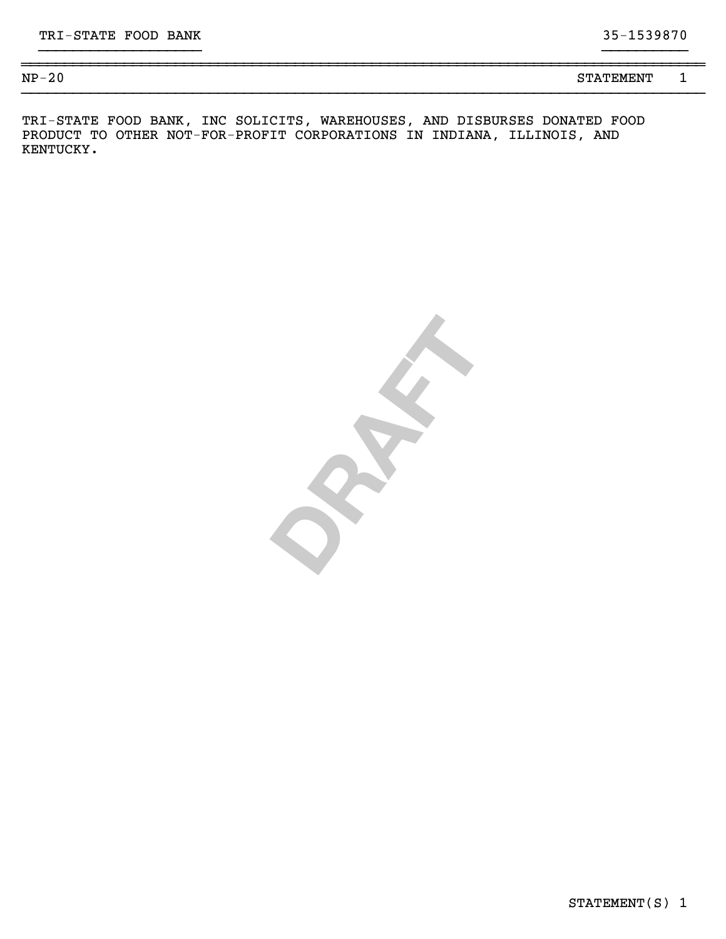STATEMENT(S) 1

| $NP-20$<br>4 V | -----------<br>σп<br>STATEMENT |  |
|----------------|--------------------------------|--|
|                |                                |  |

}}}}}}}}}}}}}}}}}}} }}}}}}}}}}

TRI-STATE FOOD BANK, INC SOLICITS, WAREHOUSES, AND DISBURSES DONATED FOOD PRODUCT TO OTHER NOT-FOR-PROFIT CORPORATIONS IN INDIANA, ILLINOIS, AND KENTUCKY.

**DRAFT**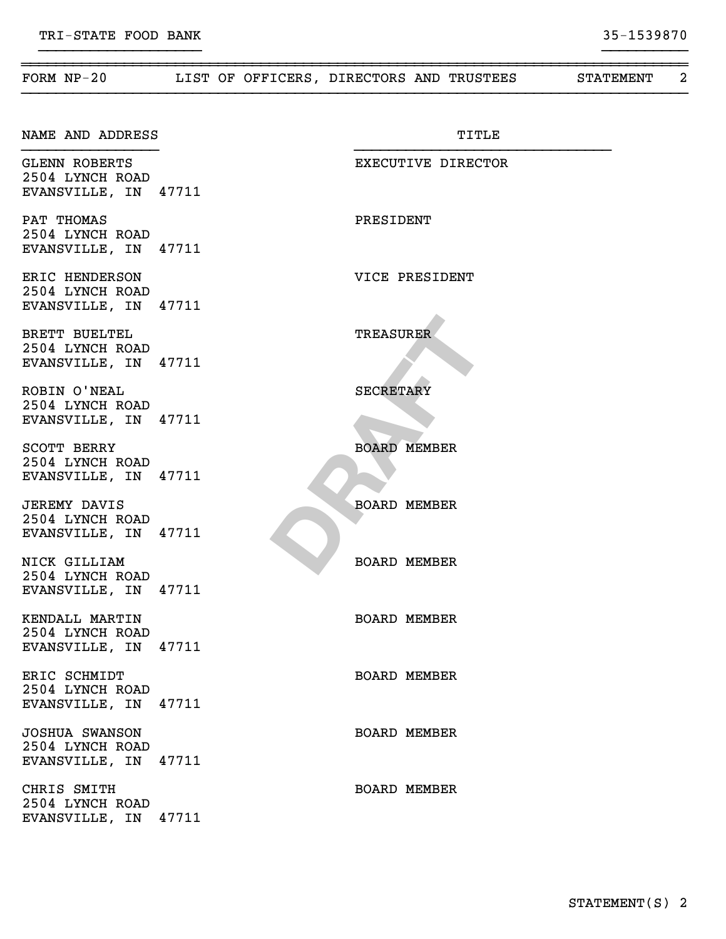| FORM $NP-20$                                                     |  | LIST OF OFFICERS, DIRECTORS AND TRUSTEES | <b>STATEMENT</b> | $\overline{2}$ |
|------------------------------------------------------------------|--|------------------------------------------|------------------|----------------|
| NAME AND ADDRESS                                                 |  | TITLE                                    |                  |                |
| <b>GLENN ROBERTS</b><br>2504 LYNCH ROAD<br>EVANSVILLE, IN 47711  |  | EXECUTIVE DIRECTOR                       |                  |                |
| PAT THOMAS<br>2504 LYNCH ROAD<br>EVANSVILLE, IN 47711            |  | PRESIDENT                                |                  |                |
| ERIC HENDERSON<br>2504 LYNCH ROAD<br>EVANSVILLE, IN 47711        |  | VICE PRESIDENT                           |                  |                |
| BRETT BUELTEL<br>2504 LYNCH ROAD<br>EVANSVILLE, IN 47711         |  | <b>TREASURER</b>                         |                  |                |
| ROBIN O'NEAL<br>2504 LYNCH ROAD<br>EVANSVILLE, IN 47711          |  | <b>SECRETARY</b>                         |                  |                |
| SCOTT BERRY<br>2504 LYNCH ROAD<br>EVANSVILLE, IN 47711           |  | <b>BOARD MEMBER</b>                      |                  |                |
| <b>JEREMY DAVIS</b><br>2504 LYNCH ROAD<br>EVANSVILLE, IN 47711   |  | <b>BOARD MEMBER</b>                      |                  |                |
| NICK GILLIAM<br>2504 LYNCH ROAD<br>EVANSVILLE, IN 47711          |  | <b>BOARD MEMBER</b>                      |                  |                |
| KENDALL MARTIN<br>2504 LYNCH ROAD<br>EVANSVILLE, IN 47711        |  | <b>BOARD MEMBER</b>                      |                  |                |
| ERIC SCHMIDT<br>2504 LYNCH ROAD<br>EVANSVILLE, IN 47711          |  | <b>BOARD MEMBER</b>                      |                  |                |
| <b>JOSHUA SWANSON</b><br>2504 LYNCH ROAD<br>EVANSVILLE, IN 47711 |  | <b>BOARD MEMBER</b>                      |                  |                |
| CHRIS SMITH<br>2504 LYNCH ROAD<br>EVANSVILLE, IN 47711           |  | <b>BOARD MEMBER</b>                      |                  |                |

~~~~~~~~~~~~~~~~~~~~~~~~~~~~~~~~~~~~~~~~~~~~~~~~~~~~~~~~~~~~~~~~~~~~~~~~~~~~~~

}}}}}}}}}}}}}}}}}}} }}}}}}}}}}